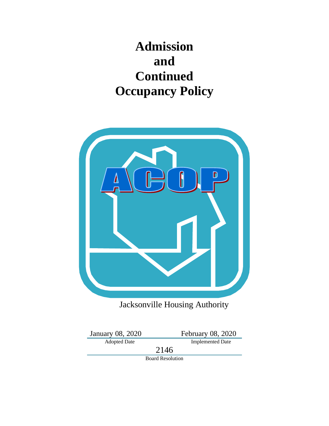# **Admission and Continued Occupancy Policy**



Jacksonville Housing Authority

January 08, 2020<br>Adopted Date

February 08, 2020<br>Implemented Date

2146

Board Resolution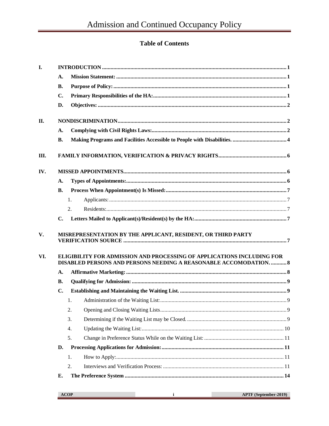# **Table of Contents**

| I.  |                |                                                                                                                                            |  |
|-----|----------------|--------------------------------------------------------------------------------------------------------------------------------------------|--|
|     | A.             |                                                                                                                                            |  |
|     | <b>B.</b>      |                                                                                                                                            |  |
|     | C.             |                                                                                                                                            |  |
|     | D.             |                                                                                                                                            |  |
| II. |                |                                                                                                                                            |  |
|     | A.             |                                                                                                                                            |  |
|     | <b>B.</b>      |                                                                                                                                            |  |
| Ш.  |                |                                                                                                                                            |  |
| IV. |                |                                                                                                                                            |  |
|     | A.             |                                                                                                                                            |  |
|     | В.             |                                                                                                                                            |  |
|     |                | 1.                                                                                                                                         |  |
|     |                | 2.                                                                                                                                         |  |
|     | $\mathbf{C}$ . |                                                                                                                                            |  |
| V.  |                | MISREPRESENTATION BY THE APPLICANT, RESIDENT, OR THIRD PARTY                                                                               |  |
| VI. |                | ELIGIBILITY FOR ADMISSION AND PROCESSING OF APPLICATIONS INCLUDING FOR<br>DISABLED PERSONS AND PERSONS NEEDING A REASONABLE ACCOMODATION 8 |  |
|     | A.             |                                                                                                                                            |  |
|     | <b>B.</b>      |                                                                                                                                            |  |
|     | $\mathbf{C}$ . |                                                                                                                                            |  |
|     |                | 1.                                                                                                                                         |  |
|     |                | 2.                                                                                                                                         |  |
|     |                | 3.                                                                                                                                         |  |
|     |                | 4.                                                                                                                                         |  |
|     |                | 5.                                                                                                                                         |  |
|     | D.             |                                                                                                                                            |  |
|     |                | 1.                                                                                                                                         |  |
|     |                | 2.                                                                                                                                         |  |
|     | Е.             |                                                                                                                                            |  |

**COL**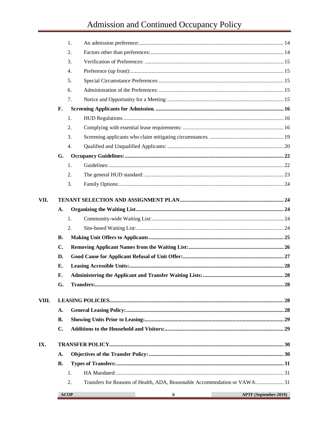# Admission and Continued Occupancy Policy

| 2.<br>3.<br>4.<br>5.<br>6.<br>7.<br>F.<br>1.<br>2.<br>3.<br>4.<br>G.<br>1.<br>2.<br>3.<br>A.<br>1.<br>2.<br><b>B.</b><br>$\mathbf{C}$ .<br>D.<br>Е.<br>F.<br>G.<br>A.<br><b>B.</b><br>$C_{\bullet}$<br>A.<br><b>B.</b><br>1.<br>Transfers for Reasons of Health, ADA, Reasonable Accommodation or VAWA: 31<br>2.<br>APTF (September-2019)<br><b>ACOP</b><br>ii |       |    |  |
|----------------------------------------------------------------------------------------------------------------------------------------------------------------------------------------------------------------------------------------------------------------------------------------------------------------------------------------------------------------|-------|----|--|
|                                                                                                                                                                                                                                                                                                                                                                |       | 1. |  |
|                                                                                                                                                                                                                                                                                                                                                                |       |    |  |
|                                                                                                                                                                                                                                                                                                                                                                |       |    |  |
|                                                                                                                                                                                                                                                                                                                                                                |       |    |  |
|                                                                                                                                                                                                                                                                                                                                                                |       |    |  |
|                                                                                                                                                                                                                                                                                                                                                                |       |    |  |
|                                                                                                                                                                                                                                                                                                                                                                |       |    |  |
|                                                                                                                                                                                                                                                                                                                                                                |       |    |  |
|                                                                                                                                                                                                                                                                                                                                                                |       |    |  |
|                                                                                                                                                                                                                                                                                                                                                                |       |    |  |
|                                                                                                                                                                                                                                                                                                                                                                |       |    |  |
|                                                                                                                                                                                                                                                                                                                                                                |       |    |  |
|                                                                                                                                                                                                                                                                                                                                                                |       |    |  |
|                                                                                                                                                                                                                                                                                                                                                                |       |    |  |
|                                                                                                                                                                                                                                                                                                                                                                |       |    |  |
|                                                                                                                                                                                                                                                                                                                                                                |       |    |  |
|                                                                                                                                                                                                                                                                                                                                                                | VII.  |    |  |
|                                                                                                                                                                                                                                                                                                                                                                |       |    |  |
|                                                                                                                                                                                                                                                                                                                                                                |       |    |  |
|                                                                                                                                                                                                                                                                                                                                                                |       |    |  |
|                                                                                                                                                                                                                                                                                                                                                                |       |    |  |
|                                                                                                                                                                                                                                                                                                                                                                |       |    |  |
|                                                                                                                                                                                                                                                                                                                                                                |       |    |  |
|                                                                                                                                                                                                                                                                                                                                                                |       |    |  |
|                                                                                                                                                                                                                                                                                                                                                                |       |    |  |
|                                                                                                                                                                                                                                                                                                                                                                |       |    |  |
|                                                                                                                                                                                                                                                                                                                                                                | VIII. |    |  |
|                                                                                                                                                                                                                                                                                                                                                                |       |    |  |
|                                                                                                                                                                                                                                                                                                                                                                |       |    |  |
|                                                                                                                                                                                                                                                                                                                                                                |       |    |  |
|                                                                                                                                                                                                                                                                                                                                                                | IX.   |    |  |
|                                                                                                                                                                                                                                                                                                                                                                |       |    |  |
|                                                                                                                                                                                                                                                                                                                                                                |       |    |  |
|                                                                                                                                                                                                                                                                                                                                                                |       |    |  |
|                                                                                                                                                                                                                                                                                                                                                                |       |    |  |
|                                                                                                                                                                                                                                                                                                                                                                |       |    |  |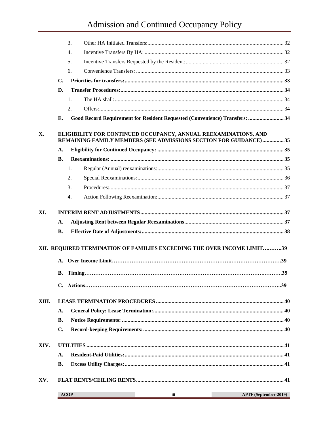# Admission and Continued Occupancy Policy

|       |                | 3.                                                                                                                                   |                       |
|-------|----------------|--------------------------------------------------------------------------------------------------------------------------------------|-----------------------|
|       |                | 4.                                                                                                                                   |                       |
|       |                | 5.                                                                                                                                   |                       |
|       |                | 6.                                                                                                                                   |                       |
|       | $\mathbf{C}$ . |                                                                                                                                      |                       |
|       | D.             |                                                                                                                                      |                       |
|       |                | $\mathbf{1}$ .                                                                                                                       |                       |
|       |                | 2.                                                                                                                                   |                       |
|       | Е.             | Good Record Requirement for Resident Requested (Convenience) Transfers:  34                                                          |                       |
| X.    |                | ELIGIBILITY FOR CONTINUED OCCUPANCY, ANNUAL REEXAMINATIONS, AND<br>REMAINING FAMILY MEMBERS (SEE ADMISSIONS SECTION FOR GUIDANCE) 35 |                       |
|       | A.             |                                                                                                                                      |                       |
|       | <b>B.</b>      |                                                                                                                                      |                       |
|       |                | 1.                                                                                                                                   |                       |
|       |                | 2.                                                                                                                                   |                       |
|       |                | 3.                                                                                                                                   |                       |
|       |                | $\overline{4}$ .                                                                                                                     |                       |
| XI.   |                |                                                                                                                                      |                       |
|       | A.             |                                                                                                                                      |                       |
|       | <b>B.</b>      |                                                                                                                                      |                       |
|       |                | XII. REQUIRED TERMINATION OF FAMILIES EXCEEDING THE OVER INCOME LIMIT39                                                              |                       |
|       | <b>B.</b>      |                                                                                                                                      |                       |
|       |                |                                                                                                                                      |                       |
| XIII. |                |                                                                                                                                      |                       |
|       | A.             |                                                                                                                                      |                       |
|       | <b>B.</b>      |                                                                                                                                      |                       |
|       | $C_{\bullet}$  |                                                                                                                                      |                       |
| XIV.  |                |                                                                                                                                      |                       |
|       | A.             |                                                                                                                                      |                       |
|       | <b>B.</b>      |                                                                                                                                      |                       |
| XV.   |                |                                                                                                                                      |                       |
|       |                | <b>ACOP</b><br>iii                                                                                                                   | APTF (September-2019) |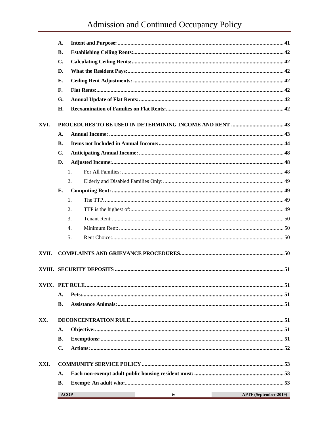# Admission and Continued Occupancy Policy

|       | A.             |                   |                       |
|-------|----------------|-------------------|-----------------------|
|       | <b>B.</b>      |                   |                       |
|       | $\mathbf{C}$ . |                   |                       |
|       | D.             |                   |                       |
|       | Е.             |                   |                       |
|       | F.             |                   |                       |
|       | G.             |                   |                       |
|       | H.             |                   |                       |
| XVI.  |                |                   |                       |
|       | A.             |                   |                       |
|       | <b>B.</b>      |                   |                       |
|       | C.             |                   |                       |
|       | D.             |                   |                       |
|       |                | 1.                |                       |
|       |                | 2.                |                       |
|       | E.             |                   |                       |
|       |                | 1.                |                       |
|       |                | 2.                |                       |
|       |                | 3.                |                       |
|       |                | $\overline{4}$ .  |                       |
|       |                | 5.                |                       |
| XVII. |                |                   |                       |
|       |                |                   |                       |
|       |                |                   |                       |
|       | А.             |                   |                       |
|       | В.             |                   |                       |
| XX.   |                |                   |                       |
|       | A.             |                   |                       |
|       | <b>B.</b>      |                   |                       |
|       | $C_{\bullet}$  |                   |                       |
| XXI.  |                |                   |                       |
|       | A.             |                   |                       |
|       | <b>B.</b>      |                   |                       |
|       |                | <b>ACOP</b><br>iv | APTF (September-2019) |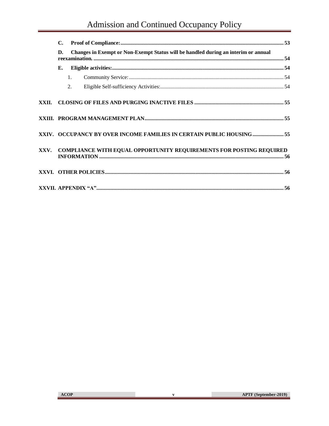| C. |                |                                                                                    |  |
|----|----------------|------------------------------------------------------------------------------------|--|
| D. |                | Changes in Exempt or Non-Exempt Status will be handled during an interim or annual |  |
| Е. |                |                                                                                    |  |
|    | $\mathbf{1}$ . |                                                                                    |  |
|    | 2.             |                                                                                    |  |
|    |                |                                                                                    |  |
|    |                |                                                                                    |  |
|    |                | XXIV. OCCUPANCY BY OVER INCOME FAMILIES IN CERTAIN PUBLIC HOUSING  55              |  |
|    |                | XXV. COMPLIANCE WITH EQUAL OPPORTUNITY REQUIREMENTS FOR POSTING REQUIRED           |  |
|    |                |                                                                                    |  |
|    |                |                                                                                    |  |

**College** 

 $\mathbf{v}$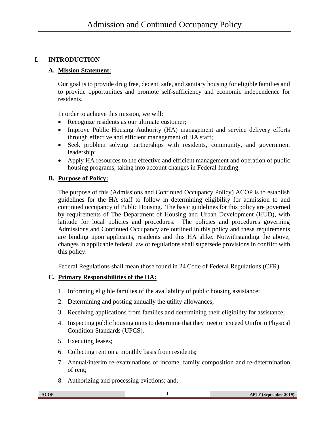# <span id="page-6-1"></span><span id="page-6-0"></span>**I. INTRODUCTION**

#### **A. Mission Statement:**

Our goal is to provide drug free, decent, safe, and sanitary housing for eligible families and to provide opportunities and promote self-sufficiency and economic independence for residents.

In order to achieve this mission, we will:

- Recognize residents as our ultimate customer:
- Improve Public Housing Authority (HA) management and service delivery efforts through effective and efficient management of HA staff;
- Seek problem solving partnerships with residents, community, and government leadership;
- Apply HA resources to the effective and efficient management and operation of public housing programs, taking into account changes in Federal funding.

#### <span id="page-6-2"></span>**B. Purpose of Policy:**

The purpose of this (Admissions and Continued Occupancy Policy) ACOP is to establish guidelines for the HA staff to follow in determining eligibility for admission to and continued occupancy of Public Housing. The basic guidelines for this policy are governed by requirements of The Department of Housing and Urban Development (HUD), with latitude for local policies and procedures. The policies and procedures governing Admissions and Continued Occupancy are outlined in this policy and these requirements are binding upon applicants, residents and this HA alike. Notwithstanding the above, changes in applicable federal law or regulations shall supersede provisions in conflict with this policy.

Federal Regulations shall mean those found in 24 Code of Federal Regulations (CFR)

# <span id="page-6-3"></span>**C. Primary Responsibilities of the HA:**

- 1. Informing eligible families of the availability of public housing assistance;
- 2. Determining and posting annually the utility allowances;
- 3. Receiving applications from families and determining their eligibility for assistance;
- 4. Inspecting public housing units to determine that they meet or exceed Uniform Physical Condition Standards (UPCS).
- 5. Executing leases;
- 6. Collecting rent on a monthly basis from residents;
- 7. Annual/interim re-examinations of income, family composition and re-determination of rent;
- 8. Authorizing and processing evictions; and,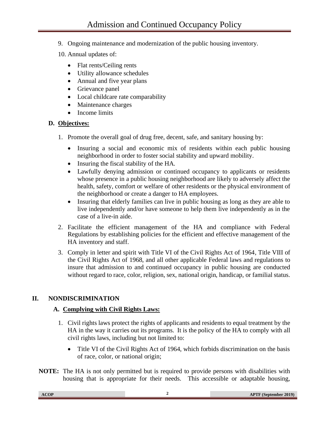- 9. Ongoing maintenance and modernization of the public housing inventory.
- 10. Annual updates of:
	- Flat rents/Ceiling rents
	- Utility allowance schedules
	- Annual and five year plans
	- Grievance panel
	- Local childcare rate comparability
	- Maintenance charges
	- Income limits

#### <span id="page-7-0"></span>**D. Objectives:**

- 1. Promote the overall goal of drug free, decent, safe, and sanitary housing by:
	- Insuring a social and economic mix of residents within each public housing neighborhood in order to foster social stability and upward mobility.
	- Insuring the fiscal stability of the HA.
	- Lawfully denying admission or continued occupancy to applicants or residents whose presence in a public housing neighborhood are likely to adversely affect the health, safety, comfort or welfare of other residents or the physical environment of the neighborhood or create a danger to HA employees.
	- Insuring that elderly families can live in public housing as long as they are able to live independently and/or have someone to help them live independently as in the case of a live-in aide.
- 2. Facilitate the efficient management of the HA and compliance with Federal Regulations by establishing policies for the efficient and effective management of the HA inventory and staff.
- 3. Comply in letter and spirit with Title VI of the Civil Rights Act of 1964, Title VIII of the Civil Rights Act of 1968, and all other applicable Federal laws and regulations to insure that admission to and continued occupancy in public housing are conducted without regard to race, color, religion, sex, national origin, handicap, or familial status.

# <span id="page-7-2"></span><span id="page-7-1"></span>**II. NONDISCRIMINATION**

# **A. Complying with Civil Rights Laws:**

- 1. Civil rights laws protect the rights of applicants and residents to equal treatment by the HA in the way it carries out its programs. It is the policy of the HA to comply with all civil rights laws, including but not limited to:
	- Title VI of the Civil Rights Act of 1964, which forbids discrimination on the basis of race, color, or national origin;
- **NOTE:** The HA is not only permitted but is required to provide persons with disabilities with housing that is appropriate for their needs. This accessible or adaptable housing,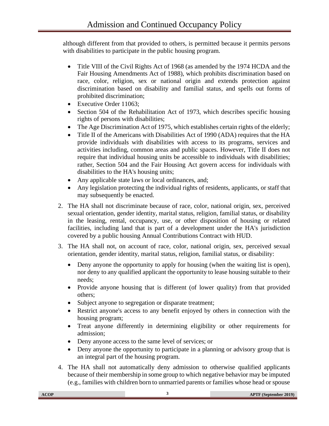although different from that provided to others, is permitted because it permits persons with disabilities to participate in the public housing program.

- Title VIII of the Civil Rights Act of 1968 (as amended by the 1974 HCDA and the Fair Housing Amendments Act of 1988), which prohibits discrimination based on race, color, religion, sex or national origin and extends protection against discrimination based on disability and familial status, and spells out forms of prohibited discrimination;
- Executive Order 11063;
- Section 504 of the Rehabilitation Act of 1973, which describes specific housing rights of persons with disabilities;
- The Age Discrimination Act of 1975, which establishes certain rights of the elderly;
- Title II of the Americans with Disabilities Act of 1990 (ADA) requires that the HA provide individuals with disabilities with access to its programs, services and activities including, common areas and public spaces. However, Title II does not require that individual housing units be accessible to individuals with disabilities; rather, Section 504 and the Fair Housing Act govern access for individuals with disabilities to the HA's housing units;
- Any applicable state laws or local ordinances, and;
- Any legislation protecting the individual rights of residents, applicants, or staff that may subsequently be enacted.
- 2. The HA shall not discriminate because of race, color, national origin, sex, perceived sexual orientation, gender identity, marital status, religion, familial status, or disability in the leasing, rental, occupancy, use, or other disposition of housing or related facilities, including land that is part of a development under the HA's jurisdiction covered by a public housing Annual Contributions Contract with HUD.
- 3. The HA shall not, on account of race, color, national origin, sex, perceived sexual orientation, gender identity, marital status, religion, familial status, or disability:
	- Deny anyone the opportunity to apply for housing (when the waiting list is open), nor deny to any qualified applicant the opportunity to lease housing suitable to their needs;
	- Provide anyone housing that is different (of lower quality) from that provided others;
	- Subject anyone to segregation or disparate treatment;
	- Restrict anyone's access to any benefit enjoyed by others in connection with the housing program;
	- Treat anyone differently in determining eligibility or other requirements for admission;
	- Deny anyone access to the same level of services; or
	- Deny anyone the opportunity to participate in a planning or advisory group that is an integral part of the housing program.
- 4. The HA shall not automatically deny admission to otherwise qualified applicants because of their membership in some group to which negative behavior may be imputed (e.g., families with children born to unmarried parents or families whose head or spouse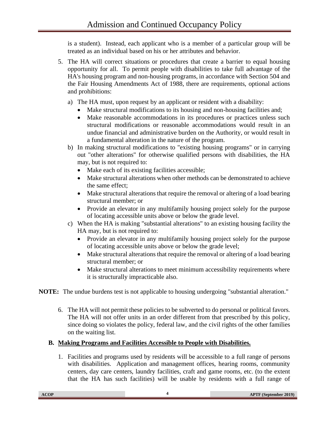is a student). Instead, each applicant who is a member of a particular group will be treated as an individual based on his or her attributes and behavior.

- 5. The HA will correct situations or procedures that create a barrier to equal housing opportunity for all. To permit people with disabilities to take full advantage of the HA's housing program and non-housing programs, in accordance with Section 504 and the Fair Housing Amendments Act of 1988, there are requirements, optional actions and prohibitions:
	- a) The HA must, upon request by an applicant or resident with a disability:
		- Make structural modifications to its housing and non-housing facilities and;
		- Make reasonable accommodations in its procedures or practices unless such structural modifications or reasonable accommodations would result in an undue financial and administrative burden on the Authority, or would result in a fundamental alteration in the nature of the program.
	- b) In making structural modifications to "existing housing programs" or in carrying out "other alterations" for otherwise qualified persons with disabilities, the HA may, but is not required to:
		- Make each of its existing facilities accessible;
		- Make structural alterations when other methods can be demonstrated to achieve the same effect;
		- Make structural alterations that require the removal or altering of a load bearing structural member; or
		- Provide an elevator in any multifamily housing project solely for the purpose of locating accessible units above or below the grade level.
	- c) When the HA is making "substantial alterations" to an existing housing facility the HA may, but is not required to:
		- Provide an elevator in any multifamily housing project solely for the purpose of locating accessible units above or below the grade level;
		- Make structural alterations that require the removal or altering of a load bearing structural member; or
		- Make structural alterations to meet minimum accessibility requirements where it is structurally impracticable also.

**NOTE:** The undue burdens test is not applicable to housing undergoing "substantial alteration."

6. The HA will not permit these policies to be subverted to do personal or political favors. The HA will not offer units in an order different from that prescribed by this policy, since doing so violates the policy, federal law, and the civil rights of the other families on the waiting list.

# <span id="page-9-0"></span>**B. Making Programs and Facilities Accessible to People with Disabilities.**

1. Facilities and programs used by residents will be accessible to a full range of persons with disabilities. Application and management offices, hearing rooms, community centers, day care centers, laundry facilities, craft and game rooms, etc. (to the extent that the HA has such facilities) will be usable by residents with a full range of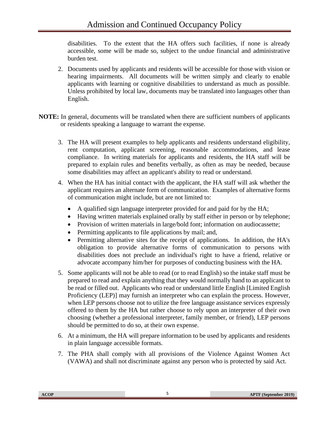disabilities. To the extent that the HA offers such facilities, if none is already accessible, some will be made so, subject to the undue financial and administrative burden test.

- 2. Documents used by applicants and residents will be accessible for those with vision or hearing impairments. All documents will be written simply and clearly to enable applicants with learning or cognitive disabilities to understand as much as possible. Unless prohibited by local law, documents may be translated into languages other than English.
- **NOTE:** In general, documents will be translated when there are sufficient numbers of applicants or residents speaking a language to warrant the expense.
	- 3. The HA will present examples to help applicants and residents understand eligibility, rent computation, applicant screening, reasonable accommodations, and lease compliance. In writing materials for applicants and residents, the HA staff will be prepared to explain rules and benefits verbally, as often as may be needed, because some disabilities may affect an applicant's ability to read or understand.
	- 4. When the HA has initial contact with the applicant, the HA staff will ask whether the applicant requires an alternate form of communication. Examples of alternative forms of communication might include, but are not limited to:
		- A qualified sign language interpreter provided for and paid for by the HA;
		- Having written materials explained orally by staff either in person or by telephone;
		- Provision of written materials in large/bold font; information on audiocassette;
		- Permitting applicants to file applications by mail; and,
		- Permitting alternative sites for the receipt of applications. In addition, the HA's obligation to provide alternative forms of communication to persons with disabilities does not preclude an individual's right to have a friend, relative or advocate accompany him/her for purposes of conducting business with the HA.
	- 5. Some applicants will not be able to read (or to read English) so the intake staff must be prepared to read and explain anything that they would normally hand to an applicant to be read or filled out. Applicants who read or understand little English [Limited English Proficiency (LEP)] may furnish an interpreter who can explain the process. However, when LEP persons choose not to utilize the free language assistance services expressly offered to them by the HA but rather choose to rely upon an interpreter of their own choosing (whether a professional interpreter, family member, or friend), LEP persons should be permitted to do so, at their own expense.
	- 6. At a minimum, the HA will prepare information to be used by applicants and residents in plain language accessible formats.
	- 7. The PHA shall comply with all provisions of the Violence Against Women Act (VAWA) and shall not discriminate against any person who is protected by said Act.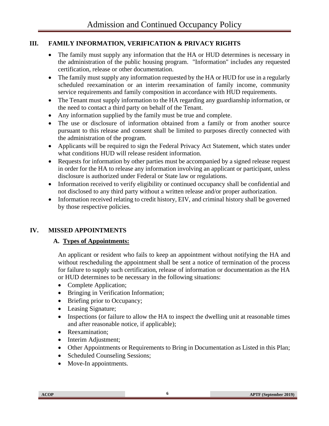# <span id="page-11-0"></span>**III. FAMILY INFORMATION, VERIFICATION & PRIVACY RIGHTS**

- The family must supply any information that the HA or HUD determines is necessary in the administration of the public housing program. "Information" includes any requested certification, release or other documentation.
- The family must supply any information requested by the HA or HUD for use in a regularly scheduled reexamination or an interim reexamination of family income, community service requirements and family composition in accordance with HUD requirements.
- The Tenant must supply information to the HA regarding any guardianship information, or the need to contact a third party on behalf of the Tenant.
- Any information supplied by the family must be true and complete.
- The use or disclosure of information obtained from a family or from another source pursuant to this release and consent shall be limited to purposes directly connected with the administration of the program.
- Applicants will be required to sign the Federal Privacy Act Statement, which states under what conditions HUD will release resident information.
- Requests for information by other parties must be accompanied by a signed release request in order for the HA to release any information involving an applicant or participant, unless disclosure is authorized under Federal or State law or regulations.
- Information received to verify eligibility or continued occupancy shall be confidential and not disclosed to any third party without a written release and/or proper authorization.
- Information received relating to credit history, EIV, and criminal history shall be governed by those respective policies.

# <span id="page-11-2"></span><span id="page-11-1"></span>**IV. MISSED APPOINTMENTS**

# **A. Types of Appointments:**

An applicant or resident who fails to keep an appointment without notifying the HA and without rescheduling the appointment shall be sent a notice of termination of the process for failure to supply such certification, release of information or documentation as the HA or HUD determines to be necessary in the following situations:

- Complete Application;
- Bringing in Verification Information;
- Briefing prior to Occupancy;
- Leasing Signature;
- Inspections (or failure to allow the HA to inspect the dwelling unit at reasonable times and after reasonable notice, if applicable);
- Reexamination:
- Interim Adjustment;
- Other Appointments or Requirements to Bring in Documentation as Listed in this Plan;
- Scheduled Counseling Sessions;
- Move-In appointments.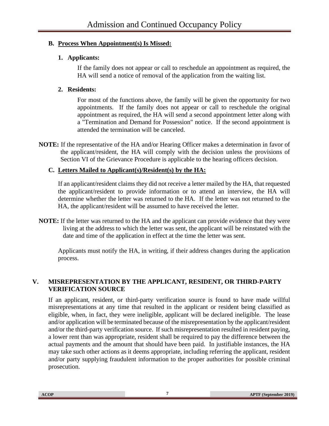# <span id="page-12-1"></span><span id="page-12-0"></span>**B. Process When Appointment(s) Is Missed:**

#### **1. Applicants:**

If the family does not appear or call to reschedule an appointment as required, the HA will send a notice of removal of the application from the waiting list.

#### <span id="page-12-2"></span>**2. Residents:**

For most of the functions above, the family will be given the opportunity for two appointments. If the family does not appear or call to reschedule the original appointment as required, the HA will send a second appointment letter along with a "Termination and Demand for Possession" notice. If the second appointment is attended the termination will be canceled.

**NOTE:** If the representative of the HA and/or Hearing Officer makes a determination in favor of the applicant/resident, the HA will comply with the decision unless the provisions of Section VI of the Grievance Procedure is applicable to the hearing officers decision.

# <span id="page-12-3"></span>**C. Letters Mailed to Applicant(s)/Resident(s) by the HA:**

If an applicant/resident claims they did not receive a letter mailed by the HA, that requested the applicant/resident to provide information or to attend an interview, the HA will determine whether the letter was returned to the HA. If the letter was not returned to the HA, the applicant/resident will be assumed to have received the letter.

**NOTE:** If the letter was returned to the HA and the applicant can provide evidence that they were living at the address to which the letter was sent, the applicant will be reinstated with the date and time of the application in effect at the time the letter was sent.

Applicants must notify the HA, in writing, if their address changes during the application process.

#### <span id="page-12-4"></span>**V. MISREPRESENTATION BY THE APPLICANT, RESIDENT, OR THIRD-PARTY VERIFICATION SOURCE**

If an applicant, resident, or third-party verification source is found to have made willful misrepresentations at any time that resulted in the applicant or resident being classified as eligible, when, in fact, they were ineligible, applicant will be declared ineligible. The lease and/or application will be terminated because of the misrepresentation by the applicant/resident and/or the third-party verification source. If such misrepresentation resulted in resident paying, a lower rent than was appropriate, resident shall be required to pay the difference between the actual payments and the amount that should have been paid. In justifiable instances, the HA may take such other actions as it deems appropriate, including referring the applicant, resident and/or party supplying fraudulent information to the proper authorities for possible criminal prosecution.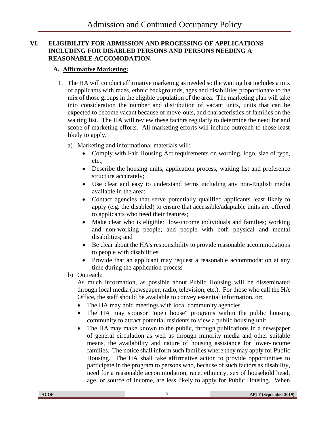#### <span id="page-13-0"></span>**VI. ELIGIBILITY FOR ADMISSION AND PROCESSING OF APPLICATIONS INCLUDING FOR DISABLED PERSONS AND PERSONS NEEDING A REASONABLE ACCOMODATION.**

# <span id="page-13-1"></span>**A. Affirmative Marketing:**

- 1. The HA will conduct affirmative marketing as needed so the waiting list includes a mix of applicants with races, ethnic backgrounds, ages and disabilities proportionate to the mix of those groups in the eligible population of the area. The marketing plan will take into consideration the number and distribution of vacant units, units that can be expected to become vacant because of move-outs, and characteristics of families on the waiting list. The HA will review these factors regularly to determine the need for and scope of marketing efforts. All marketing efforts will include outreach to those least likely to apply.
	- a) Marketing and informational materials will:
		- Comply with Fair Housing Act requirements on wording, logo, size of type, etc.;
		- Describe the housing units, application process, waiting list and preference structure accurately;
		- Use clear and easy to understand terms including any non-English media available in the area;
		- Contact agencies that serve potentially qualified applicants least likely to apply (e.g. the disabled) to ensure that accessible/adaptable units are offered to applicants who need their features;
		- Make clear who is eligible: low-income individuals and families; working and non-working people; and people with both physical and mental disabilities; and
		- Be clear about the HA's responsibility to provide reasonable accommodations to people with disabilities.
		- Provide that an applicant may request a reasonable accommodation at any time during the application process
	- b) Outreach:

As much information, as possible about Public Housing will be disseminated through local media (newspaper, radio, television, etc.). For those who call the HA Office, the staff should be available to convey essential information, or:

- The HA may hold meetings with local community agencies.
- The HA may sponsor "open house" programs within the public housing community to attract potential residents to view a public housing unit.
- The HA may make known to the public, through publications in a newspaper of general circulation as well as through minority media and other suitable means, the availability and nature of housing assistance for lower-income families. The notice shall inform such families where they may apply for Public Housing. The HA shall take affirmative action to provide opportunities to participate in the program to persons who, because of such factors as disability, need for a reasonable accommodation, race, ethnicity, sex of household head, age, or source of income, are less likely to apply for Public Housing. When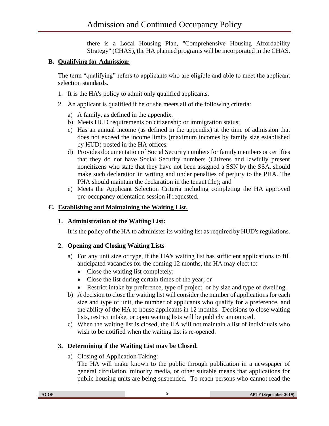there is a Local Housing Plan, "Comprehensive Housing Affordability Strategy" (CHAS), the HA planned programs will be incorporated in the CHAS.

# <span id="page-14-0"></span>**B. Qualifying for Admission:**

The term "qualifying" refers to applicants who are eligible and able to meet the applicant selection standards.

- 1. It is the HA's policy to admit only qualified applicants.
- 2. An applicant is qualified if he or she meets all of the following criteria:
	- a) A family, as defined in the appendix.
	- b) Meets HUD requirements on citizenship or immigration status;
	- c) Has an annual income (as defined in the appendix) at the time of admission that does not exceed the income limits (maximum incomes by family size established by HUD) posted in the HA offices.
	- d) Provides documentation of Social Security numbers for family members or certifies that they do not have Social Security numbers (Citizens and lawfully present noncitizens who state that they have not been assigned a SSN by the SSA, should make such declaration in writing and under penalties of perjury to the PHA. The PHA should maintain the declaration in the tenant file); and
	- e) Meets the Applicant Selection Criteria including completing the HA approved pre-occupancy orientation session if requested.

# <span id="page-14-2"></span><span id="page-14-1"></span>**C. Establishing and Maintaining the Waiting List.**

# **1. Administration of the Waiting List:**

It is the policy of the HA to administer its waiting list as required by HUD's regulations.

# <span id="page-14-3"></span>**2. Opening and Closing Waiting Lists**

- a) For any unit size or type, if the HA's waiting list has sufficient applications to fill anticipated vacancies for the coming 12 months, the HA may elect to:
	- Close the waiting list completely;
	- Close the list during certain times of the year; or
	- Restrict intake by preference, type of project, or by size and type of dwelling.
- b) A decision to close the waiting list will consider the number of applications for each size and type of unit, the number of applicants who qualify for a preference, and the ability of the HA to house applicants in 12 months. Decisions to close waiting lists, restrict intake, or open waiting lists will be publicly announced.
- c) When the waiting list is closed, the HA will not maintain a list of individuals who wish to be notified when the waiting list is re-opened.

# <span id="page-14-4"></span>**3. Determining if the Waiting List may be Closed.**

a) Closing of Application Taking:

The HA will make known to the public through publication in a newspaper of general circulation, minority media, or other suitable means that applications for public housing units are being suspended. To reach persons who cannot read the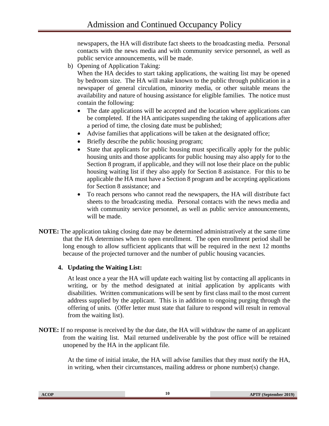newspapers, the HA will distribute fact sheets to the broadcasting media. Personal contacts with the news media and with community service personnel, as well as public service announcements, will be made.

b) Opening of Application Taking:

When the HA decides to start taking applications, the waiting list may be opened by bedroom size. The HA will make known to the public through publication in a newspaper of general circulation, minority media, or other suitable means the availability and nature of housing assistance for eligible families. The notice must contain the following:

- The date applications will be accepted and the location where applications can be completed. If the HA anticipates suspending the taking of applications after a period of time, the closing date must be published;
- Advise families that applications will be taken at the designated office;
- Briefly describe the public housing program;
- State that applicants for public housing must specifically apply for the public housing units and those applicants for public housing may also apply for to the Section 8 program, if applicable, and they will not lose their place on the public housing waiting list if they also apply for Section 8 assistance. For this to be applicable the HA must have a Section 8 program and be accepting applications for Section 8 assistance; and
- To reach persons who cannot read the newspapers, the HA will distribute fact sheets to the broadcasting media. Personal contacts with the news media and with community service personnel, as well as public service announcements, will be made.
- **NOTE:** The application taking closing date may be determined administratively at the same time that the HA determines when to open enrollment. The open enrollment period shall be long enough to allow sufficient applicants that will be required in the next 12 months because of the projected turnover and the number of public housing vacancies.

# <span id="page-15-0"></span>**4. Updating the Waiting List:**

At least once a year the HA will update each waiting list by contacting all applicants in writing, or by the method designated at initial application by applicants with disabilities. Written communications will be sent by first class mail to the most current address supplied by the applicant. This is in addition to ongoing purging through the offering of units. (Offer letter must state that failure to respond will result in removal from the waiting list).

**NOTE:** If no response is received by the due date, the HA will withdraw the name of an applicant from the waiting list. Mail returned undeliverable by the post office will be retained unopened by the HA in the applicant file.

> At the time of initial intake, the HA will advise families that they must notify the HA, in writing, when their circumstances, mailing address or phone number(s) change.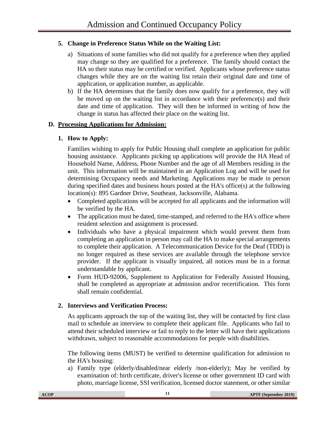# <span id="page-16-0"></span>**5. Change in Preference Status While on the Waiting List:**

- a) Situations of some families who did not qualify for a preference when they applied may change so they are qualified for a preference. The family should contact the HA so their status may be certified or verified. Applicants whose preference status changes while they are on the waiting list retain their original date and time of application, or application number, as applicable.
- b) If the HA determines that the family does now qualify for a preference, they will be moved up on the waiting list in accordance with their preference(s) and their date and time of application. They will then be informed in writing of how the change in status has affected their place on the waiting list.

# <span id="page-16-2"></span><span id="page-16-1"></span>**D. Processing Applications for Admission:**

# **1. How to Apply:**

Families wishing to apply for Public Housing shall complete an application for public housing assistance. Applicants picking up applications will provide the HA Head of Household Name, Address, Phone Number and the age of all Members residing in the unit. This information will be maintained in an Application Log and will be used for determining Occupancy needs and Marketing. Applications may be made in person during specified dates and business hours posted at the HA's office(s) at the following location(s): 895 Gardner Drive, Southeast, Jacksonville, Alabama.

- Completed applications will be accepted for all applicants and the information will be verified by the HA.
- The application must be dated, time-stamped, and referred to the HA's office where resident selection and assignment is processed.
- Individuals who have a physical impairment which would prevent them from completing an application in person may call the HA to make special arrangements to complete their application. A Telecommunication Device for the Deaf (TDD) is no longer required as these services are available through the telephone service provider. If the applicant is visually impaired, all notices must be in a format understandable by applicant.
- Form HUD-92006, Supplement to Application for Federally Assisted Housing, shall be completed as appropriate at admission and/or recertification. This form shall remain confidential.

# <span id="page-16-3"></span>**2. Interviews and Verification Process:**

As applicants approach the top of the waiting list, they will be contacted by first class mail to schedule an interview to complete their applicant file. Applicants who fail to attend their scheduled interview or fail to reply to the letter will have their applications withdrawn, subject to reasonable accommodations for people with disabilities.

The following items (MUST) be verified to determine qualification for admission to the HA's housing:

a) Family type (elderly/disabled/near elderly /non-elderly); May be verified by examination of: birth certificate, driver's license or other government ID card with photo, marriage license, SSI verification, licensed doctor statement, or other similar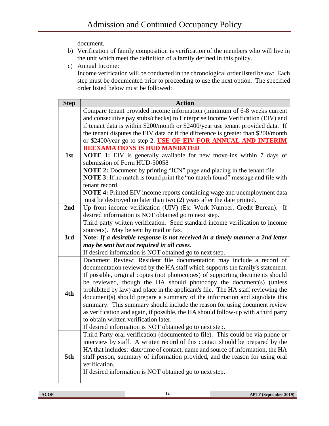document.

- b) Verification of family composition is verification of the members who will live in the unit which meet the definition of a family defined in this policy.
- c) Annual Income:

Income verification will be conducted in the chronological order listed below: Each step must be documented prior to proceeding to use the next option. The specified order listed below must be followed:

| <b>Step</b> | <b>Action</b>                                                                      |
|-------------|------------------------------------------------------------------------------------|
|             | Compare tenant provided income information (minimum of 6-8 weeks current           |
|             | and consecutive pay stubs/checks) to Enterprise Income Verification (EIV) and      |
|             | if tenant data is within \$200/month or \$2400/year use tenant provided data. If   |
|             | the tenant disputes the EIV data or if the difference is greater than \$200/month  |
|             | or \$2400/year go to step 2. USE OF EIV FOR ANNUAL AND INTERIM                     |
|             | <b>REEXAMATIONS IS HUD MANDATED</b>                                                |
| 1st         | <b>NOTE 1:</b> EIV is generally available for new move-ins within 7 days of        |
|             | submission of Form HUD-50058                                                       |
|             | NOTE 2: Document by printing "ICN" page and placing in the tenant file.            |
|             | NOTE 3: If no match is found print the "no match found" message and file with      |
|             | tenant record.                                                                     |
|             | <b>NOTE 4:</b> Printed EIV income reports containing wage and unemployment data    |
|             | must be destroyed no later than two (2) years after the date printed.              |
| 2nd         | Up front income verification (UIV) (Ex: Work Number, Credit Bureau). If            |
|             | desired information is NOT obtained go to next step.                               |
|             | Third party written verification. Send standard income verification to income      |
|             | source(s). May be sent by mail or fax.                                             |
| 3rd         | Note: If a desirable response is not received in a timely manner a 2nd letter      |
|             | may be sent but not required in all cases.                                         |
|             | If desired information is NOT obtained go to next step.                            |
|             | Document Review: Resident file documentation may include a record of               |
|             | documentation reviewed by the HA staff which supports the family's statement.      |
|             | If possible, original copies (not photocopies) of supporting documents should      |
|             | be reviewed, though the HA should photocopy the document(s) (unless                |
|             | prohibited by law) and place in the applicant's file. The HA staff reviewing the   |
| 4th         | document(s) should prepare a summary of the information and sign/date this         |
|             | summary. This summary should include the reason for using document review          |
|             | as verification and again, if possible, the HA should follow-up with a third party |
|             | to obtain written verification later.                                              |
|             | If desired information is NOT obtained go to next step.                            |
|             | Third Party oral verification (documented to file). This could be via phone or     |
|             | interview by staff. A written record of this contact should be prepared by the     |
| 5th         | HA that includes: date/time of contact, name and source of information, the HA     |
|             | staff person, summary of information provided, and the reason for using oral       |
|             | verification.                                                                      |
|             | If desired information is NOT obtained go to next step.                            |
|             |                                                                                    |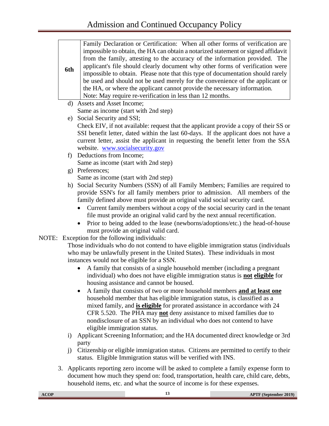| 6th          | Family Declaration or Certification: When all other forms of verification are<br>impossible to obtain, the HA can obtain a notarized statement or signed affidavit<br>from the family, attesting to the accuracy of the information provided. The<br>applicant's file should clearly document why other forms of verification were<br>impossible to obtain. Please note that this type of documentation should rarely<br>be used and should not be used merely for the convenience of the applicant or<br>the HA, or where the applicant cannot provide the necessary information.<br>Note: May require re-verification in less than 12 months. |
|--------------|-------------------------------------------------------------------------------------------------------------------------------------------------------------------------------------------------------------------------------------------------------------------------------------------------------------------------------------------------------------------------------------------------------------------------------------------------------------------------------------------------------------------------------------------------------------------------------------------------------------------------------------------------|
|              | d) Assets and Asset Income;                                                                                                                                                                                                                                                                                                                                                                                                                                                                                                                                                                                                                     |
|              | Same as income (start with 2nd step)                                                                                                                                                                                                                                                                                                                                                                                                                                                                                                                                                                                                            |
| e)           | Social Security and SSI;                                                                                                                                                                                                                                                                                                                                                                                                                                                                                                                                                                                                                        |
|              | Check EIV, if not available: request that the applicant provide a copy of their SS or                                                                                                                                                                                                                                                                                                                                                                                                                                                                                                                                                           |
|              | SSI benefit letter, dated within the last 60-days. If the applicant does not have a                                                                                                                                                                                                                                                                                                                                                                                                                                                                                                                                                             |
|              | current letter, assist the applicant in requesting the benefit letter from the SSA                                                                                                                                                                                                                                                                                                                                                                                                                                                                                                                                                              |
|              | website. www.socialsecurity.gov                                                                                                                                                                                                                                                                                                                                                                                                                                                                                                                                                                                                                 |
| f)           | Deductions from Income;                                                                                                                                                                                                                                                                                                                                                                                                                                                                                                                                                                                                                         |
|              | Same as income (start with 2nd step)                                                                                                                                                                                                                                                                                                                                                                                                                                                                                                                                                                                                            |
| $\mathbf{g}$ | Preferences;                                                                                                                                                                                                                                                                                                                                                                                                                                                                                                                                                                                                                                    |
|              | Same as income (start with 2nd step)<br>h) Social Security Numbers (SSN) of all Family Members; Families are required to                                                                                                                                                                                                                                                                                                                                                                                                                                                                                                                        |
|              | provide SSN's for all family members prior to admission. All members of the                                                                                                                                                                                                                                                                                                                                                                                                                                                                                                                                                                     |
|              | family defined above must provide an original valid social security card.                                                                                                                                                                                                                                                                                                                                                                                                                                                                                                                                                                       |
|              | Current family members without a copy of the social security card in the tenant                                                                                                                                                                                                                                                                                                                                                                                                                                                                                                                                                                 |
|              | file must provide an original valid card by the next annual recertification.                                                                                                                                                                                                                                                                                                                                                                                                                                                                                                                                                                    |
|              | Prior to being added to the lease (newborns/adoptions/etc.) the head-of-house<br>$\bullet$                                                                                                                                                                                                                                                                                                                                                                                                                                                                                                                                                      |
|              | must provide an original valid card.                                                                                                                                                                                                                                                                                                                                                                                                                                                                                                                                                                                                            |
|              | NOTE: Exception for the following individuals:                                                                                                                                                                                                                                                                                                                                                                                                                                                                                                                                                                                                  |
|              | Those individuals who do not contend to have eligible immigration status (individuals                                                                                                                                                                                                                                                                                                                                                                                                                                                                                                                                                           |
|              | who may be unlawfully present in the United States). These individuals in most                                                                                                                                                                                                                                                                                                                                                                                                                                                                                                                                                                  |
|              | instances would not be eligible for a SSN.                                                                                                                                                                                                                                                                                                                                                                                                                                                                                                                                                                                                      |
|              | A family that consists of a single household member (including a pregnant                                                                                                                                                                                                                                                                                                                                                                                                                                                                                                                                                                       |
|              | individual) who does not have eligible immigration status is <b>not eligible</b> for                                                                                                                                                                                                                                                                                                                                                                                                                                                                                                                                                            |
|              | housing assistance and cannot be housed.                                                                                                                                                                                                                                                                                                                                                                                                                                                                                                                                                                                                        |
|              | A family that consists of two or more household members and at least one<br>٠<br>household member that has eligible immigration status, is classified as a                                                                                                                                                                                                                                                                                                                                                                                                                                                                                      |
|              | mixed family, and is eligible for prorated assistance in accordance with 24                                                                                                                                                                                                                                                                                                                                                                                                                                                                                                                                                                     |
|              | CFR 5.520. The PHA may <b>not</b> deny assistance to mixed families due to                                                                                                                                                                                                                                                                                                                                                                                                                                                                                                                                                                      |
|              | nondisclosure of an SSN by an individual who does not contend to have                                                                                                                                                                                                                                                                                                                                                                                                                                                                                                                                                                           |
|              | eligible immigration status.                                                                                                                                                                                                                                                                                                                                                                                                                                                                                                                                                                                                                    |
| $\rm i)$     | Applicant Screening Information; and the HA documented direct knowledge or 3rd                                                                                                                                                                                                                                                                                                                                                                                                                                                                                                                                                                  |
|              | party                                                                                                                                                                                                                                                                                                                                                                                                                                                                                                                                                                                                                                           |
| j)           | Citizenship or eligible immigration status. Citizens are permitted to certify to their                                                                                                                                                                                                                                                                                                                                                                                                                                                                                                                                                          |
|              | status. Eligible Immigration status will be verified with INS.                                                                                                                                                                                                                                                                                                                                                                                                                                                                                                                                                                                  |
|              |                                                                                                                                                                                                                                                                                                                                                                                                                                                                                                                                                                                                                                                 |

3. Applicants reporting zero income will be asked to complete a family expense form to document how much they spend on: food, transportation, health care, child care, debts, household items, etc. and what the source of income is for these expenses.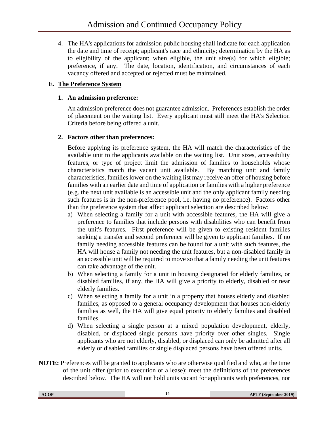4. The HA's applications for admission public housing shall indicate for each application the date and time of receipt; applicant's race and ethnicity; determination by the HA as to eligibility of the applicant; when eligible, the unit size(s) for which eligible; preference, if any. The date, location, identification, and circumstances of each vacancy offered and accepted or rejected must be maintained.

# <span id="page-19-1"></span><span id="page-19-0"></span>**E. The Preference System**

#### **1. An admission preference:**

An admission preference does not guarantee admission. Preferences establish the order of placement on the waiting list. Every applicant must still meet the HA's Selection Criteria before being offered a unit.

# <span id="page-19-2"></span>**2. Factors other than preferences:**

Before applying its preference system, the HA will match the characteristics of the available unit to the applicants available on the waiting list. Unit sizes, accessibility features, or type of project limit the admission of families to households whose characteristics match the vacant unit available. By matching unit and family characteristics, families lower on the waiting list may receive an offer of housing before families with an earlier date and time of application or families with a higher preference (e.g. the next unit available is an accessible unit and the only applicant family needing such features is in the non-preference pool, i.e. having no preference). Factors other than the preference system that affect applicant selection are described below:

- a) When selecting a family for a unit with accessible features, the HA will give a preference to families that include persons with disabilities who can benefit from the unit's features. First preference will be given to existing resident families seeking a transfer and second preference will be given to applicant families. If no family needing accessible features can be found for a unit with such features, the HA will house a family not needing the unit features, but a non-disabled family in an accessible unit will be required to move so that a family needing the unit features can take advantage of the unit.
- b) When selecting a family for a unit in housing designated for elderly families, or disabled families, if any, the HA will give a priority to elderly, disabled or near elderly families.
- c) When selecting a family for a unit in a property that houses elderly and disabled families, as opposed to a general occupancy development that houses non-elderly families as well, the HA will give equal priority to elderly families and disabled families.
- d) When selecting a single person at a mixed population development, elderly, disabled, or displaced single persons have priority over other singles. Single applicants who are not elderly, disabled, or displaced can only be admitted after all elderly or disabled families or single displaced persons have been offered units.
- **NOTE:** Preferences will be granted to applicants who are otherwise qualified and who, at the time of the unit offer (prior to execution of a lease); meet the definitions of the preferences described below. The HA will not hold units vacant for applicants with preferences, nor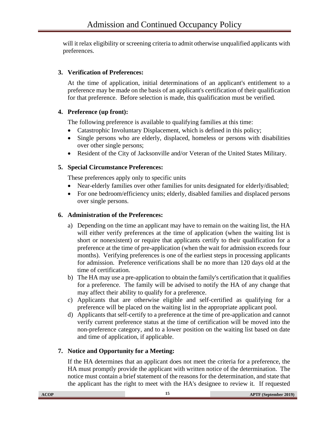will it relax eligibility or screening criteria to admit otherwise unqualified applicants with preferences.

# <span id="page-20-0"></span>**3. Verification of Preferences:**

At the time of application, initial determinations of an applicant's entitlement to a preference may be made on the basis of an applicant's certification of their qualification for that preference. Before selection is made, this qualification must be verified.

#### <span id="page-20-1"></span>**4. Preference (up front):**

The following preference is available to qualifying families at this time:

- Catastrophic Involuntary Displacement, which is defined in this policy;
- Single persons who are elderly, displaced, homeless or persons with disabilities over other single persons;
- Resident of the City of Jacksonville and/or Veteran of the United States Military.

#### <span id="page-20-2"></span>**5. Special Circumstance Preferences:**

These preferences apply only to specific units

- Near-elderly families over other families for units designated for elderly/disabled;
- For one bedroom/efficiency units; elderly, disabled families and displaced persons over single persons.

#### <span id="page-20-3"></span>**6. Administration of the Preferences:**

- a) Depending on the time an applicant may have to remain on the waiting list, the HA will either verify preferences at the time of application (when the waiting list is short or nonexistent) or require that applicants certify to their qualification for a preference at the time of pre-application (when the wait for admission exceeds four months). Verifying preferences is one of the earliest steps in processing applicants for admission. Preference verifications shall be no more than 120 days old at the time of certification.
- b) The HA may use a pre-application to obtain the family's certification that it qualifies for a preference. The family will be advised to notify the HA of any change that may affect their ability to qualify for a preference.
- c) Applicants that are otherwise eligible and self-certified as qualifying for a preference will be placed on the waiting list in the appropriate applicant pool.
- d) Applicants that self-certify to a preference at the time of pre-application and cannot verify current preference status at the time of certification will be moved into the non-preference category, and to a lower position on the waiting list based on date and time of application, if applicable.

# <span id="page-20-4"></span>**7. Notice and Opportunity for a Meeting:**

If the HA determines that an applicant does not meet the criteria for a preference, the HA must promptly provide the applicant with written notice of the determination. The notice must contain a brief statement of the reasons for the determination, and state that the applicant has the right to meet with the HA's designee to review it. If requested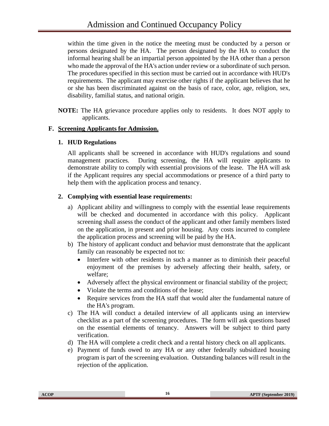within the time given in the notice the meeting must be conducted by a person or persons designated by the HA. The person designated by the HA to conduct the informal hearing shall be an impartial person appointed by the HA other than a person who made the approval of the HA's action under review or a subordinate of such person. The procedures specified in this section must be carried out in accordance with HUD's requirements. The applicant may exercise other rights if the applicant believes that he or she has been discriminated against on the basis of race, color, age, religion, sex, disability, familial status, and national origin.

**NOTE:** The HA grievance procedure applies only to residents. It does NOT apply to applicants.

# <span id="page-21-1"></span><span id="page-21-0"></span>**F. Screening Applicants for Admission.**

#### **1. HUD Regulations**

All applicants shall be screened in accordance with HUD's regulations and sound management practices. During screening, the HA will require applicants to demonstrate ability to comply with essential provisions of the lease. The HA will ask if the Applicant requires any special accommodations or presence of a third party to help them with the application process and tenancy.

# <span id="page-21-2"></span>**2. Complying with essential lease requirements:**

- a) Applicant ability and willingness to comply with the essential lease requirements will be checked and documented in accordance with this policy. Applicant screening shall assess the conduct of the applicant and other family members listed on the application, in present and prior housing. Any costs incurred to complete the application process and screening will be paid by the HA.
- b) The history of applicant conduct and behavior must demonstrate that the applicant family can reasonably be expected not to:
	- Interfere with other residents in such a manner as to diminish their peaceful enjoyment of the premises by adversely affecting their health, safety, or welfare;
	- Adversely affect the physical environment or financial stability of the project;
	- Violate the terms and conditions of the lease;
	- Require services from the HA staff that would alter the fundamental nature of the HA's program.
- c) The HA will conduct a detailed interview of all applicants using an interview checklist as a part of the screening procedures. The form will ask questions based on the essential elements of tenancy. Answers will be subject to third party verification.
- d) The HA will complete a credit check and a rental history check on all applicants.
- e) Payment of funds owed to any HA or any other federally subsidized housing program is part of the screening evaluation. Outstanding balances will result in the rejection of the application.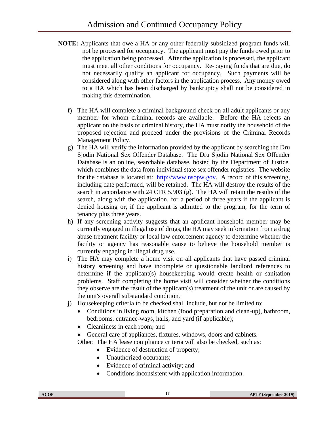- **NOTE:** Applicants that owe a HA or any other federally subsidized program funds will not be processed for occupancy. The applicant must pay the funds owed prior to the application being processed. After the application is processed, the applicant must meet all other conditions for occupancy. Re-paying funds that are due, do not necessarily qualify an applicant for occupancy. Such payments will be considered along with other factors in the application process. Any money owed to a HA which has been discharged by bankruptcy shall not be considered in making this determination.
	- f) The HA will complete a criminal background check on all adult applicants or any member for whom criminal records are available. Before the HA rejects an applicant on the basis of criminal history, the HA must notify the household of the proposed rejection and proceed under the provisions of the Criminal Records Management Policy.
	- g) The HA will verify the information provided by the applicant by searching the Dru Sjodin National Sex Offender Database. The Dru Sjodin National Sex Offender Database is an online, searchable database, hosted by the Department of Justice, which combines the data from individual state sex offender registries. The website for the database is located at: [http://www.nsopw.gov.](http://www.nsopw.gov/) A record of this screening, including date performed, will be retained. The HA will destroy the results of the search in accordance with 24 CFR 5.903 (g). The HA will retain the results of the search, along with the application, for a period of three years if the applicant is denied housing or, if the applicant is admitted to the program, for the term of tenancy plus three years.
	- h) If any screening activity suggests that an applicant household member may be currently engaged in illegal use of drugs, the HA may seek information from a drug abuse treatment facility or local law enforcement agency to determine whether the facility or agency has reasonable cause to believe the household member is currently engaging in illegal drug use.
	- i) The HA may complete a home visit on all applicants that have passed criminal history screening and have incomplete or questionable landlord references to determine if the applicant(s) housekeeping would create health or sanitation problems. Staff completing the home visit will consider whether the conditions they observe are the result of the applicant(s) treatment of the unit or are caused by the unit's overall substandard condition.
	- j) Housekeeping criteria to be checked shall include, but not be limited to:
		- Conditions in living room, kitchen (food preparation and clean-up), bathroom, bedrooms, entrance-ways, halls, and yard (if applicable);
		- Cleanliness in each room; and
		- General care of appliances, fixtures, windows, doors and cabinets.

Other: The HA lease compliance criteria will also be checked, such as:

- Evidence of destruction of property;
- Unauthorized occupants;
- Evidence of criminal activity; and
- Conditions inconsistent with application information.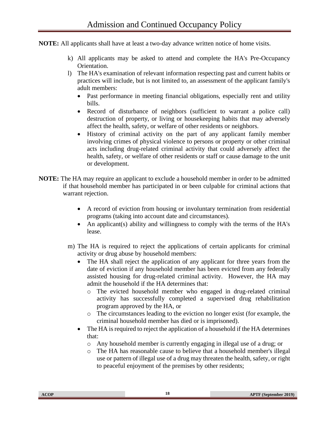**NOTE:** All applicants shall have at least a two-day advance written notice of home visits.

- k) All applicants may be asked to attend and complete the HA's Pre-Occupancy Orientation.
- l) The HA's examination of relevant information respecting past and current habits or practices will include, but is not limited to, an assessment of the applicant family's adult members:
	- Past performance in meeting financial obligations, especially rent and utility bills.
	- Record of disturbance of neighbors (sufficient to warrant a police call) destruction of property, or living or housekeeping habits that may adversely affect the health, safety, or welfare of other residents or neighbors.
	- History of criminal activity on the part of any applicant family member involving crimes of physical violence to persons or property or other criminal acts including drug-related criminal activity that could adversely affect the health, safety, or welfare of other residents or staff or cause damage to the unit or development.
- **NOTE:** The HA may require an applicant to exclude a household member in order to be admitted if that household member has participated in or been culpable for criminal actions that warrant rejection.
	- A record of eviction from housing or involuntary termination from residential programs (taking into account date and circumstances).
	- An applicant(s) ability and willingness to comply with the terms of the HA's lease.
	- m) The HA is required to reject the applications of certain applicants for criminal activity or drug abuse by household members:
		- The HA shall reject the application of any applicant for three years from the date of eviction if any household member has been evicted from any federally assisted housing for drug-related criminal activity. However, the HA may admit the household if the HA determines that:
			- o The evicted household member who engaged in drug-related criminal activity has successfully completed a supervised drug rehabilitation program approved by the HA, or
			- o The circumstances leading to the eviction no longer exist (for example, the criminal household member has died or is imprisoned).
		- The HA is required to reject the application of a household if the HA determines that:
			- o Any household member is currently engaging in illegal use of a drug; or
			- o The HA has reasonable cause to believe that a household member's illegal use or pattern of illegal use of a drug may threaten the health, safety, or right to peaceful enjoyment of the premises by other residents;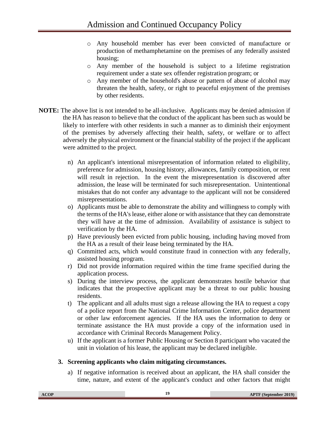- o Any household member has ever been convicted of manufacture or production of methamphetamine on the premises of any federally assisted housing;
- o Any member of the household is subject to a lifetime registration requirement under a state sex offender registration program; or
- o Any member of the household's abuse or pattern of abuse of alcohol may threaten the health, safety, or right to peaceful enjoyment of the premises by other residents.
- **NOTE:** The above list is not intended to be all-inclusive. Applicants may be denied admission if the HA has reason to believe that the conduct of the applicant has been such as would be likely to interfere with other residents in such a manner as to diminish their enjoyment of the premises by adversely affecting their health, safety, or welfare or to affect adversely the physical environment or the financial stability of the project if the applicant were admitted to the project.
	- n) An applicant's intentional misrepresentation of information related to eligibility, preference for admission, housing history, allowances, family composition, or rent will result in rejection. In the event the misrepresentation is discovered after admission, the lease will be terminated for such misrepresentation. Unintentional mistakes that do not confer any advantage to the applicant will not be considered misrepresentations.
	- o) Applicants must be able to demonstrate the ability and willingness to comply with the terms of the HA's lease, either alone or with assistance that they can demonstrate they will have at the time of admission. Availability of assistance is subject to verification by the HA.
	- p) Have previously been evicted from public housing, including having moved from the HA as a result of their lease being terminated by the HA.
	- q) Committed acts, which would constitute fraud in connection with any federally, assisted housing program.
	- r) Did not provide information required within the time frame specified during the application process.
	- s) During the interview process, the applicant demonstrates hostile behavior that indicates that the prospective applicant may be a threat to our public housing residents.
	- t) The applicant and all adults must sign a release allowing the HA to request a copy of a police report from the National Crime Information Center, police department or other law enforcement agencies. If the HA uses the information to deny or terminate assistance the HA must provide a copy of the information used in accordance with Criminal Records Management Policy.
	- u) If the applicant is a former Public Housing or Section 8 participant who vacated the unit in violation of his lease, the applicant may be declared ineligible.

#### <span id="page-24-0"></span>**3. Screening applicants who claim mitigating circumstances.**

a) If negative information is received about an applicant, the HA shall consider the time, nature, and extent of the applicant's conduct and other factors that might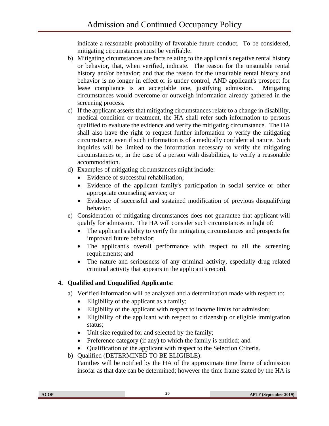indicate a reasonable probability of favorable future conduct. To be considered, mitigating circumstances must be verifiable.

- b) Mitigating circumstances are facts relating to the applicant's negative rental history or behavior, that, when verified, indicate. The reason for the unsuitable rental history and/or behavior; and that the reason for the unsuitable rental history and behavior is no longer in effect or is under control, AND applicant's prospect for lease compliance is an acceptable one, justifying admission. Mitigating circumstances would overcome or outweigh information already gathered in the screening process.
- c) If the applicant asserts that mitigating circumstances relate to a change in disability, medical condition or treatment, the HA shall refer such information to persons qualified to evaluate the evidence and verify the mitigating circumstance. The HA shall also have the right to request further information to verify the mitigating circumstance, even if such information is of a medically confidential nature. Such inquiries will be limited to the information necessary to verify the mitigating circumstances or, in the case of a person with disabilities, to verify a reasonable accommodation.
- d) Examples of mitigating circumstances might include:
	- Evidence of successful rehabilitation;
	- Evidence of the applicant family's participation in social service or other appropriate counseling service; or
	- Evidence of successful and sustained modification of previous disqualifying behavior.
- e) Consideration of mitigating circumstances does not guarantee that applicant will qualify for admission. The HA will consider such circumstances in light of:
	- The applicant's ability to verify the mitigating circumstances and prospects for improved future behavior;
	- The applicant's overall performance with respect to all the screening requirements; and
	- The nature and seriousness of any criminal activity, especially drug related criminal activity that appears in the applicant's record.

# <span id="page-25-0"></span>**4. Qualified and Unqualified Applicants:**

- a) Verified information will be analyzed and a determination made with respect to:
	- Eligibility of the applicant as a family;
	- Eligibility of the applicant with respect to income limits for admission;
	- Eligibility of the applicant with respect to citizenship or eligible immigration status;
	- Unit size required for and selected by the family;
	- Preference category (if any) to which the family is entitled; and
	- Qualification of the applicant with respect to the Selection Criteria.
- b) Qualified (DETERMINED TO BE ELIGIBLE):

Families will be notified by the HA of the approximate time frame of admission insofar as that date can be determined; however the time frame stated by the HA is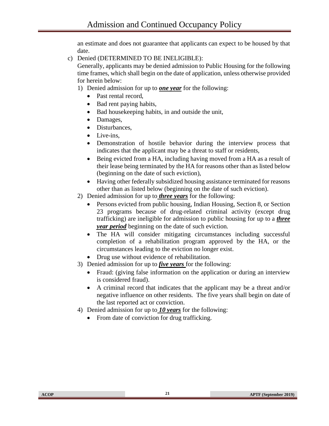an estimate and does not guarantee that applicants can expect to be housed by that date.

c) Denied (DETERMINED TO BE INELIGIBLE):

Generally, applicants may be denied admission to Public Housing for the following time frames, which shall begin on the date of application, unless otherwise provided for herein below:

1) Denied admission for up to *one year* for the following:

- Past rental record,
- Bad rent paying habits,
- Bad house keeping habits, in and outside the unit,
- Damages,
- Disturbances,
- Live-ins.
- Demonstration of hostile behavior during the interview process that indicates that the applicant may be a threat to staff or residents,
- Being evicted from a HA, including having moved from a HA as a result of their lease being terminated by the HA for reasons other than as listed below (beginning on the date of such eviction),
- Having other federally subsidized housing assistance terminated for reasons other than as listed below (beginning on the date of such eviction).
- 2) Denied admission for up to *three years* for the following:
	- Persons evicted from public housing, Indian Housing, Section 8, or Section 23 programs because of drug-related criminal activity (except drug trafficking) are ineligible for admission to public housing for up to a *three year period* beginning on the date of such eviction.
	- The HA will consider mitigating circumstances including successful completion of a rehabilitation program approved by the HA, or the circumstances leading to the eviction no longer exist.
	- Drug use without evidence of rehabilitation.
- 3) Denied admission for up to *five years* for the following:
	- Fraud: (giving false information on the application or during an interview is considered fraud).
	- A criminal record that indicates that the applicant may be a threat and/or negative influence on other residents. The five years shall begin on date of the last reported act or conviction.
- 4) Denied admission for up to *10 years* for the following:
	- From date of conviction for drug trafficking.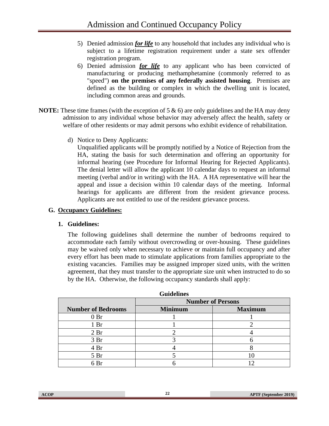- 5) Denied admission *for life* to any household that includes any individual who is subject to a lifetime registration requirement under a state sex offender registration program.
- 6) Denied admission *for life* to any applicant who has been convicted of manufacturing or producing methamphetamine (commonly referred to as "speed") **on the premises of any federally assisted housing**. Premises are defined as the building or complex in which the dwelling unit is located, including common areas and grounds.
- **NOTE:** These time frames (with the exception of 5 & 6) are only guidelines and the HA may deny admission to any individual whose behavior may adversely affect the health, safety or welfare of other residents or may admit persons who exhibit evidence of rehabilitation.
	- d) Notice to Deny Applicants:

Unqualified applicants will be promptly notified by a Notice of Rejection from the HA, stating the basis for such determination and offering an opportunity for informal hearing (see Procedure for Informal Hearing for Rejected Applicants). The denial letter will allow the applicant 10 calendar days to request an informal meeting (verbal and/or in writing) with the HA. A HA representative will hear the appeal and issue a decision within 10 calendar days of the meeting. Informal hearings for applicants are different from the resident grievance process. Applicants are not entitled to use of the resident grievance process.

#### <span id="page-27-1"></span><span id="page-27-0"></span>**G. Occupancy Guidelines:**

#### **1. Guidelines:**

The following guidelines shall determine the number of bedrooms required to accommodate each family without overcrowding or over-housing. These guidelines may be waived only when necessary to achieve or maintain full occupancy and after every effort has been made to stimulate applications from families appropriate to the existing vacancies. Families may be assigned improper sized units, with the written agreement, that they must transfer to the appropriate size unit when instructed to do so by the HA. Otherwise, the following occupancy standards shall apply:

|                           |                | <b>Number of Persons</b> |
|---------------------------|----------------|--------------------------|
| <b>Number of Bedrooms</b> | <b>Minimum</b> | <b>Maximum</b>           |
| 0Br                       |                |                          |
| 1 <sub>Br</sub>           |                |                          |
| 2 <sub>Br</sub>           |                |                          |
| 3 Br                      |                |                          |
| 4 Br                      |                |                          |
| 5 <sub>Br</sub>           |                |                          |
| 6 Br                      |                |                          |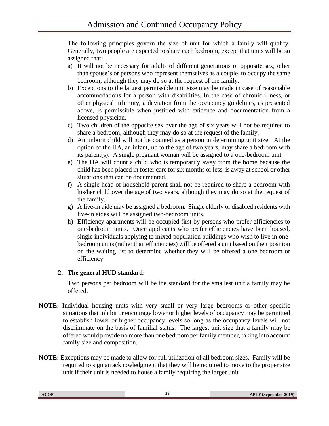The following principles govern the size of unit for which a family will qualify. Generally, two people are expected to share each bedroom, except that units will be so assigned that:

- a) It will not be necessary for adults of different generations or opposite sex, other than spouse's or persons who represent themselves as a couple, to occupy the same bedroom, although they may do so at the request of the family.
- b) Exceptions to the largest permissible unit size may be made in case of reasonable accommodations for a person with disabilities. In the case of chronic illness, or other physical infirmity, a deviation from the occupancy guidelines, as presented above, is permissible when justified with evidence and documentation from a licensed physician.
- c) Two children of the opposite sex over the age of six years will not be required to share a bedroom, although they may do so at the request of the family.
- d) An unborn child will not be counted as a person in determining unit size. At the option of the HA, an infant, up to the age of two years, may share a bedroom with its parent(s). A single pregnant woman will be assigned to a one-bedroom unit.
- e) The HA will count a child who is temporarily away from the home because the child has been placed in foster care for six months or less, is away at school or other situations that can be documented.
- f) A single head of household parent shall not be required to share a bedroom with his/her child over the age of two years, although they may do so at the request of the family.
- g) A live-in aide may be assigned a bedroom. Single elderly or disabled residents with live-in aides will be assigned two-bedroom units.
- h) Efficiency apartments will be occupied first by persons who prefer efficiencies to one-bedroom units. Once applicants who prefer efficiencies have been housed, single individuals applying to mixed population buildings who wish to live in onebedroom units (rather than efficiencies) will be offered a unit based on their position on the waiting list to determine whether they will be offered a one bedroom or efficiency.

# <span id="page-28-0"></span>**2. The general HUD standard:**

Two persons per bedroom will be the standard for the smallest unit a family may be offered.

- **NOTE:** Individual housing units with very small or very large bedrooms or other specific situations that inhibit or encourage lower or higher levels of occupancy may be permitted to establish lower or higher occupancy levels so long as the occupancy levels will not discriminate on the basis of familial status. The largest unit size that a family may be offered would provide no more than one bedroom per family member, taking into account family size and composition.
- **NOTE:** Exceptions may be made to allow for full utilization of all bedroom sizes. Family will be required to sign an acknowledgment that they will be required to move to the proper size unit if their unit is needed to house a family requiring the larger unit.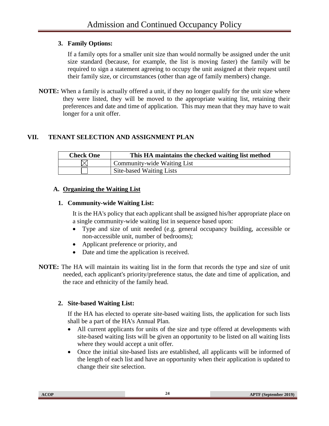# <span id="page-29-0"></span>**3. Family Options:**

If a family opts for a smaller unit size than would normally be assigned under the unit size standard (because, for example, the list is moving faster) the family will be required to sign a statement agreeing to occupy the unit assigned at their request until their family size, or circumstances (other than age of family members) change.

**NOTE:** When a family is actually offered a unit, if they no longer qualify for the unit size where they were listed, they will be moved to the appropriate waiting list, retaining their preferences and date and time of application. This may mean that they may have to wait longer for a unit offer.

# <span id="page-29-1"></span>**VII. TENANT SELECTION AND ASSIGNMENT PLAN**

| <b>Check One</b> | This HA maintains the checked waiting list method |
|------------------|---------------------------------------------------|
|                  | Community-wide Waiting List                       |
|                  | Site-based Waiting Lists                          |

# <span id="page-29-2"></span>**A. Organizing the Waiting List**

# <span id="page-29-3"></span>**1. Community-wide Waiting List:**

It is the HA's policy that each applicant shall be assigned his/her appropriate place on a single community-wide waiting list in sequence based upon:

- Type and size of unit needed (e.g. general occupancy building, accessible or non-accessible unit, number of bedrooms);
- Applicant preference or priority, and
- Date and time the application is received.
- **NOTE:** The HA will maintain its waiting list in the form that records the type and size of unit needed, each applicant's priority/preference status, the date and time of application, and the race and ethnicity of the family head.

# <span id="page-29-4"></span>**2. Site-based Waiting List:**

If the HA has elected to operate site-based waiting lists, the application for such lists shall be a part of the HA's Annual Plan.

- All current applicants for units of the size and type offered at developments with site-based waiting lists will be given an opportunity to be listed on all waiting lists where they would accept a unit offer.
- Once the initial site-based lists are established, all applicants will be informed of the length of each list and have an opportunity when their application is updated to change their site selection.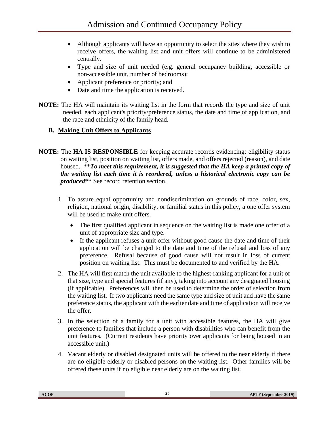- Although applicants will have an opportunity to select the sites where they wish to receive offers, the waiting list and unit offers will continue to be administered centrally.
- Type and size of unit needed (e.g. general occupancy building, accessible or non-accessible unit, number of bedrooms);
- Applicant preference or priority; and
- Date and time the application is received.
- **NOTE:** The HA will maintain its waiting list in the form that records the type and size of unit needed, each applicant's priority/preference status, the date and time of application, and the race and ethnicity of the family head.

# <span id="page-30-0"></span>**B. Making Unit Offers to Applicants**

- **NOTE:** The **HA IS RESPONSIBLE** for keeping accurate records evidencing: eligibility status on waiting list, position on waiting list, offers made, and offers rejected (reason), and date housed. \*\**To meet this requirement, it is suggested that the HA keep a printed copy of the waiting list each time it is reordered, unless a historical electronic copy can be produced*\*\* See record retention section.
	- 1. To assure equal opportunity and nondiscrimination on grounds of race, color, sex, religion, national origin, disability, or familial status in this policy, a one offer system will be used to make unit offers.
		- The first qualified applicant in sequence on the waiting list is made one offer of a unit of appropriate size and type.
		- If the applicant refuses a unit offer without good cause the date and time of their application will be changed to the date and time of the refusal and loss of any preference. Refusal because of good cause will not result in loss of current position on waiting list. This must be documented to and verified by the HA.
	- 2. The HA will first match the unit available to the highest-ranking applicant for a unit of that size, type and special features (if any), taking into account any designated housing (if applicable). Preferences will then be used to determine the order of selection from the waiting list. If two applicants need the same type and size of unit and have the same preference status, the applicant with the earlier date and time of application will receive the offer.
	- 3. In the selection of a family for a unit with accessible features, the HA will give preference to families that include a person with disabilities who can benefit from the unit features. (Current residents have priority over applicants for being housed in an accessible unit.)
	- 4. Vacant elderly or disabled designated units will be offered to the near elderly if there are no eligible elderly or disabled persons on the waiting list. Other families will be offered these units if no eligible near elderly are on the waiting list.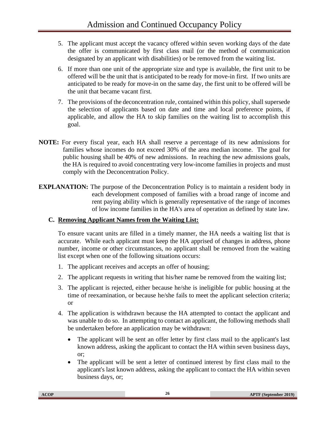- 5. The applicant must accept the vacancy offered within seven working days of the date the offer is communicated by first class mail (or the method of communication designated by an applicant with disabilities) or be removed from the waiting list.
- 6. If more than one unit of the appropriate size and type is available, the first unit to be offered will be the unit that is anticipated to be ready for move-in first. If two units are anticipated to be ready for move-in on the same day, the first unit to be offered will be the unit that became vacant first.
- 7. The provisions of the deconcentration rule, contained within this policy, shall supersede the selection of applicants based on date and time and local preference points, if applicable, and allow the HA to skip families on the waiting list to accomplish this goal.
- **NOTE:** For every fiscal year, each HA shall reserve a percentage of its new admissions for families whose incomes do not exceed 30% of the area median income. The goal for public housing shall be 40% of new admissions. In reaching the new admissions goals, the HA is required to avoid concentrating very low-income families in projects and must comply with the Deconcentration Policy.
- **EXPLANATION:** The purpose of the Deconcentration Policy is to maintain a resident body in each development composed of families with a broad range of income and rent paying ability which is generally representative of the range of incomes of low income families in the HA's area of operation as defined by state law.

# <span id="page-31-0"></span>**C. Removing Applicant Names from the Waiting List:**

To ensure vacant units are filled in a timely manner, the HA needs a waiting list that is accurate. While each applicant must keep the HA apprised of changes in address, phone number, income or other circumstances, no applicant shall be removed from the waiting list except when one of the following situations occurs:

- 1. The applicant receives and accepts an offer of housing;
- 2. The applicant requests in writing that his/her name be removed from the waiting list;
- 3. The applicant is rejected, either because he/she is ineligible for public housing at the time of reexamination, or because he/she fails to meet the applicant selection criteria; or
- 4. The application is withdrawn because the HA attempted to contact the applicant and was unable to do so. In attempting to contact an applicant, the following methods shall be undertaken before an application may be withdrawn:
	- The applicant will be sent an offer letter by first class mail to the applicant's last known address, asking the applicant to contact the HA within seven business days, or;
	- The applicant will be sent a letter of continued interest by first class mail to the applicant's last known address, asking the applicant to contact the HA within seven business days, or;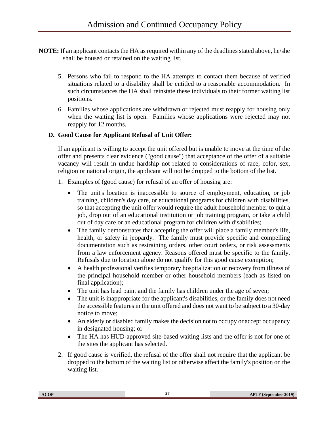- **NOTE:** If an applicant contacts the HA as required within any of the deadlines stated above, he/she shall be housed or retained on the waiting list.
	- 5. Persons who fail to respond to the HA attempts to contact them because of verified situations related to a disability shall be entitled to a reasonable accommodation. In such circumstances the HA shall reinstate these individuals to their former waiting list positions.
	- 6. Families whose applications are withdrawn or rejected must reapply for housing only when the waiting list is open. Families whose applications were rejected may not reapply for 12 months.

#### <span id="page-32-0"></span>**D. Good Cause for Applicant Refusal of Unit Offer:**

If an applicant is willing to accept the unit offered but is unable to move at the time of the offer and presents clear evidence ("good cause") that acceptance of the offer of a suitable vacancy will result in undue hardship not related to considerations of race, color, sex, religion or national origin, the applicant will not be dropped to the bottom of the list.

- 1. Examples of (good cause) for refusal of an offer of housing are:
	- The unit's location is inaccessible to source of employment, education, or job training, children's day care, or educational programs for children with disabilities, so that accepting the unit offer would require the adult household member to quit a job, drop out of an educational institution or job training program, or take a child out of day care or an educational program for children with disabilities;
	- The family demonstrates that accepting the offer will place a family member's life, health, or safety in jeopardy. The family must provide specific and compelling documentation such as restraining orders, other court orders, or risk assessments from a law enforcement agency. Reasons offered must be specific to the family. Refusals due to location alone do not qualify for this good cause exemption;
	- A health professional verifies temporary hospitalization or recovery from illness of the principal household member or other household members (each as listed on final application);
	- The unit has lead paint and the family has children under the age of seven;
	- The unit is inappropriate for the applicant's disabilities, or the family does not need the accessible features in the unit offered and does not want to be subject to a 30-day notice to move;
	- An elderly or disabled family makes the decision not to occupy or accept occupancy in designated housing; or
	- The HA has HUD-approved site-based waiting lists and the offer is not for one of the sites the applicant has selected.
- 2. If good cause is verified, the refusal of the offer shall not require that the applicant be dropped to the bottom of the waiting list or otherwise affect the family's position on the waiting list.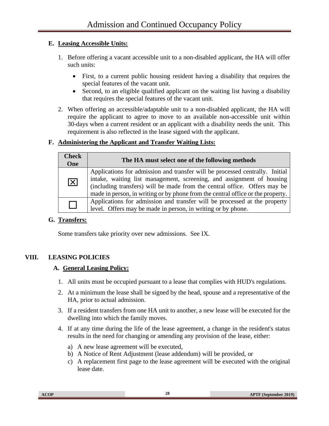#### <span id="page-33-0"></span>**E. Leasing Accessible Units:**

- 1. Before offering a vacant accessible unit to a non-disabled applicant, the HA will offer such units:
	- First, to a current public housing resident having a disability that requires the special features of the vacant unit.
	- Second, to an eligible qualified applicant on the waiting list having a disability that requires the special features of the vacant unit.
- 2. When offering an accessible/adaptable unit to a non-disabled applicant, the HA will require the applicant to agree to move to an available non-accessible unit within 30-days when a current resident or an applicant with a disability needs the unit. This requirement is also reflected in the lease signed with the applicant.

#### <span id="page-33-1"></span>**F. Administering the Applicant and Transfer Waiting Lists:**

| <b>Check</b><br>One    | The HA must select one of the following methods                                                                                                                                                                                                                                                                       |  |
|------------------------|-----------------------------------------------------------------------------------------------------------------------------------------------------------------------------------------------------------------------------------------------------------------------------------------------------------------------|--|
| $\vert\mathsf{X}\vert$ | Applications for admission and transfer will be processed centrally. Initial<br>intake, waiting list management, screening, and assignment of housing<br>(including transfers) will be made from the central office. Offers may be<br>made in person, in writing or by phone from the central office or the property. |  |
|                        | Applications for admission and transfer will be processed at the property<br>level. Offers may be made in person, in writing or by phone.                                                                                                                                                                             |  |

# <span id="page-33-2"></span>**G. Transfers:**

Some transfers take priority over new admissions. See IX.

# <span id="page-33-4"></span><span id="page-33-3"></span>**VIII. LEASING POLICIES**

#### **A. General Leasing Policy:**

- 1. All units must be occupied pursuant to a lease that complies with HUD's regulations.
- 2. At a minimum the lease shall be signed by the head, spouse and a representative of the HA, prior to actual admission.
- 3. If a resident transfers from one HA unit to another, a new lease will be executed for the dwelling into which the family moves.
- 4. If at any time during the life of the lease agreement, a change in the resident's status results in the need for changing or amending any provision of the lease, either:
	- a) A new lease agreement will be executed,
	- b) A Notice of Rent Adjustment (lease addendum) will be provided, or
	- c) A replacement first page to the lease agreement will be executed with the original lease date.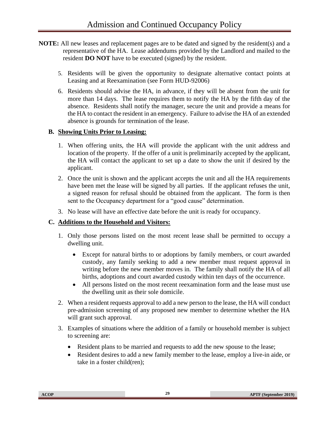- **NOTE:** All new leases and replacement pages are to be dated and signed by the resident(s) and a representative of the HA. Lease addendums provided by the Landlord and mailed to the resident **DO NOT** have to be executed (signed) by the resident.
	- 5. Residents will be given the opportunity to designate alternative contact points at Leasing and at Reexamination (see Form HUD-92006)
	- 6. Residents should advise the HA, in advance, if they will be absent from the unit for more than 14 days. The lease requires them to notify the HA by the fifth day of the absence. Residents shall notify the manager, secure the unit and provide a means for the HA to contact the resident in an emergency. Failure to advise the HA of an extended absence is grounds for termination of the lease.

#### <span id="page-34-0"></span>**B. Showing Units Prior to Leasing:**

- 1. When offering units, the HA will provide the applicant with the unit address and location of the property. If the offer of a unit is preliminarily accepted by the applicant, the HA will contact the applicant to set up a date to show the unit if desired by the applicant.
- 2. Once the unit is shown and the applicant accepts the unit and all the HA requirements have been met the lease will be signed by all parties. If the applicant refuses the unit, a signed reason for refusal should be obtained from the applicant. The form is then sent to the Occupancy department for a "good cause" determination.
- 3. No lease will have an effective date before the unit is ready for occupancy.

# <span id="page-34-1"></span>**C. Additions to the Household and Visitors:**

- 1. Only those persons listed on the most recent lease shall be permitted to occupy a dwelling unit.
	- Except for natural births to or adoptions by family members, or court awarded custody, any family seeking to add a new member must request approval in writing before the new member moves in. The family shall notify the HA of all births, adoptions and court awarded custody within ten days of the occurrence.
	- All persons listed on the most recent reexamination form and the lease must use the dwelling unit as their sole domicile.
- 2. When a resident requests approval to add a new person to the lease, the HA will conduct pre-admission screening of any proposed new member to determine whether the HA will grant such approval.
- 3. Examples of situations where the addition of a family or household member is subject to screening are:
	- Resident plans to be married and requests to add the new spouse to the lease;
	- Resident desires to add a new family member to the lease, employ a live-in aide, or take in a foster child(ren);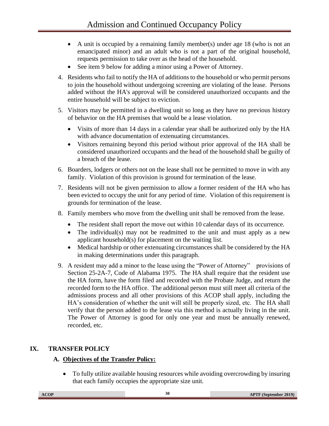- A unit is occupied by a remaining family member(s) under age 18 (who is not an emancipated minor) and an adult who is not a part of the original household, requests permission to take over as the head of the household.
- See item 9 below for adding a minor using a Power of Attorney.
- 4. Residents who fail to notify the HA of additions to the household or who permit persons to join the household without undergoing screening are violating of the lease. Persons added without the HA's approval will be considered unauthorized occupants and the entire household will be subject to eviction.
- 5. Visitors may be permitted in a dwelling unit so long as they have no previous history of behavior on the HA premises that would be a lease violation.
	- Visits of more than 14 days in a calendar year shall be authorized only by the HA with advance documentation of extenuating circumstances.
	- Visitors remaining beyond this period without prior approval of the HA shall be considered unauthorized occupants and the head of the household shall be guilty of a breach of the lease.
- 6. Boarders, lodgers or others not on the lease shall not be permitted to move in with any family. Violation of this provision is ground for termination of the lease.
- 7. Residents will not be given permission to allow a former resident of the HA who has been evicted to occupy the unit for any period of time. Violation of this requirement is grounds for termination of the lease.
- 8. Family members who move from the dwelling unit shall be removed from the lease.
	- The resident shall report the move out within 10 calendar days of its occurrence.
	- The individual(s) may not be readmitted to the unit and must apply as a new applicant household(s) for placement on the waiting list.
	- Medical hardship or other extenuating circumstances shall be considered by the HA in making determinations under this paragraph.
- 9. A resident may add a minor to the lease using the "Power of Attorney" provisions of Section 25-2A-7, Code of Alabama 1975. The HA shall require that the resident use the HA form, have the form filed and recorded with the Probate Judge, and return the recorded form to the HA office. The additional person must still meet all criteria of the admissions process and all other provisions of this ACOP shall apply, including the HA's consideration of whether the unit will still be properly sized, etc. The HA shall verify that the person added to the lease via this method is actually living in the unit. The Power of Attorney is good for only one year and must be annually renewed, recorded, etc.

# <span id="page-35-1"></span><span id="page-35-0"></span>**IX. TRANSFER POLICY**

# **A. Objectives of the Transfer Policy:**

• To fully utilize available housing resources while avoiding overcrowding by insuring that each family occupies the appropriate size unit.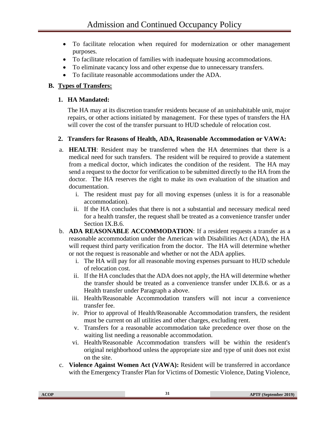- To facilitate relocation when required for modernization or other management purposes.
- To facilitate relocation of families with inadequate housing accommodations.
- To eliminate vacancy loss and other expense due to unnecessary transfers.
- To facilitate reasonable accommodations under the ADA.

## **B. Types of Transfers:**

## **1. HA Mandated:**

The HA may at its discretion transfer residents because of an uninhabitable unit, major repairs, or other actions initiated by management. For these types of transfers the HA will cover the cost of the transfer pursuant to HUD schedule of relocation cost.

## **2. Transfers for Reasons of Health, ADA, Reasonable Accommodation or VAWA:**

- a. **HEALTH**: Resident may be transferred when the HA determines that there is a medical need for such transfers. The resident will be required to provide a statement from a medical doctor, which indicates the condition of the resident. The HA may send a request to the doctor for verification to be submitted directly to the HA from the doctor. The HA reserves the right to make its own evaluation of the situation and documentation.
	- i. The resident must pay for all moving expenses (unless it is for a reasonable accommodation).
	- ii. If the HA concludes that there is not a substantial and necessary medical need for a health transfer, the request shall be treated as a convenience transfer under Section IX.B.6.
- b. **ADA REASONABLE ACCOMMODATION**: If a resident requests a transfer as a reasonable accommodation under the American with Disabilities Act (ADA), the HA will request third party verification from the doctor. The HA will determine whether or not the request is reasonable and whether or not the ADA applies.
	- i. The HA will pay for all reasonable moving expenses pursuant to HUD schedule of relocation cost.
	- ii. If the HA concludes that the ADA does not apply, the HA will determine whether the transfer should be treated as a convenience transfer under IX.B.6. or as a Health transfer under Paragraph a above.
	- iii. Health/Reasonable Accommodation transfers will not incur a convenience transfer fee.
	- iv. Prior to approval of Health/Reasonable Accommodation transfers, the resident must be current on all utilities and other charges, excluding rent.
	- v. Transfers for a reasonable accommodation take precedence over those on the waiting list needing a reasonable accommodation.
	- vi. Health/Reasonable Accommodation transfers will be within the resident's original neighborhood unless the appropriate size and type of unit does not exist on the site.
- c. **Violence Against Women Act (VAWA):** Resident will be transferred in accordance with the Emergency Transfer Plan for Victims of Domestic Violence, Dating Violence,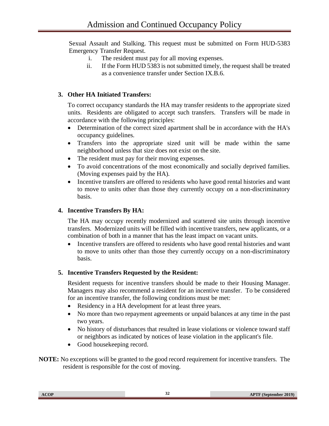Sexual Assault and Stalking. This request must be submitted on Form HUD-5383 Emergency Transfer Request.

- i. The resident must pay for all moving expenses.
- ii. If the Form HUD 5383 is not submitted timely, the request shall be treated as a convenience transfer under Section IX.B.6.

# **3. Other HA Initiated Transfers:**

To correct occupancy standards the HA may transfer residents to the appropriate sized units. Residents are obligated to accept such transfers. Transfers will be made in accordance with the following principles:

- Determination of the correct sized apartment shall be in accordance with the HA's occupancy guidelines.
- Transfers into the appropriate sized unit will be made within the same neighborhood unless that size does not exist on the site.
- The resident must pay for their moving expenses.
- To avoid concentrations of the most economically and socially deprived families. (Moving expenses paid by the HA).
- Incentive transfers are offered to residents who have good rental histories and want to move to units other than those they currently occupy on a non-discriminatory basis.

## **4. Incentive Transfers By HA:**

The HA may occupy recently modernized and scattered site units through incentive transfers. Modernized units will be filled with incentive transfers, new applicants, or a combination of both in a manner that has the least impact on vacant units.

• Incentive transfers are offered to residents who have good rental histories and want to move to units other than those they currently occupy on a non-discriminatory basis.

## **5. Incentive Transfers Requested by the Resident:**

Resident requests for incentive transfers should be made to their Housing Manager. Managers may also recommend a resident for an incentive transfer. To be considered for an incentive transfer, the following conditions must be met:

- Residency in a HA development for at least three years.
- No more than two repayment agreements or unpaid balances at any time in the past two years.
- No history of disturbances that resulted in lease violations or violence toward staff or neighbors as indicated by notices of lease violation in the applicant's file.
- Good housekeeping record.

**NOTE:** No exceptions will be granted to the good record requirement for incentive transfers. The resident is responsible for the cost of moving.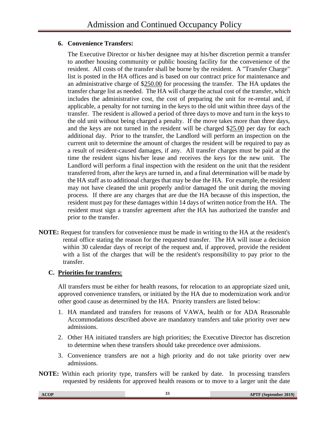## **6. Convenience Transfers:**

The Executive Director or his/her designee may at his/her discretion permit a transfer to another housing community or public housing facility for the convenience of the resident. All costs of the transfer shall be borne by the resident. A "Transfer Charge" list is posted in the HA offices and is based on our contract price for maintenance and an administrative charge of \$250.00 for processing the transfer. The HA updates the transfer charge list as needed. The HA will charge the actual cost of the transfer, which includes the administrative cost, the cost of preparing the unit for re-rental and, if applicable, a penalty for not turning in the keys to the old unit within three days of the transfer. The resident is allowed a period of three days to move and turn in the keys to the old unit without being charged a penalty. If the move takes more than three days, and the keys are not turned in the resident will be charged \$25.00 per day for each additional day. Prior to the transfer, the Landlord will perform an inspection on the current unit to determine the amount of charges the resident will be required to pay as a result of resident-caused damages, if any. All transfer charges must be paid at the time the resident signs his/her lease and receives the keys for the new unit. The Landlord will perform a final inspection with the resident on the unit that the resident transferred from, after the keys are turned in, and a final determination will be made by the HA staff as to additional charges that may be due the HA. For example, the resident may not have cleaned the unit properly and/or damaged the unit during the moving process. If there are any charges that are due the HA because of this inspection, the resident must pay for these damages within 14 days of written notice from the HA. The resident must sign a transfer agreement after the HA has authorized the transfer and prior to the transfer.

**NOTE:** Request for transfers for convenience must be made in writing to the HA at the resident's rental office stating the reason for the requested transfer. The HA will issue a decision within 30 calendar days of receipt of the request and, if approved, provide the resident with a list of the charges that will be the resident's responsibility to pay prior to the transfer.

# **C. Priorities for transfers:**

All transfers must be either for health reasons, for relocation to an appropriate sized unit, approved convenience transfers, or initiated by the HA due to modernization work and/or other good cause as determined by the HA. Priority transfers are listed below:

- 1. HA mandated and transfers for reasons of VAWA, health or for ADA Reasonable Accommodations described above are mandatory transfers and take priority over new admissions.
- 2. Other HA initiated transfers are high priorities; the Executive Director has discretion to determine when these transfers should take precedence over admissions.
- 3. Convenience transfers are not a high priority and do not take priority over new admissions.
- **NOTE:** Within each priority type, transfers will be ranked by date. In processing transfers requested by residents for approved health reasons or to move to a larger unit the date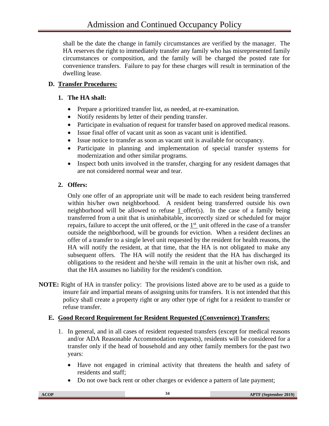shall be the date the change in family circumstances are verified by the manager. The HA reserves the right to immediately transfer any family who has misrepresented family circumstances or composition, and the family will be charged the posted rate for convenience transfers. Failure to pay for these charges will result in termination of the dwelling lease.

# **D. Transfer Procedures:**

# **1. The HA shall:**

- Prepare a prioritized transfer list, as needed, at re-examination.
- Notify residents by letter of their pending transfer.
- Participate in evaluation of request for transfer based on approved medical reasons.
- Issue final offer of vacant unit as soon as vacant unit is identified.
- Issue notice to transfer as soon as vacant unit is available for occupancy.
- Participate in planning and implementation of special transfer systems for modernization and other similar programs.
- Inspect both units involved in the transfer, charging for any resident damages that are not considered normal wear and tear.

# **2. Offers:**

Only one offer of an appropriate unit will be made to each resident being transferred within his/her own neighborhood. A resident being transferred outside his own neighborhood will be allowed to refuse 1 offer(s). In the case of a family being transferred from a unit that is uninhabitable, incorrectly sized or scheduled for major repairs, failure to accept the unit offered, or the  $1<sup>st</sup>$  unit offered in the case of a transfer outside the neighborhood, will be grounds for eviction. When a resident declines an offer of a transfer to a single level unit requested by the resident for health reasons, the HA will notify the resident, at that time, that the HA is not obligated to make any subsequent offers. The HA will notify the resident that the HA has discharged its obligations to the resident and he/she will remain in the unit at his/her own risk, and that the HA assumes no liability for the resident's condition.

**NOTE:** Right of HA in transfer policy: The provisions listed above are to be used as a guide to insure fair and impartial means of assigning units for transfers. It is not intended that this policy shall create a property right or any other type of right for a resident to transfer or refuse transfer.

# **E. Good Record Requirement for Resident Requested (Convenience) Transfers:**

- 1. In general, and in all cases of resident requested transfers (except for medical reasons and/or ADA Reasonable Accommodation requests), residents will be considered for a transfer only if the head of household and any other family members for the past two years:
	- Have not engaged in criminal activity that threatens the health and safety of residents and staff;
	- Do not owe back rent or other charges or evidence a pattern of late payment;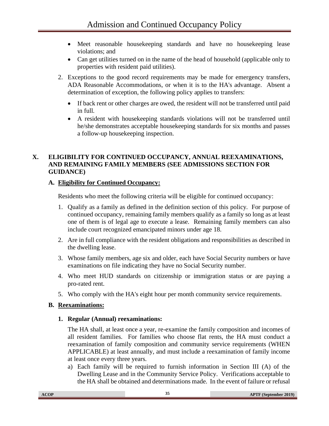- Meet reasonable housekeeping standards and have no housekeeping lease violations; and
- Can get utilities turned on in the name of the head of household (applicable only to properties with resident paid utilities).
- 2. Exceptions to the good record requirements may be made for emergency transfers, ADA Reasonable Accommodations, or when it is to the HA's advantage. Absent a determination of exception, the following policy applies to transfers:
	- If back rent or other charges are owed, the resident will not be transferred until paid in full.
	- A resident with housekeeping standards violations will not be transferred until he/she demonstrates acceptable housekeeping standards for six months and passes a follow-up housekeeping inspection.

## **X. ELIGIBILITY FOR CONTINUED OCCUPANCY, ANNUAL REEXAMINATIONS, AND REMAINING FAMILY MEMBERS (SEE ADMISSIONS SECTION FOR GUIDANCE)**

## **A. Eligibility for Continued Occupancy:**

Residents who meet the following criteria will be eligible for continued occupancy:

- 1. Qualify as a family as defined in the definition section of this policy. For purpose of continued occupancy, remaining family members qualify as a family so long as at least one of them is of legal age to execute a lease. Remaining family members can also include court recognized emancipated minors under age 18.
- 2. Are in full compliance with the resident obligations and responsibilities as described in the dwelling lease.
- 3. Whose family members, age six and older, each have Social Security numbers or have examinations on file indicating they have no Social Security number.
- 4. Who meet HUD standards on citizenship or immigration status or are paying a pro-rated rent.
- 5. Who comply with the HA's eight hour per month community service requirements.

# **B. Reexaminations:**

# **1. Regular (Annual) reexaminations:**

The HA shall, at least once a year, re-examine the family composition and incomes of all resident families. For families who choose flat rents, the HA must conduct a reexamination of family composition and community service requirements (WHEN APPLICABLE) at least annually, and must include a reexamination of family income at least once every three years.

a) Each family will be required to furnish information in Section III (A) of the Dwelling Lease and in the Community Service Policy. Verifications acceptable to the HA shall be obtained and determinations made. In the event of failure or refusal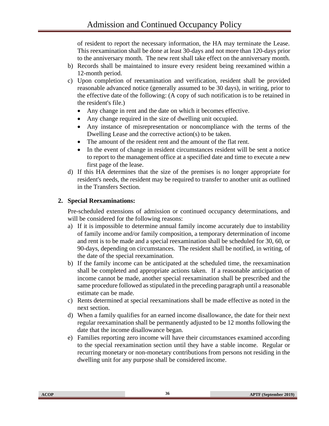of resident to report the necessary information, the HA may terminate the Lease. This reexamination shall be done at least 30-days and not more than 120-days prior to the anniversary month. The new rent shall take effect on the anniversary month.

- b) Records shall be maintained to insure every resident being reexamined within a 12-month period.
- c) Upon completion of reexamination and verification, resident shall be provided reasonable advanced notice (generally assumed to be 30 days), in writing, prior to the effective date of the following: (A copy of such notification is to be retained in the resident's file.)
	- Any change in rent and the date on which it becomes effective.
	- Any change required in the size of dwelling unit occupied.
	- Any instance of misrepresentation or noncompliance with the terms of the Dwelling Lease and the corrective action(s) to be taken.
	- The amount of the resident rent and the amount of the flat rent.
	- In the event of change in resident circumstances resident will be sent a notice to report to the management office at a specified date and time to execute a new first page of the lease.
- d) If this HA determines that the size of the premises is no longer appropriate for resident's needs, the resident may be required to transfer to another unit as outlined in the Transfers Section.

## **2. Special Reexaminations:**

Pre-scheduled extensions of admission or continued occupancy determinations, and will be considered for the following reasons:

- a) If it is impossible to determine annual family income accurately due to instability of family income and/or family composition, a temporary determination of income and rent is to be made and a special reexamination shall be scheduled for 30, 60, or 90-days, depending on circumstances. The resident shall be notified, in writing, of the date of the special reexamination.
- b) If the family income can be anticipated at the scheduled time, the reexamination shall be completed and appropriate actions taken. If a reasonable anticipation of income cannot be made, another special reexamination shall be prescribed and the same procedure followed as stipulated in the preceding paragraph until a reasonable estimate can be made.
- c) Rents determined at special reexaminations shall be made effective as noted in the next section.
- d) When a family qualifies for an earned income disallowance, the date for their next regular reexamination shall be permanently adjusted to be 12 months following the date that the income disallowance began.
- e) Families reporting zero income will have their circumstances examined according to the special reexamination section until they have a stable income. Regular or recurring monetary or non-monetary contributions from persons not residing in the dwelling unit for any purpose shall be considered income.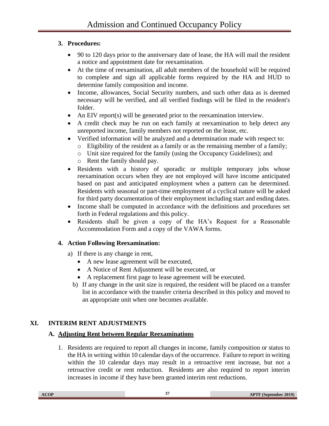# **3. Procedures:**

- 90 to 120 days prior to the anniversary date of lease, the HA will mail the resident a notice and appointment date for reexamination.
- At the time of reexamination, all adult members of the household will be required to complete and sign all applicable forms required by the HA and HUD to determine family composition and income.
- Income, allowances, Social Security numbers, and such other data as is deemed necessary will be verified, and all verified findings will be filed in the resident's folder.
- An EIV report(s) will be generated prior to the reexamination interview.
- A credit check may be run on each family at reexamination to help detect any unreported income, family members not reported on the lease, etc.
- Verified information will be analyzed and a determination made with respect to:
	- o Eligibility of the resident as a family or as the remaining member of a family;
	- o Unit size required for the family (using the Occupancy Guidelines); and
	- o Rent the family should pay.
- Residents with a history of sporadic or multiple temporary jobs whose reexamination occurs when they are not employed will have income anticipated based on past and anticipated employment when a pattern can be determined. Residents with seasonal or part-time employment of a cyclical nature will be asked for third party documentation of their employment including start and ending dates.
- Income shall be computed in accordance with the definitions and procedures set forth in Federal regulations and this policy.
- Residents shall be given a copy of the HA's Request for a Reasonable Accommodation Form and a copy of the VAWA forms.

# **4. Action Following Reexamination:**

- a) If there is any change in rent,
	- A new lease agreement will be executed,
	- A Notice of Rent Adjustment will be executed, or
	- A replacement first page to lease agreement will be executed.
	- b) If any change in the unit size is required, the resident will be placed on a transfer list in accordance with the transfer criteria described in this policy and moved to an appropriate unit when one becomes available.

# **XI. INTERIM RENT ADJUSTMENTS**

# **A. Adjusting Rent between Regular Reexaminations**

1. Residents are required to report all changes in income, family composition or status to the HA in writing within 10 calendar days of the occurrence. Failure to report in writing within the 10 calendar days may result in a retroactive rent increase, but not a retroactive credit or rent reduction. Residents are also required to report interim increases in income if they have been granted interim rent reductions.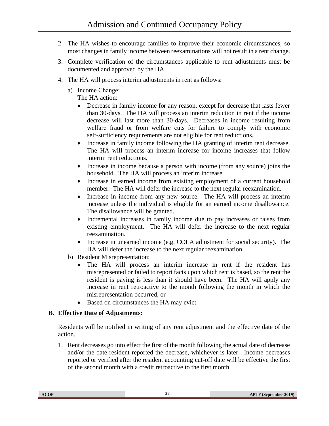- 2. The HA wishes to encourage families to improve their economic circumstances, so most changes in family income between reexaminations will not result in a rent change.
- 3. Complete verification of the circumstances applicable to rent adjustments must be documented and approved by the HA.
- 4. The HA will process interim adjustments in rent as follows:
	- a) Income Change:

The HA action:

- Decrease in family income for any reason, except for decrease that lasts fewer than 30-days. The HA will process an interim reduction in rent if the income decrease will last more than 30-days. Decreases in income resulting from welfare fraud or from welfare cuts for failure to comply with economic self-sufficiency requirements are not eligible for rent reductions.
- Increase in family income following the HA granting of interim rent decrease. The HA will process an interim increase for income increases that follow interim rent reductions.
- Increase in income because a person with income (from any source) joins the household. The HA will process an interim increase.
- Increase in earned income from existing employment of a current household member. The HA will defer the increase to the next regular reexamination.
- Increase in income from any new source. The HA will process an interim increase unless the individual is eligible for an earned income disallowance. The disallowance will be granted.
- Incremental increases in family income due to pay increases or raises from existing employment. The HA will defer the increase to the next regular reexamination.
- Increase in unearned income (e.g. COLA adjustment for social security). The HA will defer the increase to the next regular reexamination.
- b) Resident Misrepresentation:
	- The HA will process an interim increase in rent if the resident has misrepresented or failed to report facts upon which rent is based, so the rent the resident is paying is less than it should have been. The HA will apply any increase in rent retroactive to the month following the month in which the misrepresentation occurred, or
	- Based on circumstances the HA may evict.

#### **B. Effective Date of Adjustments:**

Residents will be notified in writing of any rent adjustment and the effective date of the action.

1. Rent decreases go into effect the first of the month following the actual date of decrease and/or the date resident reported the decrease, whichever is later. Income decreases reported or verified after the resident accounting cut-off date will be effective the first of the second month with a credit retroactive to the first month.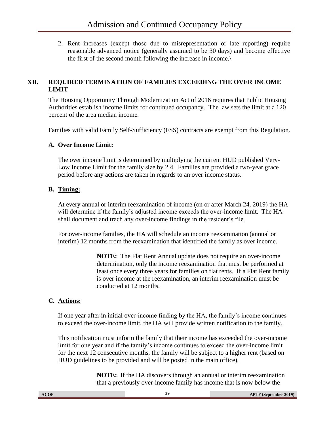2. Rent increases (except those due to misrepresentation or late reporting) require reasonable advanced notice (generally assumed to be 30 days) and become effective the first of the second month following the increase in income.\

## **XII. REQUIRED TERMINATION OF FAMILIES EXCEEDING THE OVER INCOME LIMIT**

The Housing Opportunity Through Modernization Act of 2016 requires that Public Housing Authorities establish income limits for continued occupancy. The law sets the limit at a 120 percent of the area median income.

Families with valid Family Self-Sufficiency (FSS) contracts are exempt from this Regulation.

#### **A. Over Income Limit:**

The over income limit is determined by multiplying the current HUD published Very-Low Income Limit for the family size by 2.4. Families are provided a two-year grace period before any actions are taken in regards to an over income status.

#### **B. Timing:**

At every annual or interim reexamination of income (on or after March 24, 2019) the HA will determine if the family's adjusted income exceeds the over-income limit. The HA shall document and trach any over-income findings in the resident's file.

For over-income families, the HA will schedule an income reexamination (annual or interim) 12 months from the reexamination that identified the family as over income.

> **NOTE:** The Flat Rent Annual update does not require an over-income determination, only the income reexamination that must be performed at least once every three years for families on flat rents. If a Flat Rent family is over income at the reexamination, an interim reexamination must be conducted at 12 months.

#### **C. Actions:**

If one year after in initial over-income finding by the HA, the family's income continues to exceed the over-income limit, the HA will provide written notification to the family.

This notification must inform the family that their income has exceeded the over-income limit for one year and if the family's income continues to exceed the over-income limit for the next 12 consecutive months, the family will be subject to a higher rent (based on HUD guidelines to be provided and will be posted in the main office).

> **NOTE:** If the HA discovers through an annual or interim reexamination that a previously over-income family has income that is now below the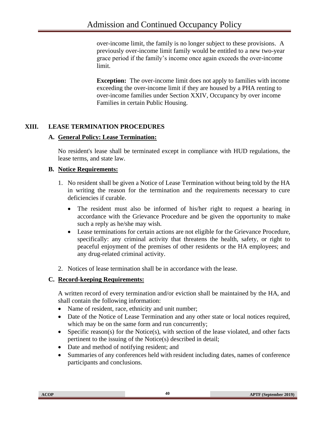over-income limit, the family is no longer subject to these provisions. A previously over-income limit family would be entitled to a new two-year grace period if the family's income once again exceeds the over-income limit.

**Exception:** The over-income limit does not apply to families with income exceeding the over-income limit if they are housed by a PHA renting to over-income families under Section XXIV, Occupancy by over income Families in certain Public Housing.

## **XIII. LEASE TERMINATION PROCEDURES**

#### **A. General Policy: Lease Termination:**

No resident's lease shall be terminated except in compliance with HUD regulations, the lease terms, and state law.

#### **B. Notice Requirements:**

- 1. No resident shall be given a Notice of Lease Termination without being told by the HA in writing the reason for the termination and the requirements necessary to cure deficiencies if curable.
	- The resident must also be informed of his/her right to request a hearing in accordance with the Grievance Procedure and be given the opportunity to make such a reply as he/she may wish.
	- Lease terminations for certain actions are not eligible for the Grievance Procedure, specifically: any criminal activity that threatens the health, safety, or right to peaceful enjoyment of the premises of other residents or the HA employees; and any drug-related criminal activity.
- 2. Notices of lease termination shall be in accordance with the lease.

#### **C. Record-keeping Requirements:**

A written record of every termination and/or eviction shall be maintained by the HA, and shall contain the following information:

- Name of resident, race, ethnicity and unit number;
- Date of the Notice of Lease Termination and any other state or local notices required, which may be on the same form and run concurrently;
- Specific reason(s) for the Notice(s), with section of the lease violated, and other facts pertinent to the issuing of the Notice(s) described in detail;
- Date and method of notifying resident; and
- Summaries of any conferences held with resident including dates, names of conference participants and conclusions.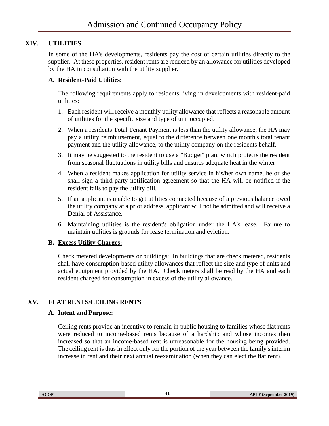## **XIV. UTILITIES**

In some of the HA's developments, residents pay the cost of certain utilities directly to the supplier. At these properties, resident rents are reduced by an allowance for utilities developed by the HA in consultation with the utility supplier.

## **A. Resident-Paid Utilities:**

The following requirements apply to residents living in developments with resident-paid utilities:

- 1. Each resident will receive a monthly utility allowance that reflects a reasonable amount of utilities for the specific size and type of unit occupied.
- 2. When a residents Total Tenant Payment is less than the utility allowance, the HA may pay a utility reimbursement, equal to the difference between one month's total tenant payment and the utility allowance, to the utility company on the residents behalf.
- 3. It may be suggested to the resident to use a "Budget" plan, which protects the resident from seasonal fluctuations in utility bills and ensures adequate heat in the winter
- 4. When a resident makes application for utility service in his/her own name, he or she shall sign a third-party notification agreement so that the HA will be notified if the resident fails to pay the utility bill.
- 5. If an applicant is unable to get utilities connected because of a previous balance owed the utility company at a prior address, applicant will not be admitted and will receive a Denial of Assistance.
- 6. Maintaining utilities is the resident's obligation under the HA's lease. Failure to maintain utilities is grounds for lease termination and eviction.

## **B. Excess Utility Charges:**

Check metered developments or buildings: In buildings that are check metered, residents shall have consumption-based utility allowances that reflect the size and type of units and actual equipment provided by the HA. Check meters shall be read by the HA and each resident charged for consumption in excess of the utility allowance.

## **XV. FLAT RENTS/CEILING RENTS**

#### **A. Intent and Purpose:**

Ceiling rents provide an incentive to remain in public housing to families whose flat rents were reduced to income-based rents because of a hardship and whose incomes then increased so that an income-based rent is unreasonable for the housing being provided. The ceiling rent is thus in effect only for the portion of the year between the family's interim increase in rent and their next annual reexamination (when they can elect the flat rent).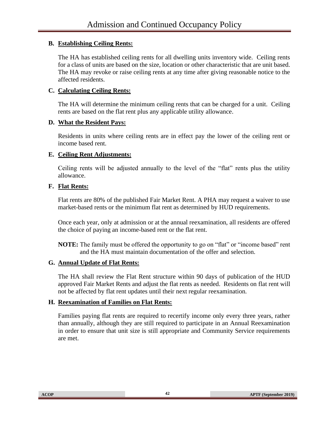## **B. Establishing Ceiling Rents:**

The HA has established ceiling rents for all dwelling units inventory wide. Ceiling rents for a class of units are based on the size, location or other characteristic that are unit based. The HA may revoke or raise ceiling rents at any time after giving reasonable notice to the affected residents.

#### **C. Calculating Ceiling Rents:**

The HA will determine the minimum ceiling rents that can be charged for a unit. Ceiling rents are based on the flat rent plus any applicable utility allowance.

#### **D. What the Resident Pays:**

Residents in units where ceiling rents are in effect pay the lower of the ceiling rent or income based rent.

## **E. Ceiling Rent Adjustments:**

Ceiling rents will be adjusted annually to the level of the "flat" rents plus the utility allowance.

## **F. Flat Rents:**

Flat rents are 80% of the published Fair Market Rent. A PHA may request a waiver to use market-based rents or the minimum flat rent as determined by HUD requirements.

Once each year, only at admission or at the annual reexamination, all residents are offered the choice of paying an income-based rent or the flat rent.

**NOTE:** The family must be offered the opportunity to go on "flat" or "income based" rent and the HA must maintain documentation of the offer and selection.

#### **G. Annual Update of Flat Rents:**

The HA shall review the Flat Rent structure within 90 days of publication of the HUD approved Fair Market Rents and adjust the flat rents as needed. Residents on flat rent will not be affected by flat rent updates until their next regular reexamination.

#### **H. Reexamination of Families on Flat Rents:**

Families paying flat rents are required to recertify income only every three years, rather than annually, although they are still required to participate in an Annual Reexamination in order to ensure that unit size is still appropriate and Community Service requirements are met.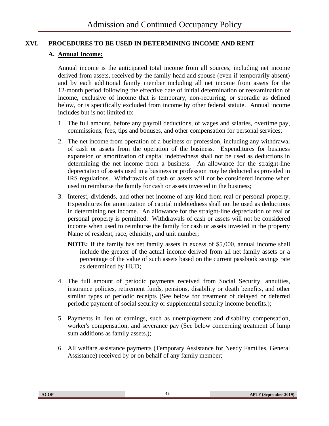## **XVI. PROCEDURES TO BE USED IN DETERMINING INCOME AND RENT**

#### **A. Annual Income:**

Annual income is the anticipated total income from all sources, including net income derived from assets, received by the family head and spouse (even if temporarily absent) and by each additional family member including all net income from assets for the 12-month period following the effective date of initial determination or reexamination of income, exclusive of income that is temporary, non-recurring, or sporadic as defined below, or is specifically excluded from income by other federal statute. Annual income includes but is not limited to:

- 1. The full amount, before any payroll deductions, of wages and salaries, overtime pay, commissions, fees, tips and bonuses, and other compensation for personal services;
- 2. The net income from operation of a business or profession, including any withdrawal of cash or assets from the operation of the business. Expenditures for business expansion or amortization of capital indebtedness shall not be used as deductions in determining the net income from a business. An allowance for the straight-line depreciation of assets used in a business or profession may be deducted as provided in IRS regulations. Withdrawals of cash or assets will not be considered income when used to reimburse the family for cash or assets invested in the business;
- 3. Interest, dividends, and other net income of any kind from real or personal property. Expenditures for amortization of capital indebtedness shall not be used as deductions in determining net income. An allowance for the straight-line depreciation of real or personal property is permitted. Withdrawals of cash or assets will not be considered income when used to reimburse the family for cash or assets invested in the property Name of resident, race, ethnicity, and unit number;
	- **NOTE:** If the family has net family assets in excess of \$5,000, annual income shall include the greater of the actual income derived from all net family assets or a percentage of the value of such assets based on the current passbook savings rate as determined by HUD;
- 4. The full amount of periodic payments received from Social Security, annuities, insurance policies, retirement funds, pensions, disability or death benefits, and other similar types of periodic receipts (See below for treatment of delayed or deferred periodic payment of social security or supplemental security income benefits.);
- 5. Payments in lieu of earnings, such as unemployment and disability compensation, worker's compensation, and severance pay (See below concerning treatment of lump sum additions as family assets.);
- 6. All welfare assistance payments (Temporary Assistance for Needy Families, General Assistance) received by or on behalf of any family member;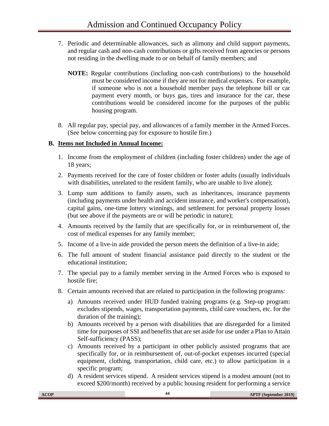- 7. Periodic and determinable allowances, such as alimony and child support payments, and regular cash and non-cash contributions or gifts received from agencies or persons not residing in the dwelling made to or on behalf of family members; and
	- **NOTE:** Regular contributions (including non-cash contributions) to the household must be considered income if they are not for medical expenses. For example, if someone who is not a household member pays the telephone bill or car payment every month, or buys gas, tires and insurance for the car, these contributions would be considered income for the purposes of the public housing program.
- 8. All regular pay, special pay, and allowances of a family member in the Armed Forces. (See below concerning pay for exposure to hostile fire.)

## **B. Items not Included in Annual Income:**

- 1. Income from the employment of children (including foster children) under the age of 18 years;
- 2. Payments received for the care of foster children or foster adults (usually individuals with disabilities, unrelated to the resident family, who are unable to live alone);
- 3. Lump sum additions to family assets, such as inheritances, insurance payments (including payments under health and accident insurance, and worker's compensation), capital gains, one-time lottery winnings, and settlement for personal property losses (but see above if the payments are or will be periodic in nature);
- 4. Amounts received by the family that are specifically for, or in reimbursement of, the cost of medical expenses for any family member;
- 5. Income of a live-in aide provided the person meets the definition of a live-in aide;
- 6. The full amount of student financial assistance paid directly to the student or the educational institution;
- 7. The special pay to a family member serving in the Armed Forces who is exposed to hostile fire;
- 8. Certain amounts received that are related to participation in the following programs:
	- a) Amounts received under HUD funded training programs (e.g. Step-up program: excludes stipends, wages, transportation payments, child care vouchers, etc. for the duration of the training);
	- b) Amounts received by a person with disabilities that are disregarded for a limited time for purposes of SSI and benefits that are set aside for use under a Plan to Attain Self-sufficiency (PASS);
	- c) Amounts received by a participant in other publicly assisted programs that are specifically for, or in reimbursement of, out-of-pocket expenses incurred (special equipment, clothing, transportation, child care, etc.) to allow participation in a specific program;
	- d) A resident services stipend. A resident services stipend is a modest amount (not to exceed \$200/month) received by a public housing resident for performing a service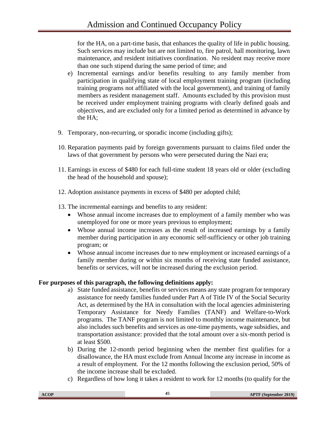for the HA, on a part-time basis, that enhances the quality of life in public housing. Such services may include but are not limited to, fire patrol, hall monitoring, lawn maintenance, and resident initiatives coordination. No resident may receive more than one such stipend during the same period of time; and

- e) Incremental earnings and/or benefits resulting to any family member from participation in qualifying state of local employment training program (including training programs not affiliated with the local government), and training of family members as resident management staff. Amounts excluded by this provision must be received under employment training programs with clearly defined goals and objectives, and are excluded only for a limited period as determined in advance by the HA;
- 9. Temporary, non-recurring, or sporadic income (including gifts);
- 10. Reparation payments paid by foreign governments pursuant to claims filed under the laws of that government by persons who were persecuted during the Nazi era;
- 11. Earnings in excess of \$480 for each full-time student 18 years old or older (excluding the head of the household and spouse);
- 12. Adoption assistance payments in excess of \$480 per adopted child;
- 13. The incremental earnings and benefits to any resident:
	- Whose annual income increases due to employment of a family member who was unemployed for one or more years previous to employment;
	- Whose annual income increases as the result of increased earnings by a family member during participation in any economic self-sufficiency or other job training program; or
	- Whose annual income increases due to new employment or increased earnings of a family member during or within six months of receiving state funded assistance, benefits or services, will not be increased during the exclusion period.

#### **For purposes of this paragraph, the following definitions apply:**

- a) State funded assistance, benefits or services means any state program for temporary assistance for needy families funded under Part A of Title IV of the Social Security Act, as determined by the HA in consultation with the local agencies administering Temporary Assistance for Needy Families (TANF) and Welfare-to-Work programs. The TANF program is not limited to monthly income maintenance, but also includes such benefits and services as one-time payments, wage subsidies, and transportation assistance: provided that the total amount over a six-month period is at least \$500.
- b) During the 12-month period beginning when the member first qualifies for a disallowance, the HA must exclude from Annual Income any increase in income as a result of employment. For the 12 months following the exclusion period, 50% of the income increase shall be excluded.
- c) Regardless of how long it takes a resident to work for 12 months (to qualify for the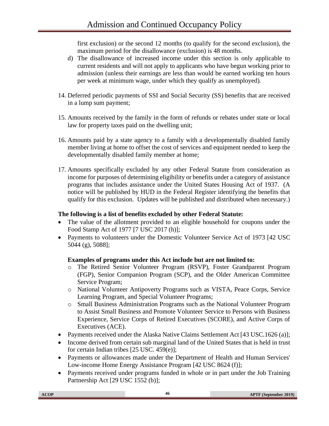first exclusion) or the second 12 months (to qualify for the second exclusion), the maximum period for the disallowance (exclusion) is 48 months.

- d) The disallowance of increased income under this section is only applicable to current residents and will not apply to applicants who have begun working prior to admission (unless their earnings are less than would be earned working ten hours per week at minimum wage, under which they qualify as unemployed).
- 14. Deferred periodic payments of SSI and Social Security (SS) benefits that are received in a lump sum payment;
- 15. Amounts received by the family in the form of refunds or rebates under state or local law for property taxes paid on the dwelling unit;
- 16. Amounts paid by a state agency to a family with a developmentally disabled family member living at home to offset the cost of services and equipment needed to keep the developmentally disabled family member at home;
- 17. Amounts specifically excluded by any other Federal Statute from consideration as income for purposes of determining eligibility or benefits under a category of assistance programs that includes assistance under the United States Housing Act of 1937. (A notice will be published by HUD in the Federal Register identifying the benefits that qualify for this exclusion. Updates will be published and distributed when necessary.)

#### **The following is a list of benefits excluded by other Federal Statute:**

- The value of the allotment provided to an eligible household for coupons under the Food Stamp Act of 1977 [7 USC 2017 (h)];
- Payments to volunteers under the Domestic Volunteer Service Act of 1973 [42 USC] 5044 (g), 5088];

## **Examples of programs under this Act include but are not limited to:**

- o The Retired Senior Volunteer Program (RSVP), Foster Grandparent Program (FGP), Senior Companion Program (SCP), and the Older American Committee Service Program;
- o National Volunteer Antipoverty Programs such as VISTA, Peace Corps, Service Learning Program, and Special Volunteer Programs;
- o Small Business Administration Programs such as the National Volunteer Program to Assist Small Business and Promote Volunteer Service to Persons with Business Experience, Service Corps of Retired Executives (SCORE), and Active Corps of Executives (ACE).
- Payments received under the Alaska Native Claims Settlement Act [43 USC.1626 (a)];
- Income derived from certain sub marginal land of the United States that is held in trust for certain Indian tribes [25 USC. 459(e)];
- Payments or allowances made under the Department of Health and Human Services' Low-income Home Energy Assistance Program [42 USC 8624 (f)];
- Payments received under programs funded in whole or in part under the Job Training Partnership Act [29 USC 1552 (b)];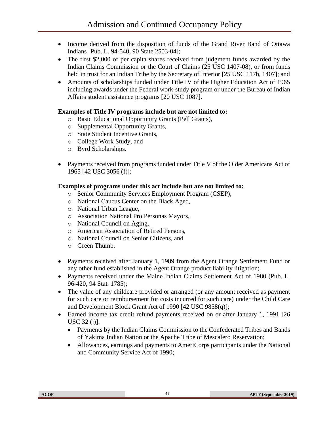- Income derived from the disposition of funds of the Grand River Band of Ottawa Indians [Pub. L. 94-540, 90 State 2503-04];
- The first \$2,000 of per capita shares received from judgment funds awarded by the Indian Claims Commission or the Court of Claims (25 USC 1407-08), or from funds held in trust for an Indian Tribe by the Secretary of Interior [25 USC 117b, 1407]; and
- Amounts of scholarships funded under Title IV of the Higher Education Act of 1965 including awards under the Federal work-study program or under the Bureau of Indian Affairs student assistance programs [20 USC 1087].

## **Examples of Title IV programs include but are not limited to:**

- o Basic Educational Opportunity Grants (Pell Grants),
- o Supplemental Opportunity Grants,
- o State Student Incentive Grants,
- o College Work Study, and
- o Byrd Scholarships.
- Payments received from programs funded under Title V of the Older Americans Act of 1965 [42 USC 3056 (f)]:

#### **Examples of programs under this act include but are not limited to:**

- o Senior Community Services Employment Program (CSEP),
- o National Caucus Center on the Black Aged,
- o National Urban League,
- o Association National Pro Personas Mayors,
- o National Council on Aging,
- o American Association of Retired Persons,
- o National Council on Senior Citizens, and
- o Green Thumb.
- Payments received after January 1, 1989 from the Agent Orange Settlement Fund or any other fund established in the Agent Orange product liability litigation;
- Payments received under the Maine Indian Claims Settlement Act of 1980 (Pub. L. 96-420, 94 Stat. 1785);
- The value of any childcare provided or arranged (or any amount received as payment for such care or reimbursement for costs incurred for such care) under the Child Care and Development Block Grant Act of 1990 [42 USC 9858(q)];
- Earned income tax credit refund payments received on or after January 1, 1991 [26] USC 32 (j)].
	- Payments by the Indian Claims Commission to the Confederated Tribes and Bands of Yakima Indian Nation or the Apache Tribe of Mescalero Reservation;
	- Allowances, earnings and payments to AmeriCorps participants under the National and Community Service Act of 1990;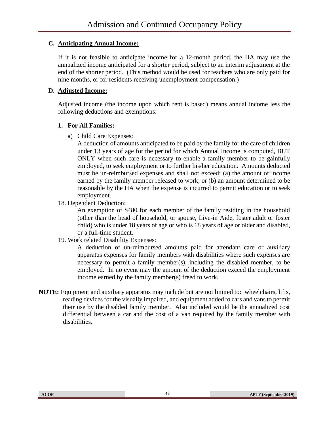## **C. Anticipating Annual Income:**

If it is not feasible to anticipate income for a 12-month period, the HA may use the annualized income anticipated for a shorter period, subject to an interim adjustment at the end of the shorter period. (This method would be used for teachers who are only paid for nine months, or for residents receiving unemployment compensation.)

## **D. Adjusted Income:**

Adjusted income (the income upon which rent is based) means annual income less the following deductions and exemptions:

## **1. For All Families:**

a) Child Care Expenses:

A deduction of amounts anticipated to be paid by the family for the care of children under 13 years of age for the period for which Annual Income is computed, BUT ONLY when such care is necessary to enable a family member to be gainfully employed, to seek employment or to further his/her education. Amounts deducted must be un-reimbursed expenses and shall not exceed: (a) the amount of income earned by the family member released to work; or (b) an amount determined to be reasonable by the HA when the expense is incurred to permit education or to seek employment.

## 18. Dependent Deduction:

An exemption of \$480 for each member of the family residing in the household (other than the head of household, or spouse, Live-in Aide, foster adult or foster child) who is under 18 years of age or who is 18 years of age or older and disabled, or a full-time student.

19. Work related Disability Expenses:

A deduction of un-reimbursed amounts paid for attendant care or auxiliary apparatus expenses for family members with disabilities where such expenses are necessary to permit a family member(s), including the disabled member, to be employed. In no event may the amount of the deduction exceed the employment income earned by the family member(s) freed to work.

**NOTE:** Equipment and auxiliary apparatus may include but are not limited to: wheelchairs, lifts, reading devices for the visually impaired, and equipment added to cars and vans to permit their use by the disabled family member. Also included would be the annualized cost differential between a car and the cost of a van required by the family member with disabilities.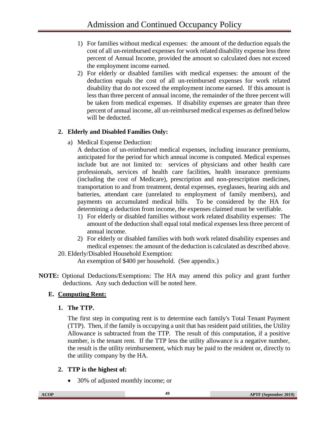- 1) For families without medical expenses: the amount of the deduction equals the cost of all un-reimbursed expenses for work related disability expense less three percent of Annual Income, provided the amount so calculated does not exceed the employment income earned.
- 2) For elderly or disabled families with medical expenses: the amount of the deduction equals the cost of all un-reimbursed expenses for work related disability that do not exceed the employment income earned. If this amount is less than three percent of annual income, the remainder of the three percent will be taken from medical expenses. If disability expenses are greater than three percent of annual income, all un-reimbursed medical expenses as defined below will be deducted.

# **2. Elderly and Disabled Families Only:**

a) Medical Expense Deduction:

A deduction of un-reimbursed medical expenses, including insurance premiums, anticipated for the period for which annual income is computed. Medical expenses include but are not limited to: services of physicians and other health care professionals, services of health care facilities, health insurance premiums (including the cost of Medicare), prescription and non-prescription medicines, transportation to and from treatment, dental expenses, eyeglasses, hearing aids and batteries, attendant care (unrelated to employment of family members), and payments on accumulated medical bills. To be considered by the HA for determining a deduction from income, the expenses claimed must be verifiable.

- 1) For elderly or disabled families without work related disability expenses: The amount of the deduction shall equal total medical expenses less three percent of annual income.
- 2) For elderly or disabled families with both work related disability expenses and medical expenses: the amount of the deduction is calculated as described above.
- 20. Elderly/Disabled Household Exemption:

An exemption of \$400 per household. (See appendix.)

**NOTE:** Optional Deductions/Exemptions: The HA may amend this policy and grant further deductions. Any such deduction will be noted here.

# **E. Computing Rent:**

**1. The TTP.**

The first step in computing rent is to determine each family's Total Tenant Payment (TTP). Then, if the family is occupying a unit that has resident paid utilities, the Utility Allowance is subtracted from the TTP. The result of this computation, if a positive number, is the tenant rent. If the TTP less the utility allowance is a negative number, the result is the utility reimbursement, which may be paid to the resident or, directly to the utility company by the HA.

# **2. TTP is the highest of:**

• 30% of adjusted monthly income; or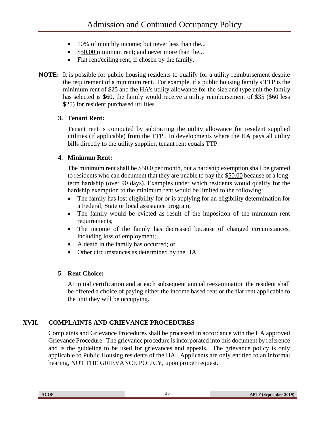- 10% of monthly income; but never less than the...
- \$50.00 minimum rent; and never more than the...
- Flat rent/ceiling rent, if chosen by the family.
- **NOTE:** It is possible for public housing residents to qualify for a utility reimbursement despite the requirement of a minimum rent. For example, if a public housing family's TTP is the minimum rent of \$25 and the HA's utility allowance for the size and type unit the family has selected is \$60, the family would receive a utility reimbursement of \$35 (\$60 less \$25) for resident purchased utilities.

#### **3. Tenant Rent:**

Tenant rent is computed by subtracting the utility allowance for resident supplied utilities (if applicable) from the TTP. In developments where the HA pays all utility bills directly to the utility supplier, tenant rent equals TTP.

## **4. Minimum Rent:**

The minimum rent shall be \$50.0 per month, but a hardship exemption shall be granted to residents who can document that they are unable to pay the \$50.00 because of a longterm hardship (over 90 days). Examples under which residents would qualify for the hardship exemption to the minimum rent would be limited to the following:

- The family has lost eligibility for or is applying for an eligibility determination for a Federal, State or local assistance program;
- The family would be evicted as result of the imposition of the minimum rent requirements;
- The income of the family has decreased because of changed circumstances, including loss of employment;
- A death in the family has occurred; or
- Other circumstances as determined by the HA

## **5. Rent Choice:**

At initial certification and at each subsequent annual reexamination the resident shall be offered a choice of paying either the income based rent or the flat rent applicable to the unit they will be occupying.

## **XVII. COMPLAINTS AND GRIEVANCE PROCEDURES**

Complaints and Grievance Procedures shall be processed in accordance with the HA approved Grievance Procedure. The grievance procedure is incorporated into this document by reference and is the guideline to be used for grievances and appeals. The grievance policy is only applicable to Public Housing residents of the HA. Applicants are only entitled to an informal hearing, NOT THE GRIEVANCE POLICY, upon proper request.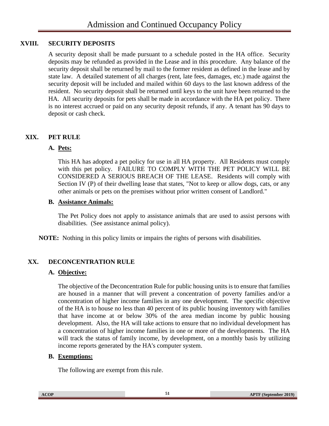## **XVIII. SECURITY DEPOSITS**

A security deposit shall be made pursuant to a schedule posted in the HA office. Security deposits may be refunded as provided in the Lease and in this procedure. Any balance of the security deposit shall be returned by mail to the former resident as defined in the lease and by state law. A detailed statement of all charges (rent, late fees, damages, etc.) made against the security deposit will be included and mailed within 60 days to the last known address of the resident. No security deposit shall be returned until keys to the unit have been returned to the HA. All security deposits for pets shall be made in accordance with the HA pet policy. There is no interest accrued or paid on any security deposit refunds, if any. A tenant has 90 days to deposit or cash check.

## **XIX. PET RULE**

#### **A. Pets:**

This HA has adopted a pet policy for use in all HA property. All Residents must comply with this pet policy. FAILURE TO COMPLY WITH THE PET POLICY WILL BE CONSIDERED A SERIOUS BREACH OF THE LEASE. Residents will comply with Section IV (P) of their dwelling lease that states, "Not to keep or allow dogs, cats, or any other animals or pets on the premises without prior written consent of Landlord."

#### **B. Assistance Animals:**

The Pet Policy does not apply to assistance animals that are used to assist persons with disabilities. (See assistance animal policy).

**NOTE:** Nothing in this policy limits or impairs the rights of persons with disabilities.

## **XX. DECONCENTRATION RULE**

#### **A. Objective:**

The objective of the Deconcentration Rule for public housing units is to ensure that families are housed in a manner that will prevent a concentration of poverty families and/or a concentration of higher income families in any one development. The specific objective of the HA is to house no less than 40 percent of its public housing inventory with families that have income at or below 30% of the area median income by public housing development. Also, the HA will take actions to ensure that no individual development has a concentration of higher income families in one or more of the developments. The HA will track the status of family income, by development, on a monthly basis by utilizing income reports generated by the HA's computer system.

#### **B. Exemptions:**

The following are exempt from this rule.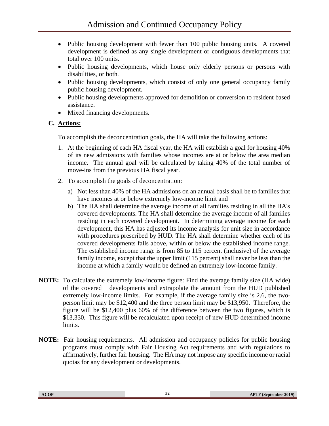- Public housing development with fewer than 100 public housing units. A covered development is defined as any single development or contiguous developments that total over 100 units.
- Public housing developments, which house only elderly persons or persons with disabilities, or both.
- Public housing developments, which consist of only one general occupancy family public housing development.
- Public housing developments approved for demolition or conversion to resident based assistance.
- Mixed financing developments.

## **C. Actions:**

To accomplish the deconcentration goals, the HA will take the following actions:

- 1. At the beginning of each HA fiscal year, the HA will establish a goal for housing 40% of its new admissions with families whose incomes are at or below the area median income. The annual goal will be calculated by taking 40% of the total number of move-ins from the previous HA fiscal year.
- 2. To accomplish the goals of deconcentration:
	- a) Not less than 40% of the HA admissions on an annual basis shall be to families that have incomes at or below extremely low-income limit and
	- b) The HA shall determine the average income of all families residing in all the HA's covered developments. The HA shall determine the average income of all families residing in each covered development. In determining average income for each development, this HA has adjusted its income analysis for unit size in accordance with procedures prescribed by HUD. The HA shall determine whether each of its covered developments falls above, within or below the established income range. The established income range is from 85 to 115 percent (inclusive) of the average family income, except that the upper limit (115 percent) shall never be less than the income at which a family would be defined an extremely low-income family.
- **NOTE:** To calculate the extremely low-income figure: Find the average family size (HA wide) of the covered developments and extrapolate the amount from the HUD published extremely low-income limits. For example, if the average family size is 2.6, the twoperson limit may be \$12,400 and the three person limit may be \$13,950. Therefore, the figure will be \$12,400 plus 60% of the difference between the two figures, which is \$13,330. This figure will be recalculated upon receipt of new HUD determined income limits.
- **NOTE:** Fair housing requirements. All admission and occupancy policies for public housing programs must comply with Fair Housing Act requirements and with regulations to affirmatively, further fair housing. The HA may not impose any specific income or racial quotas for any development or developments.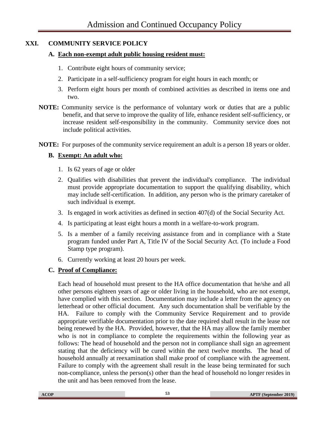# **XXI. COMMUNITY SERVICE POLICY**

## **A. Each non-exempt adult public housing resident must:**

- 1. Contribute eight hours of community service;
- 2. Participate in a self-sufficiency program for eight hours in each month; or
- 3. Perform eight hours per month of combined activities as described in items one and two.
- **NOTE:** Community service is the performance of voluntary work or duties that are a public benefit, and that serve to improve the quality of life, enhance resident self-sufficiency, or increase resident self-responsibility in the community. Community service does not include political activities.
- **NOTE:** For purposes of the community service requirement an adult is a person 18 years or older.

# **B. Exempt: An adult who:**

- 1. Is 62 years of age or older
- 2. Qualifies with disabilities that prevent the individual's compliance. The individual must provide appropriate documentation to support the qualifying disability, which may include self-certification. In addition, any person who is the primary caretaker of such individual is exempt.
- 3. Is engaged in work activities as defined in section 407(d) of the Social Security Act.
- 4. Is participating at least eight hours a month in a welfare-to-work program.
- 5. Is a member of a family receiving assistance from and in compliance with a State program funded under Part A, Title IV of the Social Security Act. (To include a Food Stamp type program).
- 6. Currently working at least 20 hours per week.

## **C. Proof of Compliance:**

Each head of household must present to the HA office documentation that he/she and all other persons eighteen years of age or older living in the household, who are not exempt, have complied with this section. Documentation may include a letter from the agency on letterhead or other official document. Any such documentation shall be verifiable by the HA. Failure to comply with the Community Service Requirement and to provide appropriate verifiable documentation prior to the date required shall result in the lease not being renewed by the HA. Provided, however, that the HA may allow the family member who is not in compliance to complete the requirements within the following year as follows: The head of household and the person not in compliance shall sign an agreement stating that the deficiency will be cured within the next twelve months. The head of household annually at reexamination shall make proof of compliance with the agreement. Failure to comply with the agreement shall result in the lease being terminated for such non-compliance, unless the person(s) other than the head of household no longer resides in the unit and has been removed from the lease.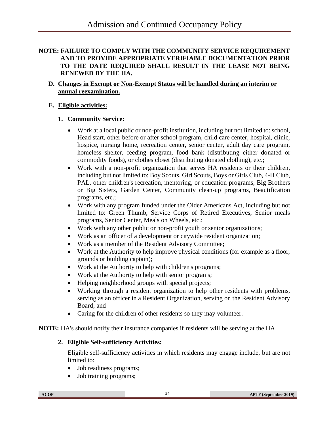#### **NOTE: FAILURE TO COMPLY WITH THE COMMUNITY SERVICE REQUIREMENT AND TO PROVIDE APPROPRIATE VERIFIABLE DOCUMENTATION PRIOR TO THE DATE REQUIRED SHALL RESULT IN THE LEASE NOT BEING RENEWED BY THE HA.**

## **D. Changes in Exempt or Non-Exempt Status will be handled during an interim or annual reexamination.**

## **E. Eligible activities:**

#### **1. Community Service:**

- Work at a local public or non-profit institution, including but not limited to: school, Head start, other before or after school program, child care center, hospital, clinic, hospice, nursing home, recreation center, senior center, adult day care program, homeless shelter, feeding program, food bank (distributing either donated or commodity foods), or clothes closet (distributing donated clothing), etc.;
- Work with a non-profit organization that serves HA residents or their children, including but not limited to: Boy Scouts, Girl Scouts, Boys or Girls Club, 4-H Club, PAL, other children's recreation, mentoring, or education programs, Big Brothers or Big Sisters, Garden Center, Community clean-up programs, Beautification programs, etc.;
- Work with any program funded under the Older Americans Act, including but not limited to: Green Thumb, Service Corps of Retired Executives, Senior meals programs, Senior Center, Meals on Wheels, etc.;
- Work with any other public or non-profit youth or senior organizations;
- Work as an officer of a development or citywide resident organization;
- Work as a member of the Resident Advisory Committee;
- Work at the Authority to help improve physical conditions (for example as a floor, grounds or building captain);
- Work at the Authority to help with children's programs;
- Work at the Authority to help with senior programs;
- Helping neighborhood groups with special projects;
- Working through a resident organization to help other residents with problems, serving as an officer in a Resident Organization, serving on the Resident Advisory Board; and
- Caring for the children of other residents so they may volunteer.

**NOTE:** HA's should notify their insurance companies if residents will be serving at the HA

## **2. Eligible Self-sufficiency Activities:**

Eligible self-sufficiency activities in which residents may engage include, but are not limited to:

- Job readiness programs;
- Job training programs;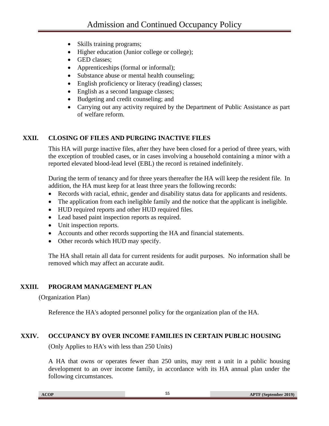- Skills training programs;
- Higher education (Junior college or college);
- GED classes;
- Apprenticeships (formal or informal);
- Substance abuse or mental health counseling;
- English proficiency or literacy (reading) classes;
- English as a second language classes;
- Budgeting and credit counseling; and
- Carrying out any activity required by the Department of Public Assistance as part of welfare reform.

## **XXII. CLOSING OF FILES AND PURGING INACTIVE FILES**

This HA will purge inactive files, after they have been closed for a period of three years, with the exception of troubled cases, or in cases involving a household containing a minor with a reported elevated blood-lead level (EBL) the record is retained indefinitely.

During the term of tenancy and for three years thereafter the HA will keep the resident file. In addition, the HA must keep for at least three years the following records:

- Records with racial, ethnic, gender and disability status data for applicants and residents.
- The application from each ineligible family and the notice that the applicant is ineligible.
- HUD required reports and other HUD required files.
- Lead based paint inspection reports as required.
- Unit inspection reports.
- Accounts and other records supporting the HA and financial statements.
- Other records which HUD may specify.

The HA shall retain all data for current residents for audit purposes. No information shall be removed which may affect an accurate audit.

#### **XXIII. PROGRAM MANAGEMENT PLAN**

(Organization Plan)

Reference the HA's adopted personnel policy for the organization plan of the HA.

## **XXIV. OCCUPANCY BY OVER INCOME FAMILIES IN CERTAIN PUBLIC HOUSING**

(Only Applies to HA's with less than 250 Units)

A HA that owns or operates fewer than 250 units, may rent a unit in a public housing development to an over income family, in accordance with its HA annual plan under the following circumstances.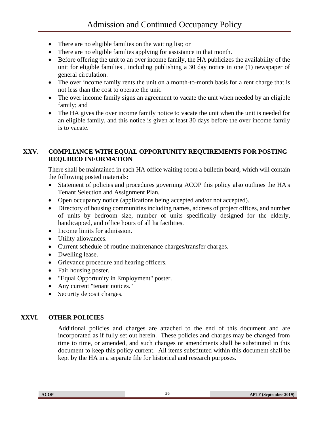- There are no eligible families on the waiting list; or
- There are no eligible families applying for assistance in that month.
- Before offering the unit to an over income family, the HA publicizes the availability of the unit for eligible families , including publishing a 30 day notice in one (1) newspaper of general circulation.
- The over income family rents the unit on a month-to-month basis for a rent charge that is not less than the cost to operate the unit.
- The over income family signs an agreement to vacate the unit when needed by an eligible family; and
- The HA gives the over income family notice to vacate the unit when the unit is needed for an eligible family, and this notice is given at least 30 days before the over income family is to vacate.

#### **XXV. COMPLIANCE WITH EQUAL OPPORTUNITY REQUIREMENTS FOR POSTING REQUIRED INFORMATION**

There shall be maintained in each HA office waiting room a bulletin board, which will contain the following posted materials:

- Statement of policies and procedures governing ACOP this policy also outlines the HA's Tenant Selection and Assignment Plan.
- Open occupancy notice (applications being accepted and/or not accepted).
- Directory of housing communities including names, address of project offices, and number of units by bedroom size, number of units specifically designed for the elderly, handicapped, and office hours of all ha facilities.
- Income limits for admission.
- Utility allowances.
- Current schedule of routine maintenance charges/transfer charges.
- Dwelling lease.
- Grievance procedure and hearing officers.
- Fair housing poster.
- "Equal Opportunity in Employment" poster.
- Any current "tenant notices."
- Security deposit charges.

## **XXVI. OTHER POLICIES**

Additional policies and charges are attached to the end of this document and are incorporated as if fully set out herein. These policies and charges may be changed from time to time, or amended, and such changes or amendments shall be substituted in this document to keep this policy current. All items substituted within this document shall be kept by the HA in a separate file for historical and research purposes.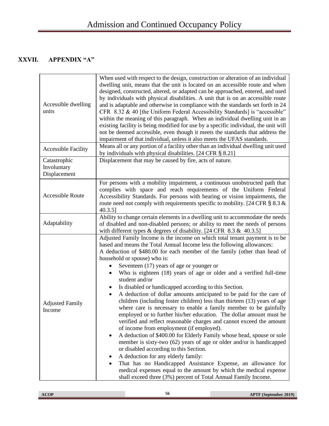# **XXVII. APPENDIX "A"**

| Accessible dwelling<br>units                | When used with respect to the design, construction or alteration of an individual<br>dwelling unit, means that the unit is located on an accessible route and when<br>designed, constructed, altered, or adapted can be approached, entered, and used<br>by individuals with physical disabilities. A unit that is on an accessible route<br>and is adaptable and otherwise in compliance with the standards set forth in 24<br>CFR 8.32 & 40 [the Uniform Federal Accessibility Standards] is "accessible"<br>within the meaning of this paragraph. When an individual dwelling unit in an<br>existing facility is being modified for use by a specific individual, the unit will<br>not be deemed accessible, even though it meets the standards that address the<br>impairment of that individual, unless it also meets the UFAS standards.                                                                                                                                                                                                                                                                                                                                                                                                                                                                                       |  |
|---------------------------------------------|--------------------------------------------------------------------------------------------------------------------------------------------------------------------------------------------------------------------------------------------------------------------------------------------------------------------------------------------------------------------------------------------------------------------------------------------------------------------------------------------------------------------------------------------------------------------------------------------------------------------------------------------------------------------------------------------------------------------------------------------------------------------------------------------------------------------------------------------------------------------------------------------------------------------------------------------------------------------------------------------------------------------------------------------------------------------------------------------------------------------------------------------------------------------------------------------------------------------------------------------------------------------------------------------------------------------------------------|--|
| <b>Accessible Facility</b>                  | Means all or any portion of a facility other than an individual dwelling unit used<br>by individuals with physical disabilities. [24 CFR § 8.21]                                                                                                                                                                                                                                                                                                                                                                                                                                                                                                                                                                                                                                                                                                                                                                                                                                                                                                                                                                                                                                                                                                                                                                                     |  |
| Catastrophic<br>Involuntary<br>Displacement | Displacement that may be caused by fire, acts of nature.                                                                                                                                                                                                                                                                                                                                                                                                                                                                                                                                                                                                                                                                                                                                                                                                                                                                                                                                                                                                                                                                                                                                                                                                                                                                             |  |
| <b>Accessible Route</b>                     | For persons with a mobility impairment, a continuous unobstructed path that<br>complies with space and reach requirements of the Uniform Federal<br>Accessibility Standards. For persons with hearing or vision impairments, the<br>route need not comply with requirements specific to mobility. [24 CFR $\S 8.3 \&$<br>$40.3.5$ ]                                                                                                                                                                                                                                                                                                                                                                                                                                                                                                                                                                                                                                                                                                                                                                                                                                                                                                                                                                                                  |  |
| Adaptability                                | Ability to change certain elements in a dwelling unit to accommodate the needs<br>of disabled and non-disabled persons; or ability to meet the needs of persons<br>with different types & degrees of disability. [24 CFR $8.3 \& 40.3.5$ ]                                                                                                                                                                                                                                                                                                                                                                                                                                                                                                                                                                                                                                                                                                                                                                                                                                                                                                                                                                                                                                                                                           |  |
| <b>Adjusted Family</b><br>Income            | Adjusted Family Income is the income on which total tenant payment is to be<br>based and means the Total Annual Income less the following allowances:<br>A deduction of \$480.00 for each member of the family (other than head of<br>household or spouse) who is:<br>Seventeen (17) years of age or younger or<br>Who is eighteen (18) years of age or older and a verified full-time<br>student and/or<br>Is disabled or handicapped according to this Section.<br>A deduction of dollar amounts anticipated to be paid for the care of<br>children (including foster children) less than thirteen (13) years of age<br>where care is necessary to enable a family member to be gainfully<br>employed or to further his/her education. The dollar amount must be<br>verified and reflect reasonable charges and cannot exceed the amount<br>of income from employment (if employed).<br>A deduction of \$400.00 for Elderly Family whose head, spouse or sole<br>٠<br>member is sixty-two (62) years of age or older and/or is handicapped<br>or disabled according to this Section.<br>A deduction for any elderly family:<br>That has no Handicapped Assistance Expense, an allowance for<br>medical expenses equal to the amount by which the medical expense<br>shall exceed three (3%) percent of Total Annual Family Income. |  |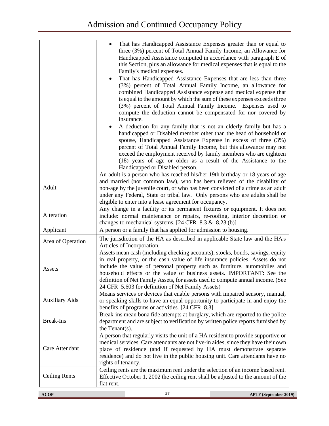|                       | That has Handicapped Assistance Expenses greater than or equal to<br>three (3%) percent of Total Annual Family Income, an Allowance for<br>Handicapped Assistance computed in accordance with paragraph E of<br>this Section, plus an allowance for medical expenses that is equal to the<br>Family's medical expenses.<br>That has Handicapped Assistance Expenses that are less than three<br>(3%) percent of Total Annual Family Income, an allowance for<br>combined Handicapped Assistance expense and medical expense that<br>is equal to the amount by which the sum of these expenses exceeds three<br>(3%) percent of Total Annual Family Income. Expenses used to<br>compute the deduction cannot be compensated for nor covered by<br>insurance.<br>A deduction for any family that is not an elderly family but has a<br>handicapped or Disabled member other than the head of household or<br>spouse, Handicapped Assistance Expense in excess of three (3%)<br>percent of Total Annual Family Income, but this allowance may not<br>exceed the employment received by family members who are eighteen<br>(18) years of age or older as a result of the Assistance to the<br>Handicapped or Disabled person. |
|-----------------------|---------------------------------------------------------------------------------------------------------------------------------------------------------------------------------------------------------------------------------------------------------------------------------------------------------------------------------------------------------------------------------------------------------------------------------------------------------------------------------------------------------------------------------------------------------------------------------------------------------------------------------------------------------------------------------------------------------------------------------------------------------------------------------------------------------------------------------------------------------------------------------------------------------------------------------------------------------------------------------------------------------------------------------------------------------------------------------------------------------------------------------------------------------------------------------------------------------------------------|
| Adult                 | An adult is a person who has reached his/her 19th birthday or 18 years of age<br>and married (not common law), who has been relieved of the disability of<br>non-age by the juvenile court, or who has been convicted of a crime as an adult<br>under any Federal, State or tribal law. Only persons who are adults shall be<br>eligible to enter into a lease agreement for occupancy.                                                                                                                                                                                                                                                                                                                                                                                                                                                                                                                                                                                                                                                                                                                                                                                                                                   |
| Alteration            | Any change in a facility or its permanent fixtures or equipment. It does not<br>include: normal maintenance or repairs, re-roofing, interior decoration or<br>changes to mechanical systems. $[24 \text{ CFR } 8.3 \text{ \& } 8.23 \text{ (b)}]$                                                                                                                                                                                                                                                                                                                                                                                                                                                                                                                                                                                                                                                                                                                                                                                                                                                                                                                                                                         |
| Applicant             | A person or a family that has applied for admission to housing.                                                                                                                                                                                                                                                                                                                                                                                                                                                                                                                                                                                                                                                                                                                                                                                                                                                                                                                                                                                                                                                                                                                                                           |
| Area of Operation     | The jurisdiction of the HA as described in applicable State law and the HA's<br>Articles of Incorporation.                                                                                                                                                                                                                                                                                                                                                                                                                                                                                                                                                                                                                                                                                                                                                                                                                                                                                                                                                                                                                                                                                                                |
| Assets                | Assets mean cash (including checking accounts), stocks, bonds, savings, equity<br>in real property, or the cash value of life insurance policies. Assets do not<br>include the value of personal property such as furniture, automobiles and<br>household effects or the value of business assets. IMPORTANT: See the<br>definition of Net Family Assets, for assets used to compute annual income. (See<br>24 CFR 5.603 for definition of Net Family Assets)                                                                                                                                                                                                                                                                                                                                                                                                                                                                                                                                                                                                                                                                                                                                                             |
| <b>Auxiliary Aids</b> | Means services or devices that enable persons with impaired sensory, manual,<br>or speaking skills to have an equal opportunity to participate in and enjoy the<br>benefits of programs or activities. [24 CFR 8.3]                                                                                                                                                                                                                                                                                                                                                                                                                                                                                                                                                                                                                                                                                                                                                                                                                                                                                                                                                                                                       |
| <b>Break-Ins</b>      | Break-ins mean bona fide attempts at burglary, which are reported to the police<br>department and are subject to verification by written police reports furnished by<br>the Tenant(s).                                                                                                                                                                                                                                                                                                                                                                                                                                                                                                                                                                                                                                                                                                                                                                                                                                                                                                                                                                                                                                    |
| Care Attendant        | A person that regularly visits the unit of a HA resident to provide supportive or<br>medical services. Care attendants are not live-in aides, since they have their own<br>place of residence (and if requested by HA must demonstrate separate<br>residence) and do not live in the public housing unit. Care attendants have no<br>rights of tenancy.                                                                                                                                                                                                                                                                                                                                                                                                                                                                                                                                                                                                                                                                                                                                                                                                                                                                   |
| <b>Ceiling Rents</b>  | Ceiling rents are the maximum rent under the selection of an income based rent.<br>Effective October 1, 2002 the ceiling rent shall be adjusted to the amount of the<br>flat rent.                                                                                                                                                                                                                                                                                                                                                                                                                                                                                                                                                                                                                                                                                                                                                                                                                                                                                                                                                                                                                                        |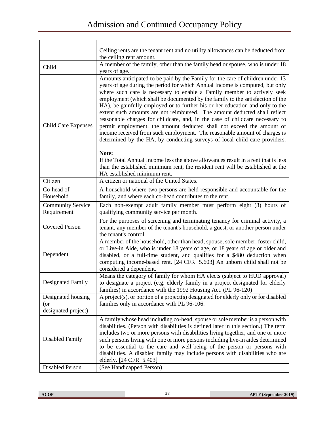|                                                  | Ceiling rents are the tenant rent and no utility allowances can be deducted from<br>the ceiling rent amount.                                                                                                                                                                                                                                                                                                                                                                                                                                                                                                                                                                                                                                                                                                  |
|--------------------------------------------------|---------------------------------------------------------------------------------------------------------------------------------------------------------------------------------------------------------------------------------------------------------------------------------------------------------------------------------------------------------------------------------------------------------------------------------------------------------------------------------------------------------------------------------------------------------------------------------------------------------------------------------------------------------------------------------------------------------------------------------------------------------------------------------------------------------------|
| Child                                            | A member of the family, other than the family head or spouse, who is under 18<br>years of age.                                                                                                                                                                                                                                                                                                                                                                                                                                                                                                                                                                                                                                                                                                                |
| <b>Child Care Expenses</b>                       | Amounts anticipated to be paid by the Family for the care of children under 13<br>years of age during the period for which Annual Income is computed, but only<br>where such care is necessary to enable a Family member to actively seek<br>employment (which shall be documented by the family to the satisfaction of the<br>HA), be gainfully employed or to further his or her education and only to the<br>extent such amounts are not reimbursed. The amount deducted shall reflect<br>reasonable charges for childcare, and, in the case of childcare necessary to<br>permit employment, the amount deducted shall not exceed the amount of<br>income received from such employment. The reasonable amount of charges is<br>determined by the HA, by conducting surveys of local child care providers. |
|                                                  | Note:<br>If the Total Annual Income less the above allowances result in a rent that is less<br>than the established minimum rent, the resident rent will be established at the<br>HA established minimum rent.                                                                                                                                                                                                                                                                                                                                                                                                                                                                                                                                                                                                |
| Citizen                                          | A citizen or national of the United States.                                                                                                                                                                                                                                                                                                                                                                                                                                                                                                                                                                                                                                                                                                                                                                   |
| Co-head of<br>Household                          | A household where two persons are held responsible and accountable for the<br>family, and where each co-head contributes to the rent.                                                                                                                                                                                                                                                                                                                                                                                                                                                                                                                                                                                                                                                                         |
| <b>Community Service</b><br>Requirement          | Each non-exempt adult family member must perform eight (8) hours of<br>qualifying community service per month.                                                                                                                                                                                                                                                                                                                                                                                                                                                                                                                                                                                                                                                                                                |
| <b>Covered Person</b>                            | For the purposes of screening and terminating tenancy for criminal activity, a<br>tenant, any member of the tenant's household, a guest, or another person under<br>the tenant's control.                                                                                                                                                                                                                                                                                                                                                                                                                                                                                                                                                                                                                     |
| Dependent                                        | A member of the household, other than head, spouse, sole member, foster child,<br>or Live-in Aide, who is under 18 years of age, or 18 years of age or older and<br>disabled, or a full-time student, and qualifies for a \$480 deduction when<br>computing income-based rent. [24 CFR 5.603] An unborn child shall not be<br>considered a dependent.                                                                                                                                                                                                                                                                                                                                                                                                                                                         |
| Designated Family                                | Means the category of family for whom HA elects (subject to HUD approval)<br>to designate a project (e.g. elderly family in a project designated for elderly<br>families) in accordance with the 1992 Housing Act. (PL 96-120)                                                                                                                                                                                                                                                                                                                                                                                                                                                                                                                                                                                |
| Designated housing<br>(or<br>designated project) | A project(s), or portion of a project(s) designated for elderly only or for disabled<br>families only in accordance with PL 96-106.                                                                                                                                                                                                                                                                                                                                                                                                                                                                                                                                                                                                                                                                           |
| Disabled Family                                  | A family whose head including co-head, spouse or sole member is a person with<br>disabilities. (Person with disabilities is defined later in this section.) The term<br>includes two or more persons with disabilities living together, and one or more<br>such persons living with one or more persons including live-in aides determined<br>to be essential to the care and well-being of the person or persons with<br>disabilities. A disabled family may include persons with disabilities who are<br>elderly. [24 CFR 5.403]                                                                                                                                                                                                                                                                            |
| Disabled Person                                  | (See Handicapped Person)                                                                                                                                                                                                                                                                                                                                                                                                                                                                                                                                                                                                                                                                                                                                                                                      |

 $\mathbf{r}$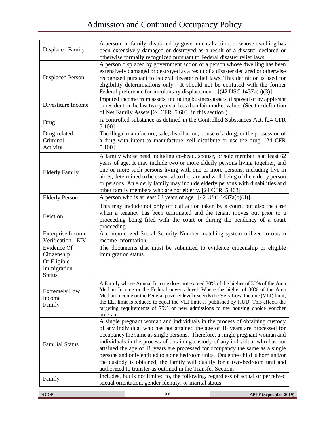# Admission and Continued Occupancy Policy

| <b>Displaced Family</b>                                                   | A person, or family, displaced by governmental action, or whose dwelling has<br>been extensively damaged or destroyed as a result of a disaster declared or<br>otherwise formally recognized pursuant to Federal disaster relief laws.                                                                                                                                                                                                                                                                                                                                                                                                         |                              |
|---------------------------------------------------------------------------|------------------------------------------------------------------------------------------------------------------------------------------------------------------------------------------------------------------------------------------------------------------------------------------------------------------------------------------------------------------------------------------------------------------------------------------------------------------------------------------------------------------------------------------------------------------------------------------------------------------------------------------------|------------------------------|
| <b>Displaced Person</b>                                                   | A person displaced by government action or a person whose dwelling has been<br>extensively damaged or destroyed as a result of a disaster declared or otherwise<br>recognized pursuant to Federal disaster relief laws. This definition is used for<br>eligibility determinations only. It should not be confused with the former<br>Federal preference for involuntary displacement. [(42 USC 1437a(b)(3)]                                                                                                                                                                                                                                    |                              |
| Divestiture Income                                                        | Imputed income from assets, including business assets, disposed of by applicant<br>or resident in the last two years at less than fair market value. (See the definition<br>of Net Family Assets [24 CFR 5.603] in this section.)                                                                                                                                                                                                                                                                                                                                                                                                              |                              |
| Drug                                                                      | A controlled substance as defined in the Controlled Substances Act. [24 CFR<br>5.100]                                                                                                                                                                                                                                                                                                                                                                                                                                                                                                                                                          |                              |
| Drug-related<br>Criminal<br>Activity                                      | The illegal manufacture, sale, distribution, or use of a drug, or the possession of<br>a drug with intent to manufacture, sell distribute or use the drug. [24 CFR<br>5.100]                                                                                                                                                                                                                                                                                                                                                                                                                                                                   |                              |
| <b>Elderly Family</b>                                                     | A family whose head including co-head, spouse, or sole member is at least 62<br>years of age. It may include two or more elderly persons living together, and<br>one or more such persons living with one or more persons, including live-in<br>aides, determined to be essential to the care and well-being of the elderly person<br>or persons. An elderly family may include elderly persons with disabilities and<br>other family members who are not elderly. [24 CFR 5.403]                                                                                                                                                              |                              |
| <b>Elderly Person</b>                                                     | A person who is at least 62 years of age. [42 USC 1437a(b)(3)]                                                                                                                                                                                                                                                                                                                                                                                                                                                                                                                                                                                 |                              |
| Eviction                                                                  | This may include not only official action taken by a court, but also the case<br>when a tenancy has been terminated and the tenant moves out prior to a<br>proceeding being filed with the court or during the pendency of a court<br>proceeding.                                                                                                                                                                                                                                                                                                                                                                                              |                              |
| Enterprise Income<br>Verification - EIV                                   | A computerized Social Security Number matching system utilized to obtain<br>income information.                                                                                                                                                                                                                                                                                                                                                                                                                                                                                                                                                |                              |
| Evidence Of<br>Citizenship<br>Or Eligible<br>Immigration<br><b>Status</b> | The documents that must be submitted to evidence citizenship or eligible<br>immigration status.                                                                                                                                                                                                                                                                                                                                                                                                                                                                                                                                                |                              |
| <b>Extremely Low</b><br>Income<br>Family                                  | A Family whose Annual Income does not exceed 30% of the higher of 30% of the Area<br>Median Income or the Federal poverty level. Where the higher of 30% of the Area<br>Median Income or the Federal poverty level exceeds the Very Low-Income (VLI) limit,<br>the ELI limit is reduced to equal the VLI limit as published by HUD. This effects the<br>targeting requirements of 75% of new admissions to the housing choice voucher<br>program.                                                                                                                                                                                              |                              |
| <b>Familial Status</b>                                                    | A single pregnant woman and individuals in the process of obtaining custody<br>of any individual who has not attained the age of 18 years are processed for<br>occupancy the same as single persons. Therefore, a single pregnant woman and<br>individuals in the process of obtaining custody of any individual who has not<br>attained the age of 18 years are processed for occupancy the same as a single<br>persons and only entitled to a one bedroom units. Once the child is born and/or<br>the custody is obtained, the family will qualify for a two-bedroom unit and<br>authorized to transfer as outlined in the Transfer Section. |                              |
| Family                                                                    | Includes, but is not limited to, the following, regardless of actual or perceived<br>sexual orientation, gender identity, or marital status:                                                                                                                                                                                                                                                                                                                                                                                                                                                                                                   |                              |
| <b>ACOP</b>                                                               | 59                                                                                                                                                                                                                                                                                                                                                                                                                                                                                                                                                                                                                                             | <b>APTF</b> (September 2019) |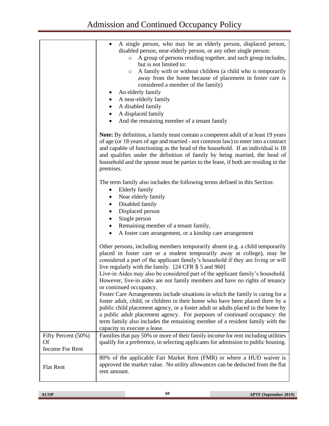|                                                     | A single person, who may be an elderly person, displaced person,<br>$\bullet$<br>disabled person, near-elderly person, or any other single person:<br>A group of persons residing together, and such group includes,<br>$\circ$<br>but is not limited to:<br>A family with or without children (a child who is temporarily<br>$\circ$<br>away from the home because of placement in foster care is<br>considered a member of the family)<br>An elderly family<br>٠<br>A near-elderly family<br>٠<br>A disabled family<br>A displaced family<br>And the remaining member of a tenant family                                                                                                                                                                                                                                                                                                                                                             |
|-----------------------------------------------------|--------------------------------------------------------------------------------------------------------------------------------------------------------------------------------------------------------------------------------------------------------------------------------------------------------------------------------------------------------------------------------------------------------------------------------------------------------------------------------------------------------------------------------------------------------------------------------------------------------------------------------------------------------------------------------------------------------------------------------------------------------------------------------------------------------------------------------------------------------------------------------------------------------------------------------------------------------|
|                                                     | Note: By definition, a family must contain a competent adult of at least 19 years<br>of age (or 18 years of age and married - not common law) to enter into a contract<br>and capable of functioning as the head of the household. If an individual is 18<br>and qualifies under the definition of family by being married, the head of<br>household and the spouse must be parties to the lease, if both are residing in the<br>premises.                                                                                                                                                                                                                                                                                                                                                                                                                                                                                                             |
|                                                     | The term family also includes the following terms defined in this Section:<br>Elderly family<br>$\bullet$<br>Near elderly family<br>Disabled family<br>Displaced person<br>٠<br>Single person<br>٠<br>Remaining member of a tenant family,<br>$\bullet$<br>A foster care arrangement, or a kinship care arrangement<br>$\bullet$                                                                                                                                                                                                                                                                                                                                                                                                                                                                                                                                                                                                                       |
|                                                     | Other persons, including members temporarily absent (e.g. a child temporarily<br>placed in foster care or a student temporarily away at college), may be<br>considered a part of the applicant family's household if they are living or will<br>live regularly with the family. [24 CFR § 5 and 960]<br>Live-in Aides may also be considered part of the applicant family's household.<br>However, live-in aides are not family members and have no rights of tenancy<br>or continued occupancy.<br>Foster Care Arrangements include situations in which the family is caring for a<br>foster adult, child, or children in their home who have been placed there by a<br>public child placement agency, or a foster adult or adults placed in the home by<br>a public adult placement agency. For purposes of continued occupancy: the<br>term family also includes the remaining member of a resident family with the<br>capacity to execute a lease. |
| Fifty Percent (50%)<br>Of<br><b>Income For Rent</b> | Families that pay 50% or more of their family income for rent including utilities<br>qualify for a preference, in selecting applicants for admission to public housing.                                                                                                                                                                                                                                                                                                                                                                                                                                                                                                                                                                                                                                                                                                                                                                                |
| Flat Rent                                           | 80% of the applicable Fair Market Rent (FMR) or where a HUD waiver is<br>approved the market value. No utility allowances can be deducted from the flat<br>rent amount.                                                                                                                                                                                                                                                                                                                                                                                                                                                                                                                                                                                                                                                                                                                                                                                |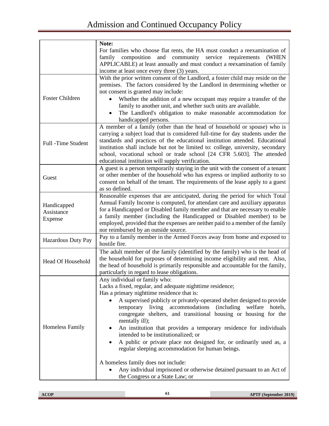|                                      | Note:                                                                                                                                                                                                                                                                                                                                                                                                                                                                                                                                                                                                                                                                                                                                                                                 |
|--------------------------------------|---------------------------------------------------------------------------------------------------------------------------------------------------------------------------------------------------------------------------------------------------------------------------------------------------------------------------------------------------------------------------------------------------------------------------------------------------------------------------------------------------------------------------------------------------------------------------------------------------------------------------------------------------------------------------------------------------------------------------------------------------------------------------------------|
|                                      | For families who choose flat rents, the HA must conduct a reexamination of<br>community service requirements<br>family composition<br>and<br>(WHEN<br>APPLICABLE) at least annually and must conduct a reexamination of family<br>income at least once every three (3) years.                                                                                                                                                                                                                                                                                                                                                                                                                                                                                                         |
| <b>Foster Children</b>               | With the prior written consent of the Landlord, a foster child may reside on the<br>premises. The factors considered by the Landlord in determining whether or<br>not consent is granted may include:<br>Whether the addition of a new occupant may require a transfer of the<br>family to another unit, and whether such units are available.<br>The Landlord's obligation to make reasonable accommodation for<br>handicapped persons.                                                                                                                                                                                                                                                                                                                                              |
| Full -Time Student                   | A member of a family (other than the head of household or spouse) who is<br>carrying a subject load that is considered full-time for day students under the<br>standards and practices of the educational institution attended. Educational<br>institution shall include but not be limited to: college, university, secondary<br>school, vocational school or trade school [24 CFR 5.603]. The attended<br>educational institution will supply verification.                                                                                                                                                                                                                                                                                                                         |
| Guest                                | A guest is a person temporarily staying in the unit with the consent of a tenant<br>or other member of the household who has express or implied authority to so<br>consent on behalf of the tenant. The requirements of the lease apply to a guest<br>as so defined.                                                                                                                                                                                                                                                                                                                                                                                                                                                                                                                  |
| Handicapped<br>Assistance<br>Expense | Reasonable expenses that are anticipated, during the period for which Total<br>Annual Family Income is computed, for attendant care and auxiliary apparatus<br>for a Handicapped or Disabled family member and that are necessary to enable<br>a family member (including the Handicapped or Disabled member) to be<br>employed, provided that the expenses are neither paid to a member of the family<br>nor reimbursed by an outside source.                                                                                                                                                                                                                                                                                                                                        |
| Hazardous Duty Pay                   | Pay to a family member in the Armed Forces away from home and exposed to<br>hostile fire.                                                                                                                                                                                                                                                                                                                                                                                                                                                                                                                                                                                                                                                                                             |
| Head Of Household                    | The adult member of the family (identified by the family) who is the head of<br>the household for purposes of determining income eligibility and rent. Also,<br>the head of household is primarily responsible and accountable for the family,<br>particularly in regard to lease obligations.                                                                                                                                                                                                                                                                                                                                                                                                                                                                                        |
| <b>Homeless Family</b>               | Any individual or family who:<br>Lacks a fixed, regular, and adequate nighttime residence;<br>Has a primary nighttime residence that is:<br>A supervised publicly or privately-operated shelter designed to provide<br>temporary living accommodations<br><i>(including)</i><br>welfare<br>hotels.<br>congregate shelters, and transitional housing or housing for the<br>mentally ill);<br>An institution that provides a temporary residence for individuals<br>intended to be institutionalized; or<br>A public or private place not designed for, or ordinarily used as, a<br>regular sleeping accommodation for human beings.<br>A homeless family does not include:<br>Any individual imprisoned or otherwise detained pursuant to an Act of<br>the Congress or a State Law; or |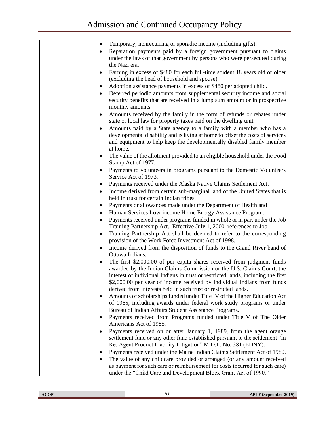| Temporary, nonrecurring or sporadic income (including gifts).<br>$\bullet$             |
|----------------------------------------------------------------------------------------|
| Reparation payments paid by a foreign government pursuant to claims<br>٠               |
| under the laws of that government by persons who were persecuted during                |
| the Nazi era.                                                                          |
| Earning in excess of \$480 for each full-time student 18 years old or older<br>٠       |
| (excluding the head of household and spouse).                                          |
| Adoption assistance payments in excess of \$480 per adopted child.<br>٠                |
| Deferred periodic amounts from supplemental security income and social<br>٠            |
| security benefits that are received in a lump sum amount or in prospective             |
| monthly amounts.                                                                       |
| Amounts received by the family in the form of refunds or rebates under<br>$\bullet$    |
| state or local law for property taxes paid on the dwelling unit.                       |
|                                                                                        |
| Amounts paid by a State agency to a family with a member who has a<br>٠                |
| developmental disability and is living at home to offset the costs of services         |
| and equipment to help keep the developmentally disabled family member                  |
| at home.                                                                               |
| The value of the allotment provided to an eligible household under the Food<br>٠       |
| Stamp Act of 1977.                                                                     |
| Payments to volunteers in programs pursuant to the Domestic Volunteers<br>٠            |
| Service Act of 1973.                                                                   |
| Payments received under the Alaska Native Claims Settlement Act.<br>٠                  |
| Income derived from certain sub-marginal land of the United States that is             |
| held in trust for certain Indian tribes.                                               |
| Payments or allowances made under the Department of Health and<br>٠                    |
| Human Services Low-income Home Energy Assistance Program.<br>٠                         |
| Payments received under programs funded in whole or in part under the Job<br>$\bullet$ |
| Training Partnership Act. Effective July 1, 2000, references to Job                    |
| Training Partnership Act shall be deemed to refer to the corresponding<br>$\bullet$    |
| provision of the Work Force Investment Act of 1998.                                    |
| Income derived from the disposition of funds to the Grand River band of<br>٠           |
| Ottawa Indians.                                                                        |
| The first \$2,000.00 of per capita shares received from judgment funds<br>$\bullet$    |
| awarded by the Indian Claims Commission or the U.S. Claims Court, the                  |
| interest of individual Indians in trust or restricted lands, including the first       |
| \$2,000.00 per year of income received by individual Indians from funds                |
| derived from interests held in such trust or restricted lands.                         |
| Amounts of scholarships funded under Title IV of the Higher Education Act              |
| of 1965, including awards under federal work study programs or under                   |
| Bureau of Indian Affairs Student Assistance Programs.                                  |
| Payments received from Programs funded under Title V of The Older                      |
| Americans Act of 1985.                                                                 |
| Payments received on or after January 1, 1989, from the agent orange                   |
| settlement fund or any other fund established pursuant to the settlement "In           |
| Re: Agent Product Liability Litigation" M.D.L. No. 381 (EDNY).                         |
| Payments received under the Maine Indian Claims Settlement Act of 1980.                |
| The value of any childcare provided or arranged (or any amount received                |
| as payment for such care or reimbursement for costs incurred for such care)            |
| under the "Child Care and Development Block Grant Act of 1990."                        |
|                                                                                        |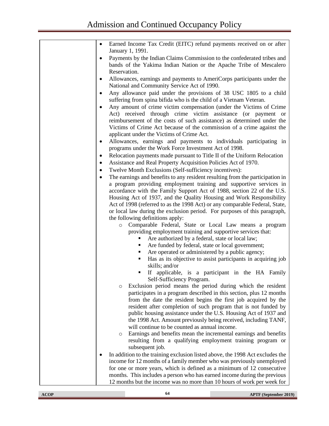| Earned Income Tax Credit (EITC) refund payments received on or after |
|----------------------------------------------------------------------|
| January 1, 1991.                                                     |

- Payments by the Indian Claims Commission to the confederated tribes and bands of the Yakima Indian Nation or the Apache Tribe of Mescalero Reservation.
- Allowances, earnings and payments to AmeriCorps participants under the National and Community Service Act of 1990.
- Any allowance paid under the provisions of 38 USC 1805 to a child suffering from spina bifida who is the child of a Vietnam Veteran.
- Any amount of crime victim compensation (under the Victims of Crime Act) received through crime victim assistance (or payment or reimbursement of the costs of such assistance) as determined under the Victims of Crime Act because of the commission of a crime against the applicant under the Victims of Crime Act.
- Allowances, earnings and payments to individuals participating in programs under the Work Force Investment Act of 1998.
- Relocation payments made pursuant to Title II of the Uniform Relocation
- Assistance and Real Property Acquisition Policies Act of 1970.
- Twelve Month Exclusions (Self-sufficiency incentives):
- The earnings and benefits to any resident resulting from the participation in a program providing employment training and supportive services in accordance with the Family Support Act of 1988, section 22 of the U.S. Housing Act of 1937, and the Quality Housing and Work Responsibility Act of 1998 (referred to as the 1998 Act) or any comparable Federal, State, or local law during the exclusion period. For purposes of this paragraph, the following definitions apply:
	- o Comparable Federal, State or Local Law means a program providing employment training and supportive services that:
		- Are authorized by a federal, state or local law;
		- Are funded by federal, state or local government;
		- Are operated or administered by a public agency;
		- Has as its objective to assist participants in acquiring job skills; and/or
		- If applicable, is a participant in the HA Family Self-Sufficiency Program.
	- o Exclusion period means the period during which the resident participates in a program described in this section, plus 12 months from the date the resident begins the first job acquired by the resident after completion of such program that is not funded by public housing assistance under the U.S. Housing Act of 1937 and the 1998 Act. Amount previously being received, including TANF, will continue to be counted as annual income.
	- o Earnings and benefits mean the incremental earnings and benefits resulting from a qualifying employment training program or subsequent job.
- In addition to the training exclusion listed above, the 1998 Act excludes the income for 12 months of a family member who was previously unemployed for one or more years, which is defined as a minimum of 12 consecutive months. This includes a person who has earned income during the previous 12 months but the income was no more than 10 hours of work per week for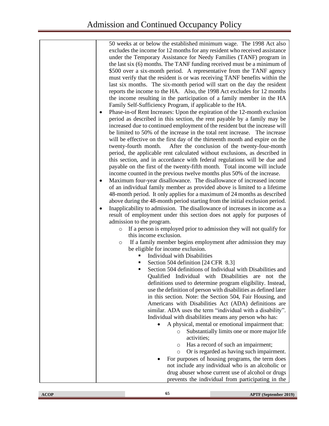50 weeks at or below the established minimum wage. The 1998 Act also excludes the income for 12 months for any resident who received assistance under the Temporary Assistance for Needy Families (TANF) program in the last six (6) months. The TANF funding received must be a minimum of \$500 over a six-month period. A representative from the TANF agency must verify that the resident is or was receiving TANF benefits within the last six months. The six-month period will start on the day the resident reports the income to the HA. Also, the 1998 Act excludes for 12 months the income resulting in the participation of a family member in the HA Family Self-Sufficiency Program, if applicable to the HA.

- Phase-in-of Rent Increases: Upon the expiration of the 12-month exclusion period as described in this section, the rent payable by a family may be increased due to continued employment of the resident but the increase will be limited to 50% of the increase in the total rent increase. The increase will be effective on the first day of the thirteenth month and expire on the twenty-fourth month. After the conclusion of the twenty-four-month period, the applicable rent calculated without exclusions, as described in this section, and in accordance with federal regulations will be due and payable on the first of the twenty-fifth month. Total income will include income counted in the previous twelve months plus 50% of the increase.
- Maximum four-year disallowance. The disallowance of increased income of an individual family member as provided above is limited to a lifetime 48-month period. It only applies for a maximum of 24 months as described above during the 48-month period starting from the initial exclusion period.
- Inapplicability to admission. The disallowance of increases in income as a result of employment under this section does not apply for purposes of admission to the program.
	- o If a person is employed prior to admission they will not qualify for this income exclusion.
	- o If a family member begins employment after admission they may be eligible for income exclusion.
		- **•** Individual with Disabilities
		- Section 504 definition [24 CFR 8.3]
		- Section 504 definitions of Individual with Disabilities and Qualified Individual with Disabilities are not the definitions used to determine program eligibility. Instead, use the definition of person with disabilities as defined later in this section. Note: the Section 504, Fair Housing, and Americans with Disabilities Act (ADA) definitions are similar. ADA uses the term "individual with a disability". Individual with disabilities means any person who has:
			- A physical, mental or emotional impairment that:
				- o Substantially limits one or more major life activities;
				- o Has a record of such an impairment;
				- o Or is regarded as having such impairment.
			- For purposes of housing programs, the term does not include any individual who is an alcoholic or drug abuser whose current use of alcohol or drugs prevents the individual from participating in the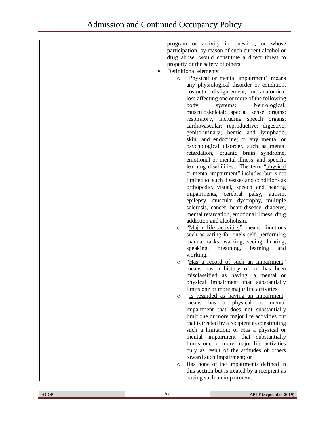| program or activity in question, or whose            |
|------------------------------------------------------|
| participation, by reason of such current alcohol or  |
| drug abuse, would constitute a direct threat to      |
| property or the safety of others.                    |
| Definitional elements:                               |
|                                                      |
| "Physical or mental impairment" means<br>$\circ$     |
| any physiological disorder or condition,             |
| cosmetic disfigurement, or anatomical                |
| loss affecting one or more of the following          |
| body<br>systems:<br>Neurological;                    |
| musculoskeletal; special sense organs;               |
| respiratory, including speech organs;                |
| cardiovascular; reproductive; digestive;             |
| genito-urinary; hemic and lymphatic;                 |
| skin; and endocrine; or any mental or                |
| psychological disorder, such as mental               |
| retardation, organic brain syndrome,                 |
| emotional or mental illness, and specific            |
| learning disabilities. The term "physical            |
| or mental impairment" includes, but is not           |
| limited to, such diseases and conditions as          |
| orthopedic, visual, speech and hearing               |
| impairments, cerebral palsy,<br>autism,              |
| epilepsy, muscular dystrophy, multiple               |
| sclerosis, cancer, heart disease, diabetes,          |
| mental retardation, emotional illness, drug          |
| addiction and alcoholism.                            |
| "Major life activities" means functions<br>$\circ$   |
| such as caring for one's self, performing            |
| manual tasks, walking, seeing, hearing,              |
| breathing,<br>speaking,<br>learning<br>and           |
| working.                                             |
| "Has a record of such an impairment"                 |
| $\circ$                                              |
| means has a history of, or has been                  |
| misclassified as having, a mental or                 |
| physical impairment that substantially               |
| limits one or more major life activities.            |
| "Is regarded as having an impairment"<br>$\circ$     |
| physical<br>has<br>mental<br>means<br><b>or</b><br>a |
| impairment that does not substantially               |
| limit one or more major life activities but          |
| that is treated by a recipient as constituting       |
| such a limitation; or Has a physical or              |
| mental impairment that substantially                 |
| limits one or more major life activities             |
| only as result of the attitudes of others            |
| toward such impairment; or                           |
| Has none of the impairments defined in<br>O          |
| this section but is treated by a recipient as        |
| having such an impairment.                           |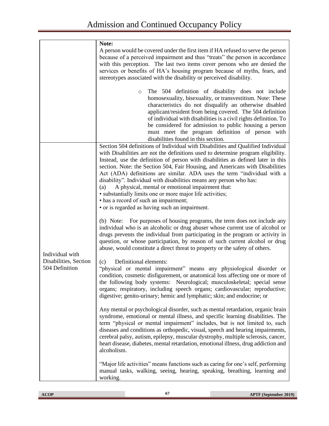| $\circ$                                                                                                                                                                   | A person would be covered under the first item if HA refused to serve the person<br>because of a perceived impairment and thus "treats" the person in accordance<br>with this perception. The last two items cover persons who are denied the<br>services or benefits of HA's housing program because of myths, fears, and<br>stereotypes associated with the disability or perceived disability.<br>The 504 definition of disability does not include<br>homosexuality, bisexuality, or transvestitism. Note: These<br>characteristics do not disqualify an otherwise disabled<br>applicant/resident from being covered. The 504 definition<br>of individual with disabilities is a civil rights definition. To<br>be considered for admission to public housing a person<br>must meet the program definition of person with<br>disabilities found in this section.<br>Section 504 definitions of Individual with Disabilities and Qualified Individual<br>with Disabilities are not the definitions used to determine program eligibility.<br>Instead, use the definition of person with disabilities as defined later in this<br>section. Note: the Section 504, Fair Housing, and Americans with Disabilities                                                                                                                                                                                                                                                                                                                                                                                                                                                                                                                                                                                       |
|---------------------------------------------------------------------------------------------------------------------------------------------------------------------------|---------------------------------------------------------------------------------------------------------------------------------------------------------------------------------------------------------------------------------------------------------------------------------------------------------------------------------------------------------------------------------------------------------------------------------------------------------------------------------------------------------------------------------------------------------------------------------------------------------------------------------------------------------------------------------------------------------------------------------------------------------------------------------------------------------------------------------------------------------------------------------------------------------------------------------------------------------------------------------------------------------------------------------------------------------------------------------------------------------------------------------------------------------------------------------------------------------------------------------------------------------------------------------------------------------------------------------------------------------------------------------------------------------------------------------------------------------------------------------------------------------------------------------------------------------------------------------------------------------------------------------------------------------------------------------------------------------------------------------------------------------------------------------------------------------|
|                                                                                                                                                                           |                                                                                                                                                                                                                                                                                                                                                                                                                                                                                                                                                                                                                                                                                                                                                                                                                                                                                                                                                                                                                                                                                                                                                                                                                                                                                                                                                                                                                                                                                                                                                                                                                                                                                                                                                                                                         |
|                                                                                                                                                                           |                                                                                                                                                                                                                                                                                                                                                                                                                                                                                                                                                                                                                                                                                                                                                                                                                                                                                                                                                                                                                                                                                                                                                                                                                                                                                                                                                                                                                                                                                                                                                                                                                                                                                                                                                                                                         |
| (a)<br>• has a record of such an impairment;<br>$(b)$ Note:<br>Individual with<br>Disabilities, Section<br>Definitional elements:<br>(c)<br>504 Definition<br>alcoholism. | Act (ADA) definitions are similar. ADA uses the term "individual with a<br>disability". Individual with disabilities means any person who has:<br>A physical, mental or emotional impairment that:<br>· substantially limits one or more major life activities;<br>• or is regarded as having such an impairment.<br>For purposes of housing programs, the term does not include any<br>individual who is an alcoholic or drug abuser whose current use of alcohol or<br>drugs prevents the individual from participating in the program or activity in<br>question, or whose participation, by reason of such current alcohol or drug<br>abuse, would constitute a direct threat to property or the safety of others.<br>"physical or mental impairment" means any physiological disorder or<br>condition, cosmetic disfigurement, or anatomical loss affecting one or more of<br>the following body systems: Neurological; musculoskeletal; special sense<br>organs; respiratory, including speech organs; cardiovascular; reproductive;<br>digestive; genito-urinary; hemic and lymphatic; skin; and endocrine; or<br>Any mental or psychological disorder, such as mental retardation, organic brain<br>syndrome, emotional or mental illness, and specific learning disabilities. The<br>term "physical or mental impairment" includes, but is not limited to, such<br>diseases and conditions as orthopedic, visual, speech and hearing impairments,<br>cerebral palsy, autism, epilepsy, muscular dystrophy, multiple sclerosis, cancer,<br>heart disease, diabetes, mental retardation, emotional illness, drug addiction and<br>"Major life activities" means functions such as caring for one's self, performing<br>manual tasks, walking, seeing, hearing, speaking, breathing, learning and |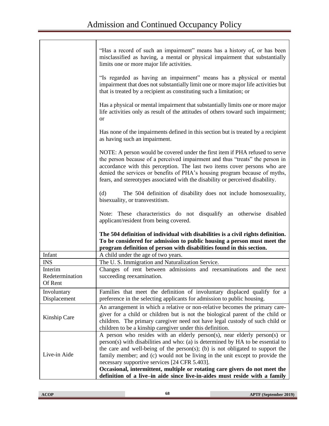|                                       | "Has a record of such an impairment" means has a history of, or has been<br>misclassified as having, a mental or physical impairment that substantially<br>limits one or more major life activities.                                                                                                                                                                                                                                                                                                                                       |
|---------------------------------------|--------------------------------------------------------------------------------------------------------------------------------------------------------------------------------------------------------------------------------------------------------------------------------------------------------------------------------------------------------------------------------------------------------------------------------------------------------------------------------------------------------------------------------------------|
|                                       | "Is regarded as having an impairment" means has a physical or mental<br>impairment that does not substantially limit one or more major life activities but<br>that is treated by a recipient as constituting such a limitation; or                                                                                                                                                                                                                                                                                                         |
|                                       | Has a physical or mental impairment that substantially limits one or more major<br>life activities only as result of the attitudes of others toward such impairment;<br><b>or</b>                                                                                                                                                                                                                                                                                                                                                          |
|                                       | Has none of the impairments defined in this section but is treated by a recipient<br>as having such an impairment.                                                                                                                                                                                                                                                                                                                                                                                                                         |
|                                       | NOTE: A person would be covered under the first item if PHA refused to serve<br>the person because of a perceived impairment and thus "treats" the person in<br>accordance with this perception. The last two items cover persons who are<br>denied the services or benefits of PHA's housing program because of myths,<br>fears, and stereotypes associated with the disability or perceived disability.                                                                                                                                  |
|                                       | (d)<br>The 504 definition of disability does not include homosexuality,<br>bisexuality, or transvestitism.                                                                                                                                                                                                                                                                                                                                                                                                                                 |
|                                       | Note: These characteristics do not disqualify an otherwise disabled<br>applicant/resident from being covered.                                                                                                                                                                                                                                                                                                                                                                                                                              |
|                                       | The 504 definition of individual with disabilities is a civil rights definition.<br>To be considered for admission to public housing a person must meet the<br>program definition of person with disabilities found in this section.                                                                                                                                                                                                                                                                                                       |
| Infant                                | A child under the age of two years.                                                                                                                                                                                                                                                                                                                                                                                                                                                                                                        |
| <b>INS</b>                            | The U.S. Immigration and Naturalization Service.                                                                                                                                                                                                                                                                                                                                                                                                                                                                                           |
|                                       |                                                                                                                                                                                                                                                                                                                                                                                                                                                                                                                                            |
| Interim<br>Redetermination<br>Of Rent | Changes of rent between admissions and reexaminations and the next<br>succeeding reexamination.                                                                                                                                                                                                                                                                                                                                                                                                                                            |
| Involuntary<br>Displacement           | Families that meet the definition of involuntary displaced qualify for a<br>preference in the selecting applicants for admission to public housing.                                                                                                                                                                                                                                                                                                                                                                                        |
| Kinship Care                          | An arrangement in which a relative or non-relative becomes the primary care-<br>giver for a child or children but is not the biological parent of the child or<br>children. The primary caregiver need not have legal custody of such child or<br>children to be a kinship caregiver under this definition.                                                                                                                                                                                                                                |
| Live-in Aide                          | A person who resides with an elderly person(s), near elderly person(s) or<br>person(s) with disabilities and who: (a) is determined by HA to be essential to<br>the care and well-being of the person(s); (b) is not obligated to support the<br>family member; and (c) would not be living in the unit except to provide the<br>necessary supportive services [24 CFR 5.403].<br>Occasional, intermittent, multiple or rotating care givers do not meet the<br>definition of a live-in aide since live-in-aides must reside with a family |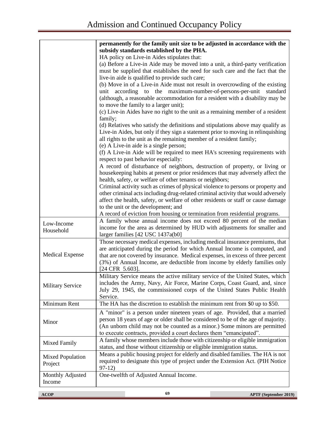|                             | permanently for the family unit size to be adjusted in accordance with the<br>subsidy standards established by the PHA.<br>HA policy on Live-in Aides stipulates that:<br>(a) Before a Live-in Aide may be moved into a unit, a third-party verification<br>must be supplied that establishes the need for such care and the fact that the<br>live-in aide is qualified to provide such care;<br>(b) Move in of a Live-in Aide must not result in overcrowding of the existing<br>according to the maximum-number-of-persons-per-unit standard<br>unit<br>(although, a reasonable accommodation for a resident with a disability may be<br>to move the family to a larger unit);<br>(c) Live-in Aides have no right to the unit as a remaining member of a resident<br>family;<br>(d) Relatives who satisfy the definitions and stipulations above may qualify as<br>Live-in Aides, but only if they sign a statement prior to moving in relinquishing<br>all rights to the unit as the remaining member of a resident family;<br>(e) A Live-in aide is a single person;<br>(f) A Live-in Aide will be required to meet HA's screening requirements with<br>respect to past behavior especially:<br>A record of disturbance of neighbors, destruction of property, or living or<br>housekeeping habits at present or prior residences that may adversely affect the<br>health, safety, or welfare of other tenants or neighbors;<br>Criminal activity such as crimes of physical violence to persons or property and<br>other criminal acts including drug-related criminal activity that would adversely<br>affect the health, safety, or welfare of other residents or staff or cause damage |
|-----------------------------|------------------------------------------------------------------------------------------------------------------------------------------------------------------------------------------------------------------------------------------------------------------------------------------------------------------------------------------------------------------------------------------------------------------------------------------------------------------------------------------------------------------------------------------------------------------------------------------------------------------------------------------------------------------------------------------------------------------------------------------------------------------------------------------------------------------------------------------------------------------------------------------------------------------------------------------------------------------------------------------------------------------------------------------------------------------------------------------------------------------------------------------------------------------------------------------------------------------------------------------------------------------------------------------------------------------------------------------------------------------------------------------------------------------------------------------------------------------------------------------------------------------------------------------------------------------------------------------------------------------------------------------------------------------------------------------------|
|                             | to the unit or the development; and<br>A record of eviction from housing or termination from residential programs.                                                                                                                                                                                                                                                                                                                                                                                                                                                                                                                                                                                                                                                                                                                                                                                                                                                                                                                                                                                                                                                                                                                                                                                                                                                                                                                                                                                                                                                                                                                                                                             |
| Low-Income<br>Household     | A family whose annual income does not exceed 80 percent of the median<br>income for the area as determined by HUD with adjustments for smaller and<br>larger families [42 USC 1437a(b0]                                                                                                                                                                                                                                                                                                                                                                                                                                                                                                                                                                                                                                                                                                                                                                                                                                                                                                                                                                                                                                                                                                                                                                                                                                                                                                                                                                                                                                                                                                        |
| <b>Medical Expense</b>      | Those necessary medical expenses, including medical insurance premiums, that<br>are anticipated during the period for which Annual Income is computed, and<br>that are not covered by insurance. Medical expenses, in excess of three percent<br>(3%) of Annual Income, are deductible from income by elderly families only<br>[24 CFR 5.603].                                                                                                                                                                                                                                                                                                                                                                                                                                                                                                                                                                                                                                                                                                                                                                                                                                                                                                                                                                                                                                                                                                                                                                                                                                                                                                                                                 |
| <b>Military Service</b>     | Military Service means the active military service of the United States, which<br>includes the Army, Navy, Air Force, Marine Corps, Coast Guard, and, since<br>July 29, 1945, the commissioned corps of the United States Public Health<br>Service.                                                                                                                                                                                                                                                                                                                                                                                                                                                                                                                                                                                                                                                                                                                                                                                                                                                                                                                                                                                                                                                                                                                                                                                                                                                                                                                                                                                                                                            |
| Minimum Rent                | The HA has the discretion to establish the minimum rent from \$0 up to \$50.                                                                                                                                                                                                                                                                                                                                                                                                                                                                                                                                                                                                                                                                                                                                                                                                                                                                                                                                                                                                                                                                                                                                                                                                                                                                                                                                                                                                                                                                                                                                                                                                                   |
| Minor                       | A "minor" is a person under nineteen years of age. Provided, that a married<br>person 18 years of age or older shall be considered to be of the age of majority.<br>(An unborn child may not be counted as a minor.) Some minors are permitted<br>to execute contracts, provided a court declares them "emancipated".                                                                                                                                                                                                                                                                                                                                                                                                                                                                                                                                                                                                                                                                                                                                                                                                                                                                                                                                                                                                                                                                                                                                                                                                                                                                                                                                                                          |
| Mixed Family                | A family whose members include those with citizenship or eligible immigration<br>status, and those without citizenship or eligible immigration status.                                                                                                                                                                                                                                                                                                                                                                                                                                                                                                                                                                                                                                                                                                                                                                                                                                                                                                                                                                                                                                                                                                                                                                                                                                                                                                                                                                                                                                                                                                                                         |
| Mixed Population<br>Project | Means a public housing project for elderly and disabled families. The HA is not<br>required to designate this type of project under the Extension Act. (PIH Notice<br>$97-12)$                                                                                                                                                                                                                                                                                                                                                                                                                                                                                                                                                                                                                                                                                                                                                                                                                                                                                                                                                                                                                                                                                                                                                                                                                                                                                                                                                                                                                                                                                                                 |
| Monthly Adjusted<br>Income  | One-twelfth of Adjusted Annual Income.                                                                                                                                                                                                                                                                                                                                                                                                                                                                                                                                                                                                                                                                                                                                                                                                                                                                                                                                                                                                                                                                                                                                                                                                                                                                                                                                                                                                                                                                                                                                                                                                                                                         |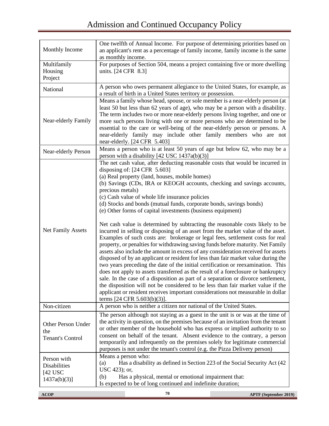| Monthly Income                                              | One twelfth of Annual Income. For purpose of determining priorities based on<br>an applicant's rent as a percentage of family income, family income is the same<br>as monthly income.                                                                                                                                                                                                                                                                                                                                                                                                                                                                                                                                                                                                                                                                                                                                                                                                                                                                                                                                                                                                                                                                                                                                                                                                                                                                                   |
|-------------------------------------------------------------|-------------------------------------------------------------------------------------------------------------------------------------------------------------------------------------------------------------------------------------------------------------------------------------------------------------------------------------------------------------------------------------------------------------------------------------------------------------------------------------------------------------------------------------------------------------------------------------------------------------------------------------------------------------------------------------------------------------------------------------------------------------------------------------------------------------------------------------------------------------------------------------------------------------------------------------------------------------------------------------------------------------------------------------------------------------------------------------------------------------------------------------------------------------------------------------------------------------------------------------------------------------------------------------------------------------------------------------------------------------------------------------------------------------------------------------------------------------------------|
| Multifamily<br>Housing<br>Project                           | For purposes of Section 504, means a project containing five or more dwelling<br>units. [24 CFR 8.3]                                                                                                                                                                                                                                                                                                                                                                                                                                                                                                                                                                                                                                                                                                                                                                                                                                                                                                                                                                                                                                                                                                                                                                                                                                                                                                                                                                    |
| National                                                    | A person who owes permanent allegiance to the United States, for example, as<br>a result of birth in a United States territory or possession.                                                                                                                                                                                                                                                                                                                                                                                                                                                                                                                                                                                                                                                                                                                                                                                                                                                                                                                                                                                                                                                                                                                                                                                                                                                                                                                           |
| Near-elderly Family                                         | Means a family whose head, spouse, or sole member is a near-elderly person (at<br>least 50 but less than 62 years of age), who may be a person with a disability.<br>The term includes two or more near-elderly persons living together, and one or<br>more such persons living with one or more persons who are determined to be<br>essential to the care or well-being of the near-elderly person or persons. A<br>near-elderly family may include other family members who are not<br>near-elderly. [24 CFR 5.403]                                                                                                                                                                                                                                                                                                                                                                                                                                                                                                                                                                                                                                                                                                                                                                                                                                                                                                                                                   |
| Near-elderly Person                                         | Means a person who is at least 50 years of age but below 62, who may be a<br>person with a disability $[42 \text{ USC } 1437a(b)(3)]$                                                                                                                                                                                                                                                                                                                                                                                                                                                                                                                                                                                                                                                                                                                                                                                                                                                                                                                                                                                                                                                                                                                                                                                                                                                                                                                                   |
| <b>Net Family Assets</b>                                    | The net cash value, after deducting reasonable costs that would be incurred in<br>disposing of: $[24 \text{ CFR } 5.603]$<br>(a) Real property (land, houses, mobile homes)<br>(b) Savings (CDs, IRA or KEOGH accounts, checking and savings accounts,<br>precious metals)<br>(c) Cash value of whole life insurance policies<br>(d) Stocks and bonds (mutual funds, corporate bonds, savings bonds)<br>(e) Other forms of capital investments (business equipment)<br>Net cash value is determined by subtracting the reasonable costs likely to be<br>incurred in selling or disposing of an asset from the market value of the asset.<br>Examples of such costs are: brokerage or legal fees, settlement costs for real<br>property, or penalties for withdrawing saving funds before maturity. Net Family<br>assets also include the amount in excess of any consideration received for assets<br>disposed of by an applicant or resident for less than fair market value during the<br>two years preceding the date of the initial certification or reexamination. This<br>does not apply to assets transferred as the result of a foreclosure or bankruptcy<br>sale. In the case of a disposition as part of a separation or divorce settlement,<br>the disposition will not be considered to be less than fair market value if the<br>applicant or resident receives important considerations not measurable in dollar<br>terms $[24 \text{ CFR } 5.603(b)(3)].$ |
| Non-citizen                                                 | A person who is neither a citizen nor national of the United States.                                                                                                                                                                                                                                                                                                                                                                                                                                                                                                                                                                                                                                                                                                                                                                                                                                                                                                                                                                                                                                                                                                                                                                                                                                                                                                                                                                                                    |
| Other Person Under<br>the<br><b>Tenant's Control</b>        | The person although not staying as a guest in the unit is or was at the time of<br>the activity in question, on the premises because of an invitation from the tenant<br>or other member of the household who has express or implied authority to so<br>consent on behalf of the tenant. Absent evidence to the contrary, a person<br>temporarily and infrequently on the premises solely for legitimate commercial<br>purposes is not under the tenant's control (e.g. the Pizza Delivery person)                                                                                                                                                                                                                                                                                                                                                                                                                                                                                                                                                                                                                                                                                                                                                                                                                                                                                                                                                                      |
| Person with<br>Disabilities<br>$[42$ USC<br>$1437a(b)(3)$ ] | Means a person who:<br>Has a disability as defined in Section 223 of the Social Security Act (42<br>(a)<br>USC 423); or,<br>Has a physical, mental or emotional impairment that:<br>(b)<br>Is expected to be of long continued and indefinite duration;                                                                                                                                                                                                                                                                                                                                                                                                                                                                                                                                                                                                                                                                                                                                                                                                                                                                                                                                                                                                                                                                                                                                                                                                                 |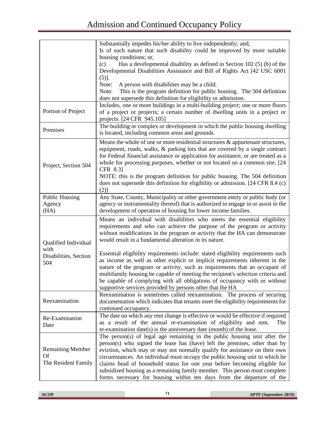|                                                              | Substantially impedes his/her ability to live independently; and,<br>Is of such nature that such disability could be improved by more suitable                                                                                                                                                                                                                                                                                                                                                                                                             |
|--------------------------------------------------------------|------------------------------------------------------------------------------------------------------------------------------------------------------------------------------------------------------------------------------------------------------------------------------------------------------------------------------------------------------------------------------------------------------------------------------------------------------------------------------------------------------------------------------------------------------------|
|                                                              | housing conditions; or,<br>Has a developmental disability as defined in Section 102 (5) (b) of the<br>(c)                                                                                                                                                                                                                                                                                                                                                                                                                                                  |
|                                                              | Developmental Disabilities Assistance and Bill of Rights Act [42 USC 6001                                                                                                                                                                                                                                                                                                                                                                                                                                                                                  |
|                                                              | $(5)$ ].<br>Note:<br>A person with disabilities may be a child.                                                                                                                                                                                                                                                                                                                                                                                                                                                                                            |
|                                                              | This is the program definition for public housing. The 504 definition<br>Note:                                                                                                                                                                                                                                                                                                                                                                                                                                                                             |
|                                                              | does not supersede this definition for eligibility or admission.                                                                                                                                                                                                                                                                                                                                                                                                                                                                                           |
| Portion of Project                                           | Includes, one or more buildings in a multi-building project; one or more floors<br>of a project or projects; a certain number of dwelling units in a project or<br>projects. [24 CFR 945.105]                                                                                                                                                                                                                                                                                                                                                              |
| Premises                                                     | The building or complex or development in which the public housing dwelling<br>is located, including common areas and grounds.                                                                                                                                                                                                                                                                                                                                                                                                                             |
| Project, Section 504                                         | Means the whole of one or more residential structures $\&$ appurtenant structures,<br>equipment, roads, walks, & parking lots that are covered by a single contract<br>for Federal financial assistance or application for assistance, or are treated as a<br>whole for processing purposes, whether or not located on a common site. [24<br>CFR 8.31<br>NOTE: this is the program definition for public housing. The 504 definition<br>does not supersede this definition for eligibility or admission. [24 CFR 8.4 (c)                                   |
| <b>Public Housing</b>                                        | $(2)$ ]<br>Any State, County, Municipality or other government entity or public body (or                                                                                                                                                                                                                                                                                                                                                                                                                                                                   |
| Agency<br>(HA)                                               | agency or instrumentality thereof) that is authorized to engage in or assist in the<br>development of operation of housing for lower income families.                                                                                                                                                                                                                                                                                                                                                                                                      |
| Qualified Individual<br>with<br>Disabilities, Section<br>504 | Means an individual with disabilities who meets the essential eligibility<br>requirements and who can achieve the purpose of the program or activity<br>without modifications in the program or activity that the HA can demonstrate<br>would result in a fundamental alteration in its nature.                                                                                                                                                                                                                                                            |
|                                                              | Essential eligibility requirements include: stated eligibility requirements such<br>as income as well as other explicit or implicit requirements inherent in the<br>nature of the program or activity, such as requirements that an occupant of<br>multifamily housing be capable of meeting the recipient's selection criteria and<br>be capable of complying with all obligations of occupancy with or without<br>supportive services provided by persons other that the HA                                                                              |
| Reexamination                                                | Reexamination is sometimes called reexamination. The process of securing<br>documentation which indicates that tenants meet the eligibility requirements for<br>continued occupancy.                                                                                                                                                                                                                                                                                                                                                                       |
| Re-Examination<br>Date                                       | The date on which any rent change is effective or would be effective if required<br>as a result of the annual re-examination of eligibility and rent.<br>The<br>re-examination date(s) is the anniversary date (month) of the lease.                                                                                                                                                                                                                                                                                                                       |
| <b>Remaining Member</b><br><b>Of</b><br>The Resident Family  | The person(s) of legal age remaining in the public housing unit after the<br>person(s) who signed the lease has (have) left the premises, other than by<br>eviction, which may or may not normally qualify for assistance on their own<br>circumstances. An individual must occupy the public housing unit to which he<br>claims head of household status for one year before becoming eligible for<br>subsidized housing as a remaining family member. This person must complete<br>forms necessary for housing within ten days from the departure of the |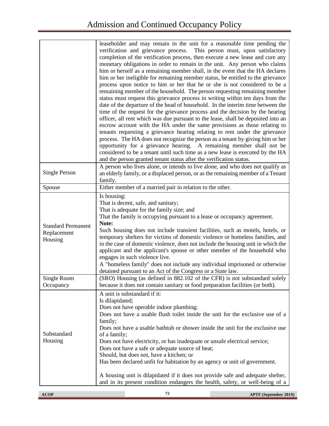|                                                     | leaseholder and may remain in the unit for a reasonable time pending the<br>verification and grievance process. This person must, upon satisfactory<br>completion of the verification process, then execute a new lease and cure any<br>monetary obligations in order to remain in the unit. Any person who claims<br>him or herself as a remaining member shall, in the event that the HA declares<br>him or her ineligible for remaining member status, be entitled to the grievance<br>process upon notice to him or her that he or she is not considered to be a<br>remaining member of the household. The person requesting remaining member<br>status must request this grievance process in writing within ten days from the<br>date of the departure of the head of household. In the interim time between the<br>time of the request for the grievance process and the decision by the hearing<br>officer, all rent which was due pursuant to the lease, shall be deposited into an<br>escrow account with the HA under the same provisions as those relating to<br>tenants requesting a grievance hearing relating to rent under the grievance<br>process. The HA does not recognize the person as a tenant by giving him or her<br>opportunity for a grievance hearing. A remaining member shall not be<br>considered to be a tenant until such time as a new lease is executed by the HA<br>and the person granted tenant status after the verification status. |
|-----------------------------------------------------|-----------------------------------------------------------------------------------------------------------------------------------------------------------------------------------------------------------------------------------------------------------------------------------------------------------------------------------------------------------------------------------------------------------------------------------------------------------------------------------------------------------------------------------------------------------------------------------------------------------------------------------------------------------------------------------------------------------------------------------------------------------------------------------------------------------------------------------------------------------------------------------------------------------------------------------------------------------------------------------------------------------------------------------------------------------------------------------------------------------------------------------------------------------------------------------------------------------------------------------------------------------------------------------------------------------------------------------------------------------------------------------------------------------------------------------------------------------------------------|
| <b>Single Person</b>                                | A person who lives alone, or intends to live alone, and who does not qualify as<br>an elderly family, or a displaced person, or as the remaining member of a Tenant<br>family.                                                                                                                                                                                                                                                                                                                                                                                                                                                                                                                                                                                                                                                                                                                                                                                                                                                                                                                                                                                                                                                                                                                                                                                                                                                                                              |
| Spouse                                              | Either member of a married pair in relation to the other.                                                                                                                                                                                                                                                                                                                                                                                                                                                                                                                                                                                                                                                                                                                                                                                                                                                                                                                                                                                                                                                                                                                                                                                                                                                                                                                                                                                                                   |
| <b>Standard Permanent</b><br>Replacement<br>Housing | Is housing:<br>That is decent, safe, and sanitary;<br>That is adequate for the family size; and<br>That the family is occupying pursuant to a lease or occupancy agreement.<br>Note:<br>Such housing does not include transient facilities, such as motels, hotels, or<br>temporary shelters for victims of domestic violence or homeless families, and<br>in the case of domestic violence, does not include the housing unit in which the<br>applicant and the applicant's spouse or other member of the household who<br>engages in such violence live.<br>A "homeless family" does not include any individual imprisoned or otherwise<br>detained pursuant to an Act of the Congress or a State law.                                                                                                                                                                                                                                                                                                                                                                                                                                                                                                                                                                                                                                                                                                                                                                    |
| Single Room<br>Occupancy                            | (SRO) Housing (as defined in 882.102 of the CFR) is not substandard solely<br>because it does not contain sanitary or food preparation facilities (or both).                                                                                                                                                                                                                                                                                                                                                                                                                                                                                                                                                                                                                                                                                                                                                                                                                                                                                                                                                                                                                                                                                                                                                                                                                                                                                                                |
| Substandard<br>Housing                              | A unit is substandard if it:<br>Is dilapidated;<br>Does not have operable indoor plumbing;<br>Does not have a usable flush toilet inside the unit for the exclusive use of a<br>family;<br>Does not have a usable bathtub or shower inside the unit for the exclusive use<br>of a family;<br>Does not have electricity, or has inadequate or unsafe electrical service;<br>Does not have a safe or adequate source of heat;<br>Should, but does not, have a kitchen; or<br>Has been declared unfit for habitation by an agency or unit of government.<br>A housing unit is dilapidated if it does not provide safe and adequate shelter,<br>and in its present condition endangers the health, safety, or well-being of a                                                                                                                                                                                                                                                                                                                                                                                                                                                                                                                                                                                                                                                                                                                                                   |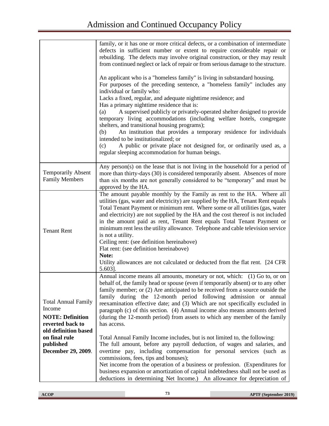|                                                                                                                              | family, or it has one or more critical defects, or a combination of intermediate<br>defects in sufficient number or extent to require considerable repair or<br>rebuilding. The defects may involve original construction, or they may result<br>from continued neglect or lack of repair or from serious damage to the structure.<br>An applicant who is a "homeless family" is living in substandard housing.<br>For purposes of the preceding sentence, a "homeless family" includes any<br>individual or family who:<br>Lacks a fixed, regular, and adequate nighttime residence; and<br>Has a primary nighttime residence that is:<br>A supervised publicly or privately-operated shelter designed to provide<br>(a)<br>temporary living accommodations (including welfare hotels, congregate<br>shelters, and transitional housing programs);<br>An institution that provides a temporary residence for individuals<br>(b)<br>intended to be institutionalized; or<br>A public or private place not designed for, or ordinarily used as, a<br>(c)<br>regular sleeping accommodation for human beings. |
|------------------------------------------------------------------------------------------------------------------------------|-------------------------------------------------------------------------------------------------------------------------------------------------------------------------------------------------------------------------------------------------------------------------------------------------------------------------------------------------------------------------------------------------------------------------------------------------------------------------------------------------------------------------------------------------------------------------------------------------------------------------------------------------------------------------------------------------------------------------------------------------------------------------------------------------------------------------------------------------------------------------------------------------------------------------------------------------------------------------------------------------------------------------------------------------------------------------------------------------------------|
| <b>Temporarily Absent</b><br><b>Family Members</b>                                                                           | Any person(s) on the lease that is not living in the household for a period of<br>more than thirty-days (30) is considered temporarily absent. Absences of more<br>than six months are not generally considered to be "temporary" and must be<br>approved by the HA.                                                                                                                                                                                                                                                                                                                                                                                                                                                                                                                                                                                                                                                                                                                                                                                                                                        |
| <b>Tenant Rent</b>                                                                                                           | The amount payable monthly by the Family as rent to the HA. Where all<br>utilities (gas, water and electricity) are supplied by the HA, Tenant Rent equals<br>Total Tenant Payment or minimum rent. Where some or all utilities (gas, water<br>and electricity) are not supplied by the HA and the cost thereof is not included<br>in the amount paid as rent, Tenant Rent equals Total Tenant Payment or<br>minimum rent less the utility allowance. Telephone and cable television service<br>is not a utility.<br>Ceiling rent: (see definition hereinabove)<br>Flat rent: (see definition hereinabove)<br>Note:<br>Utility allowances are not calculated or deducted from the flat rent. [24 CFR]<br>5.603].                                                                                                                                                                                                                                                                                                                                                                                            |
| <b>Total Annual Family</b><br>Income<br><b>NOTE: Definition</b><br>reverted back to<br>old definition based<br>on final rule | Annual income means all amounts, monetary or not, which: (1) Go to, or on<br>behalf of, the family head or spouse (even if temporarily absent) or to any other<br>family member; or (2) Are anticipated to be received from a source outside the<br>family during the 12-month period following admission or annual<br>reexamination effective date; and (3) Which are not specifically excluded in<br>paragraph (c) of this section. (4) Annual income also means amounts derived<br>(during the 12-month period) from assets to which any member of the family<br>has access.<br>Total Annual Family Income includes, but is not limited to, the following:                                                                                                                                                                                                                                                                                                                                                                                                                                               |
| published<br>December 29, 2009.                                                                                              | The full amount, before any payroll deduction, of wages and salaries, and<br>overtime pay, including compensation for personal services (such as<br>commissions, fees, tips and bonuses);<br>Net income from the operation of a business or profession. (Expenditures for<br>business expansion or amortization of capital indebtedness shall not be used as<br>deductions in determining Net Income.) An allowance for depreciation of                                                                                                                                                                                                                                                                                                                                                                                                                                                                                                                                                                                                                                                                     |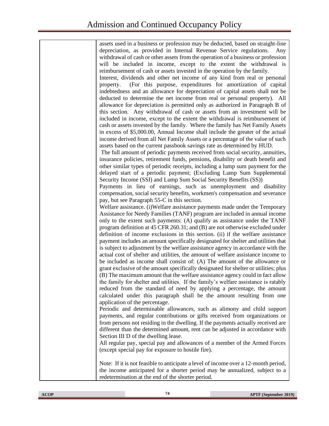| assets used in a business or profession may be deducted, based on straight-line      |
|--------------------------------------------------------------------------------------|
| depreciation, as provided in Internal Revenue Service regulations.<br>Any            |
| withdrawal of cash or other assets from the operation of a business or profession    |
| will be included in income, except to the extent the withdrawal is                   |
| reimbursement of cash or assets invested in the operation by the family.             |
|                                                                                      |
| Interest, dividends and other net income of any kind from real or personal           |
| (For this purpose, expenditures for amortization of capital<br>property.             |
| indebtedness and an allowance for depreciation of capital assets shall not be        |
| deducted to determine the net income from real or personal property). All            |
| allowance for depreciation is permitted only as authorized in Paragraph B of         |
| this section. Any withdrawal of cash or assets from an investment will be            |
| included in income, except to the extent the withdrawal is reimbursement of          |
| cash or assets invested by the family. Where the family has Net Family Assets        |
| in excess of \$5,000.00, Annual Income shall include the greater of the actual       |
| income derived from all Net Family Assets or a percentage of the value of such       |
|                                                                                      |
| assets based on the current passbook savings rate as determined by HUD.              |
| The full amount of periodic payments received from social security, annuities,       |
| insurance policies, retirement funds, pensions, disability or death benefit and      |
| other similar types of periodic receipts, including a lump sum payment for the       |
| delayed start of a periodic payment; (Excluding Lump Sum Supplemental                |
| Security Income (SSI) and Lump Sum Social Security Benefits (SS))                    |
| Payments in lieu of earnings, such as unemployment and disability                    |
| compensation, social security benefits, workmen's compensation and severance         |
| pay, but see Paragraph 55-C in this section.                                         |
| Welfare assistance. (i) Welfare assistance payments made under the Temporary         |
| Assistance for Needy Families (TANF) program are included in annual income           |
| only to the extent such payments: (A) qualify as assistance under the TANF           |
| program definition at 45 CFR 260.31; and (B) are not otherwise excluded under        |
| definition of income exclusions in this section. (ii) if the welfare assistance      |
| payment includes an amount specifically designated for shelter and utilities that    |
| is subject to adjustment by the welfare assistance agency in accordance with the     |
| actual cost of shelter and utilities, the amount of welfare assistance income to     |
| be included as income shall consist of: (A) The amount of the allowance or           |
|                                                                                      |
| grant exclusive of the amount specifically designated for shelter or utilities; plus |
| (B) The maximum amount that the welfare assistance agency could in fact allow        |
| the family for shelter and utilities. If the family's welfare assistance is ratably  |
| reduced from the standard of need by applying a percentage, the amount               |
| calculated under this paragraph shall be the amount resulting from one               |
| application of the percentage.                                                       |
| Periodic and determinable allowances, such as alimony and child support              |
| payments, and regular contributions or gifts received from organizations or          |
| from persons not residing in the dwelling. If the payments actually received are     |
| different than the determined amount, rent can be adjusted in accordance with        |
| Section III D of the dwelling lease.                                                 |
| All regular pay, special pay and allowances of a member of the Armed Forces          |
| (except special pay for exposure to hostile fire).                                   |
| Note: If it is not feasible to anticipate a level of income over a 12-month period,  |
| the income anticipated for a shorter period may be annualized, subject to a          |
| redetermination at the end of the shorter period.                                    |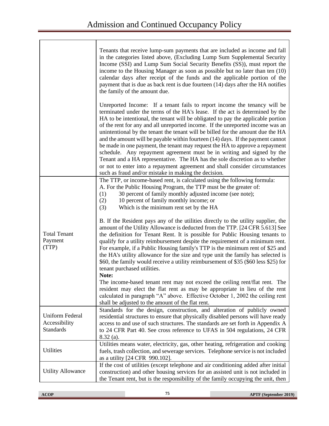|                                                      | Tenants that receive lump-sum payments that are included as income and fall                                                                                                                                                                                                                                                                                                                                                                                                                                                                                                                                                                                                                                                                                                                                                                                                             |
|------------------------------------------------------|-----------------------------------------------------------------------------------------------------------------------------------------------------------------------------------------------------------------------------------------------------------------------------------------------------------------------------------------------------------------------------------------------------------------------------------------------------------------------------------------------------------------------------------------------------------------------------------------------------------------------------------------------------------------------------------------------------------------------------------------------------------------------------------------------------------------------------------------------------------------------------------------|
|                                                      | in the categories listed above, (Excluding Lump Sum Supplemental Security<br>Income (SSI) and Lump Sum Social Security Benefits (SS)), must report the<br>income to the Housing Manager as soon as possible but no later than ten (10)<br>calendar days after receipt of the funds and the applicable portion of the<br>payment that is due as back rent is due fourteen (14) days after the HA notifies<br>the family of the amount due.                                                                                                                                                                                                                                                                                                                                                                                                                                               |
|                                                      | Unreported Income: If a tenant fails to report income the tenancy will be<br>terminated under the terms of the HA's lease. If the act is determined by the<br>HA to be intentional, the tenant will be obligated to pay the applicable portion<br>of the rent for any and all unreported income. If the unreported income was an<br>unintentional by the tenant the tenant will be billed for the amount due the HA<br>and the amount will be payable within fourteen (14) days. If the payment cannot<br>be made in one payment, the tenant may request the HA to approve a repayment<br>schedule. Any repayment agreement must be in writing and signed by the<br>Tenant and a HA representative. The HA has the sole discretion as to whether<br>or not to enter into a repayment agreement and shall consider circumstances<br>such as fraud and/or mistake in making the decision. |
| <b>Total Tenant</b><br>Payment<br>(TTP)              | The TTP, or income-based rent, is calculated using the following formula:<br>A. For the Public Housing Program, the TTP must be the greater of:<br>30 percent of family monthly adjusted income (see note);<br>(1)<br>10 percent of family monthly income; or<br>(2)<br>Which is the minimum rent set by the HA<br>(3)                                                                                                                                                                                                                                                                                                                                                                                                                                                                                                                                                                  |
|                                                      | B. If the Resident pays any of the utilities directly to the utility supplier, the<br>amount of the Utility Allowance is deducted from the TTP. [24 CFR 5.613] See<br>the definition for Tenant Rent. It is possible for Public Housing tenants to<br>qualify for a utility reimbursement despite the requirement of a minimum rent.<br>For example, if a Public Housing family's TTP is the minimum rent of \$25 and<br>the HA's utility allowance for the size and type unit the family has selected is<br>\$60, the family would receive a utility reimbursement of \$35 (\$60 less \$25) for<br>tenant purchased utilities.<br>Note:                                                                                                                                                                                                                                                |
|                                                      | The income-based tenant rent may not exceed the ceiling rent/flat rent. The<br>resident may elect the flat rent as may be appropriate in lieu of the rent<br>calculated in paragraph "A" above. Effective October 1, 2002 the ceiling rent<br>shall be adjusted to the amount of the flat rent.                                                                                                                                                                                                                                                                                                                                                                                                                                                                                                                                                                                         |
| Uniform Federal<br>Accessibility<br><b>Standards</b> | Standards for the design, construction, and alteration of publicly owned<br>residential structures to ensure that physically disabled persons will have ready<br>access to and use of such structures. The standards are set forth in Appendix A<br>to 24 CFR Part 40. See cross reference to UFAS in 504 regulations, 24 CFR<br>$8.32$ (a).                                                                                                                                                                                                                                                                                                                                                                                                                                                                                                                                            |
| Utilities                                            | Utilities means water, electricity, gas, other heating, refrigeration and cooking<br>fuels, trash collection, and sewerage services. Telephone service is not included<br>as a utility [24 CFR 990.102].                                                                                                                                                                                                                                                                                                                                                                                                                                                                                                                                                                                                                                                                                |
| <b>Utility Allowance</b>                             | If the cost of utilities (except telephone and air conditioning added after initial<br>construction) and other housing services for an assisted unit is not included in<br>the Tenant rent, but is the responsibility of the family occupying the unit, then                                                                                                                                                                                                                                                                                                                                                                                                                                                                                                                                                                                                                            |

٦